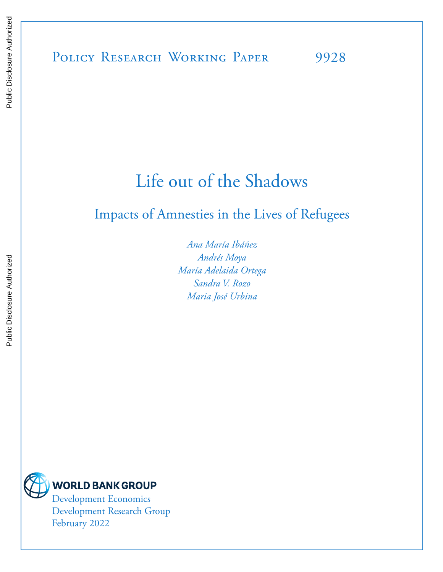# Life out of the Shadows

# Impacts of Amnesties in the Lives of Refugees

*Ana María Ibáñez Andrés Moya María Adelaida Ortega Sandra V. Rozo Maria José Urbina*



Development Economics Development Research Group February 2022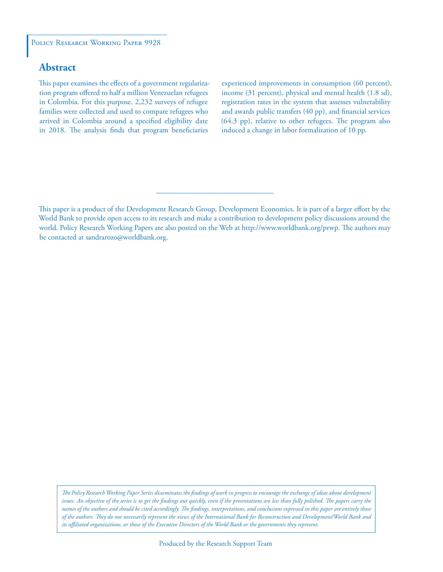#### POLICY RESEARCH WORKING PAPER 9928

### **Abstract**

This paper examines the effects of a government regularization program offered to half a million Venezuelan refugees in Colombia. For this purpose, 2,232 surveys of refugee families were collected and used to compare refugees who arrived in Colombia around a specified eligibility date in 2018. The analysis finds that program beneficiaries

experienced improvements in consumption (60 percent), income (31 percent), physical and mental health (1.8 sd), registration rates in the system that assesses vulnerability and awards public transfers (40 pp), and financial services (64.3 pp), relative to other refugees. The program also induced a change in labor formalization of 10 pp.

*The Policy Research Working Paper Series disseminates the findings of work in progress to encourage the exchange of ideas about development*  issues. An objective of the series is to get the findings out quickly, even if the presentations are less than fully polished. The papers carry the *names of the authors and should be cited accordingly. The findings, interpretations, and conclusions expressed in this paper are entirely those of the authors. They do not necessarily represent the views of the International Bank for Reconstruction and Development/World Bank and its affiliated organizations, or those of the Executive Directors of the World Bank or the governments they represent.*

This paper is a product of the Development Research Group, Development Economics. It is part of a larger effort by the World Bank to provide open access to its research and make a contribution to development policy discussions around the world. Policy Research Working Papers are also posted on the Web at http://www.worldbank.org/prwp. The authors may be contacted at sandrarozo@worldbank.org.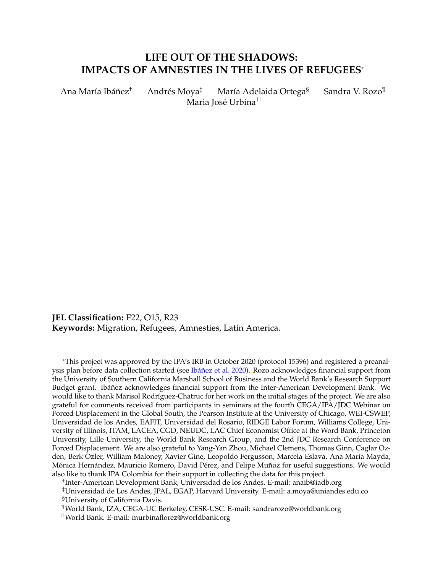# **LIFE OUT OF THE SHADOWS: IMPACTS OF AMNESTIES IN THE LIVES OF REFUGEES**\*

Ana María Ibáñez<sup>†</sup> Andrés Moya<sup>‡</sup> María Adelaida Ortega<sup>§</sup> Sandra V. Rozo<sup>¶</sup> Maria José Urbina <sup>II</sup>

**JEL Classification:** F22, O15, R23 **Keywords:** Migration, Refugees, Amnesties, Latin America.

<sup>\*</sup>This project was approved by the IPA's IRB in October 2020 (protocol 15396) and registered a preanalysis plan before data collection started (see Ibáñez et al. 2020). Rozo acknowledges financial support from the University of Southern California Marshall School of Business and the World Bank's Research Support Budget grant. Ibáñez acknowledges financial support from the Inter-American Development Bank. We would like to thank Marisol Rodríguez-Chatruc for her work on the initial stages of the project. We are also grateful for comments received from participants in seminars at the fourth CEGA/IPA/JDC Webinar on Forced Displacement in the Global South, the Pearson Institute at the University of Chicago, WEI-CSWEP, Universidad de los Andes, EAFIT, Universidad del Rosario, RIDGE Labor Forum, Williams College, University of Illinois, ITAM, LACEA, CGD, NEUDC, LAC Chief Economist Office at the Word Bank, Princeton University, Lille University, the World Bank Research Group, and the 2nd JDC Research Conference on Forced Displacement. We are also grateful to Yang-Yan Zhou, Michael Clemens, Thomas Ginn, Caglar Ozden, Berk Ozler, William Maloney, Xavier Gine, Leopoldo Fergusson, Marcela Eslava, Ana María Mayda, Mónica Hernández, Mauricio Romero, David Pérez, and Felipe Muñoz for useful suggestions. We would also like to thank IPA Colombia for their support in collecting the data for this project.

<sup>†</sup> Inter-American Development Bank, Universidad de los Andes. E-mail: anaib@iadb.org ‡Universidad de Los Andes, JPAL, EGAP, Harvard University. E-mail: a.moya@uniandes.edu.co §University of California Davis.

<sup>¶</sup>World Bank, IZA, CEGA-UC Berkeley, CESR-USC. E-mail: sandrarozo@worldbank.org

<sup>||</sup>World Bank. E-mail: murbinaflorez@worldbank.org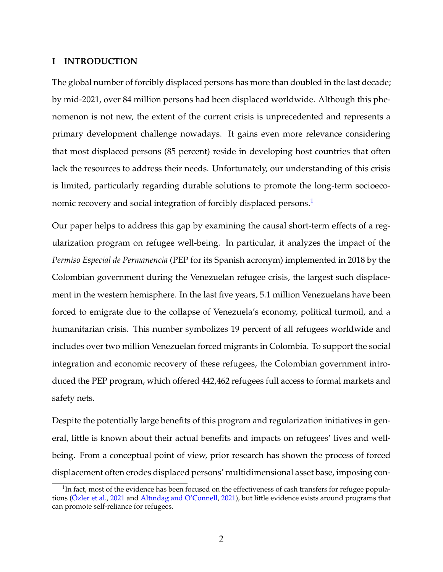#### **I INTRODUCTION**

The global number of forcibly displaced persons has more than doubled in the last decade; by mid-2021, over 84 million persons had been displaced worldwide. Although this phenomenon is not new, the extent of the current crisis is unprecedented and represents a primary development challenge nowadays. It gains even more relevance considering that most displaced persons (85 percent) reside in developing host countries that often lack the resources to address their needs. Unfortunately, our understanding of this crisis is limited, particularly regarding durable solutions to promote the long-term socioeco-nomic recovery and social integration of forcibly displaced persons.<sup>[1](#page-3-0)</sup>

Our paper helps to address this gap by examining the causal short-term effects of a regularization program on refugee well-being. In particular, it analyzes the impact of the *Permiso Especial de Permanencia* (PEP for its Spanish acronym) implemented in 2018 by the Colombian government during the Venezuelan refugee crisis, the largest such displacement in the western hemisphere. In the last five years, 5.1 million Venezuelans have been forced to emigrate due to the collapse of Venezuela's economy, political turmoil, and a humanitarian crisis. This number symbolizes 19 percent of all refugees worldwide and includes over two million Venezuelan forced migrants in Colombia. To support the social integration and economic recovery of these refugees, the Colombian government introduced the PEP program, which offered 442,462 refugees full access to formal markets and safety nets.

Despite the potentially large benefits of this program and regularization initiatives in general, little is known about their actual benefits and impacts on refugees' lives and wellbeing. From a conceptual point of view, prior research has shown the process of forced displacement often erodes displaced persons' multidimensional asset base, imposing con-

<span id="page-3-0"></span> $^1$ In fact, most of the evidence has been focused on the effectiveness of cash transfers for refugee popula-tions (Özler et al., [2021](#page-36-0) and [Altındag and O'Connell,](#page-33-0) [2021\)](#page-33-0), but little evidence exists around programs that can promote self-reliance for refugees.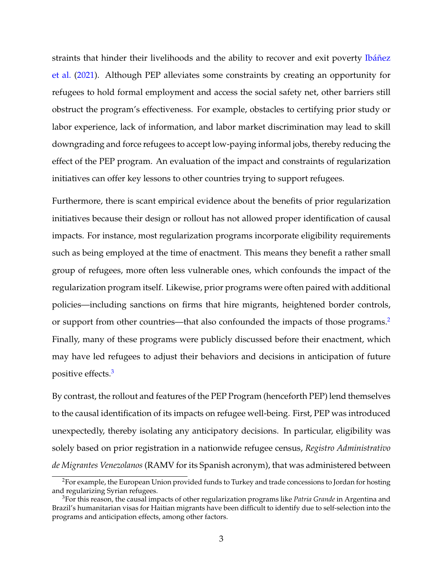straints that hinder their livelihoods and the ability to recover and exit poverty Ibáñez [et al.](#page-36-1) [\(2021\)](#page-36-1). Although PEP alleviates some constraints by creating an opportunity for refugees to hold formal employment and access the social safety net, other barriers still obstruct the program's effectiveness. For example, obstacles to certifying prior study or labor experience, lack of information, and labor market discrimination may lead to skill downgrading and force refugees to accept low-paying informal jobs, thereby reducing the effect of the PEP program. An evaluation of the impact and constraints of regularization initiatives can offer key lessons to other countries trying to support refugees.

Furthermore, there is scant empirical evidence about the benefits of prior regularization initiatives because their design or rollout has not allowed proper identification of causal impacts. For instance, most regularization programs incorporate eligibility requirements such as being employed at the time of enactment. This means they benefit a rather small group of refugees, more often less vulnerable ones, which confounds the impact of the regularization program itself. Likewise, prior programs were often paired with additional policies—including sanctions on firms that hire migrants, heightened border controls, or support from other countries—that also confounded the impacts of those programs.<sup>[2](#page-4-0)</sup> Finally, many of these programs were publicly discussed before their enactment, which may have led refugees to adjust their behaviors and decisions in anticipation of future positive effects.[3](#page-4-1)

By contrast, the rollout and features of the PEP Program (henceforth PEP) lend themselves to the causal identification of its impacts on refugee well-being. First, PEP was introduced unexpectedly, thereby isolating any anticipatory decisions. In particular, eligibility was solely based on prior registration in a nationwide refugee census, *Registro Administrativo de Migrantes Venezolanos* (RAMV for its Spanish acronym), that was administered between

<span id="page-4-0"></span><sup>&</sup>lt;sup>2</sup>For example, the European Union provided funds to Turkey and trade concessions to Jordan for hosting and regularizing Syrian refugees.

<span id="page-4-1"></span><sup>3</sup>For this reason, the causal impacts of other regularization programs like *Patria Grande* in Argentina and Brazil's humanitarian visas for Haitian migrants have been difficult to identify due to self-selection into the programs and anticipation effects, among other factors.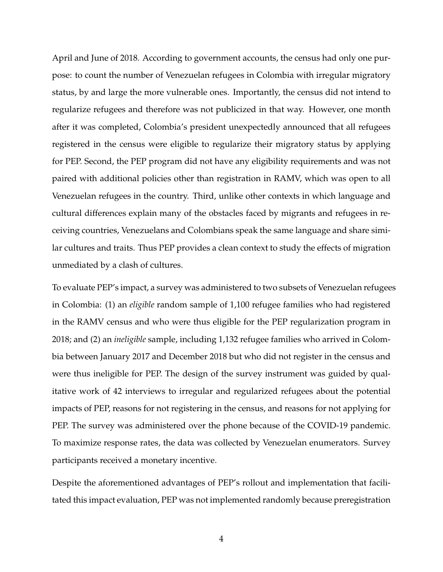April and June of 2018. According to government accounts, the census had only one purpose: to count the number of Venezuelan refugees in Colombia with irregular migratory status, by and large the more vulnerable ones. Importantly, the census did not intend to regularize refugees and therefore was not publicized in that way. However, one month after it was completed, Colombia's president unexpectedly announced that all refugees registered in the census were eligible to regularize their migratory status by applying for PEP. Second, the PEP program did not have any eligibility requirements and was not paired with additional policies other than registration in RAMV, which was open to all Venezuelan refugees in the country. Third, unlike other contexts in which language and cultural differences explain many of the obstacles faced by migrants and refugees in receiving countries, Venezuelans and Colombians speak the same language and share similar cultures and traits. Thus PEP provides a clean context to study the effects of migration unmediated by a clash of cultures.

To evaluate PEP's impact, a survey was administered to two subsets of Venezuelan refugees in Colombia: (1) an *eligible* random sample of 1,100 refugee families who had registered in the RAMV census and who were thus eligible for the PEP regularization program in 2018; and (2) an *ineligible* sample, including 1,132 refugee families who arrived in Colombia between January 2017 and December 2018 but who did not register in the census and were thus ineligible for PEP. The design of the survey instrument was guided by qualitative work of 42 interviews to irregular and regularized refugees about the potential impacts of PEP, reasons for not registering in the census, and reasons for not applying for PEP. The survey was administered over the phone because of the COVID-19 pandemic. To maximize response rates, the data was collected by Venezuelan enumerators. Survey participants received a monetary incentive.

Despite the aforementioned advantages of PEP's rollout and implementation that facilitated this impact evaluation, PEP was not implemented randomly because preregistration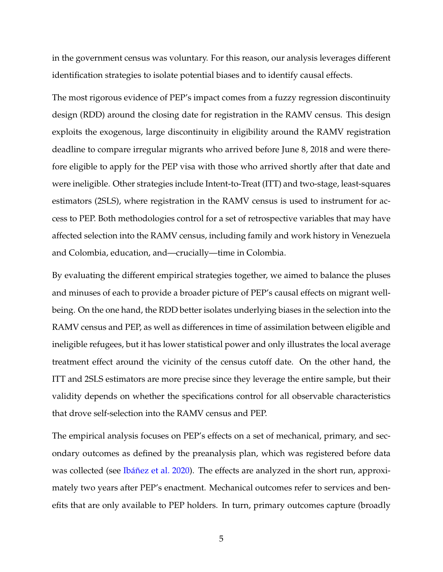in the government census was voluntary. For this reason, our analysis leverages different identification strategies to isolate potential biases and to identify causal effects.

The most rigorous evidence of PEP's impact comes from a fuzzy regression discontinuity design (RDD) around the closing date for registration in the RAMV census. This design exploits the exogenous, large discontinuity in eligibility around the RAMV registration deadline to compare irregular migrants who arrived before June 8, 2018 and were therefore eligible to apply for the PEP visa with those who arrived shortly after that date and were ineligible. Other strategies include Intent-to-Treat (ITT) and two-stage, least-squares estimators (2SLS), where registration in the RAMV census is used to instrument for access to PEP. Both methodologies control for a set of retrospective variables that may have affected selection into the RAMV census, including family and work history in Venezuela and Colombia, education, and—crucially—time in Colombia.

By evaluating the different empirical strategies together, we aimed to balance the pluses and minuses of each to provide a broader picture of PEP's causal effects on migrant wellbeing. On the one hand, the RDD better isolates underlying biases in the selection into the RAMV census and PEP, as well as differences in time of assimilation between eligible and ineligible refugees, but it has lower statistical power and only illustrates the local average treatment effect around the vicinity of the census cutoff date. On the other hand, the ITT and 2SLS estimators are more precise since they leverage the entire sample, but their validity depends on whether the specifications control for all observable characteristics that drove self-selection into the RAMV census and PEP.

The empirical analysis focuses on PEP's effects on a set of mechanical, primary, and secondary outcomes as defined by the preanalysis plan, which was registered before data was collected (see Ibáñez et al. [2020\)](#page-35-0). The effects are analyzed in the short run, approximately two years after PEP's enactment. Mechanical outcomes refer to services and benefits that are only available to PEP holders. In turn, primary outcomes capture (broadly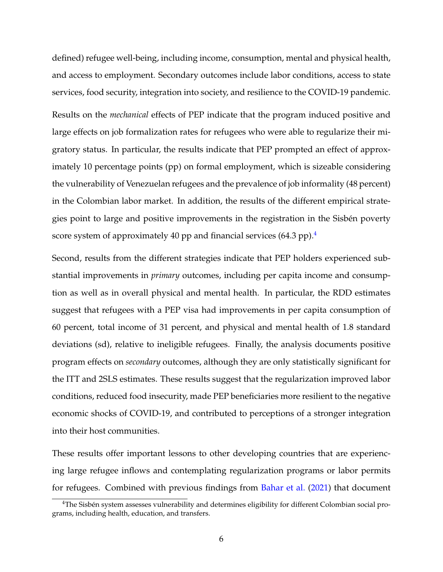defined) refugee well-being, including income, consumption, mental and physical health, and access to employment. Secondary outcomes include labor conditions, access to state services, food security, integration into society, and resilience to the COVID-19 pandemic. Results on the *mechanical* effects of PEP indicate that the program induced positive and large effects on job formalization rates for refugees who were able to regularize their migratory status. In particular, the results indicate that PEP prompted an effect of approximately 10 percentage points (pp) on formal employment, which is sizeable considering the vulnerability of Venezuelan refugees and the prevalence of job informality (48 percent) in the Colombian labor market. In addition, the results of the different empirical strategies point to large and positive improvements in the registration in the Sisbén poverty score system of approximately [4](#page-7-0)0 pp and financial services  $(64.3 \text{ pp})$ .<sup>4</sup>

Second, results from the different strategies indicate that PEP holders experienced substantial improvements in *primary* outcomes, including per capita income and consumption as well as in overall physical and mental health. In particular, the RDD estimates suggest that refugees with a PEP visa had improvements in per capita consumption of 60 percent, total income of 31 percent, and physical and mental health of 1.8 standard deviations (sd), relative to ineligible refugees. Finally, the analysis documents positive program effects on *secondary* outcomes, although they are only statistically significant for the ITT and 2SLS estimates. These results suggest that the regularization improved labor conditions, reduced food insecurity, made PEP beneficiaries more resilient to the negative economic shocks of COVID-19, and contributed to perceptions of a stronger integration into their host communities.

These results offer important lessons to other developing countries that are experiencing large refugee inflows and contemplating regularization programs or labor permits for refugees. Combined with previous findings from [Bahar et al.](#page-34-0) [\(2021\)](#page-34-0) that document

<span id="page-7-0"></span><sup>&</sup>lt;sup>4</sup>The Sisbén system assesses vulnerability and determines eligibility for different Colombian social programs, including health, education, and transfers.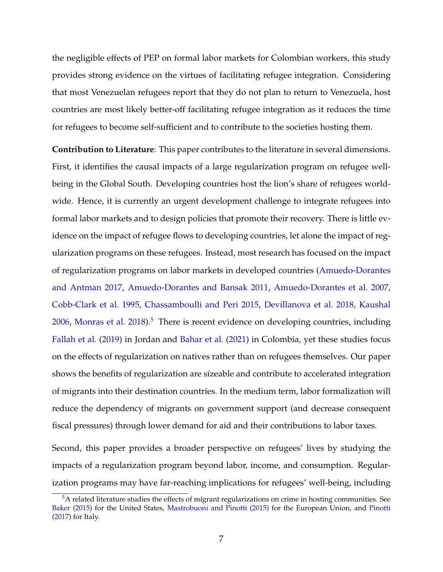the negligible effects of PEP on formal labor markets for Colombian workers, this study provides strong evidence on the virtues of facilitating refugee integration. Considering that most Venezuelan refugees report that they do not plan to return to Venezuela, host countries are most likely better-off facilitating refugee integration as it reduces the time for refugees to become self-sufficient and to contribute to the societies hosting them.

**Contribution to Literature**: This paper contributes to the literature in several dimensions. First, it identifies the causal impacts of a large regularization program on refugee wellbeing in the Global South. Developing countries host the lion's share of refugees worldwide. Hence, it is currently an urgent development challenge to integrate refugees into formal labor markets and to design policies that promote their recovery. There is little evidence on the impact of refugee flows to developing countries, let alone the impact of regularization programs on these refugees. Instead, most research has focused on the impact of regularization programs on labor markets in developed countries [\(Amuedo-Dorantes](#page-33-1) [and Antman](#page-33-1) [2017,](#page-33-1) [Amuedo-Dorantes and Bansak](#page-33-2) [2011,](#page-33-2) [Amuedo-Dorantes et al.](#page-33-3) [2007,](#page-33-3) [Cobb-Clark et al.](#page-34-1) [1995,](#page-34-1) [Chassamboulli and Peri](#page-34-2) [2015,](#page-34-2) [Devillanova et al.](#page-35-1) [2018,](#page-35-1) [Kaushal](#page-36-2)  $2006$ , [Monras et al.](#page-36-3)  $2018$ ).<sup>[5](#page-8-0)</sup> There is recent evidence on developing countries, including [Fallah et al.](#page-35-2) [\(2019\)](#page-35-2) in Jordan and [Bahar et al.](#page-34-0) [\(2021\)](#page-34-0) in Colombia, yet these studies focus on the effects of regularization on natives rather than on refugees themselves. Our paper shows the benefits of regularization are sizeable and contribute to accelerated integration of migrants into their destination countries. In the medium term, labor formalization will reduce the dependency of migrants on government support (and decrease consequent fiscal pressures) through lower demand for aid and their contributions to labor taxes.

Second, this paper provides a broader perspective on refugees' lives by studying the impacts of a regularization program beyond labor, income, and consumption. Regularization programs may have far-reaching implications for refugees' well-being, including

<span id="page-8-0"></span><sup>&</sup>lt;sup>5</sup>A related literature studies the effects of migrant regularizations on crime in hosting communities. See [Baker](#page-34-3) [\(2015\)](#page-34-3) for the United States, [Mastrobuoni and Pinotti](#page-36-4) [\(2015\)](#page-36-4) for the European Union, and [Pinotti](#page-36-5) [\(2017\)](#page-36-5) for Italy.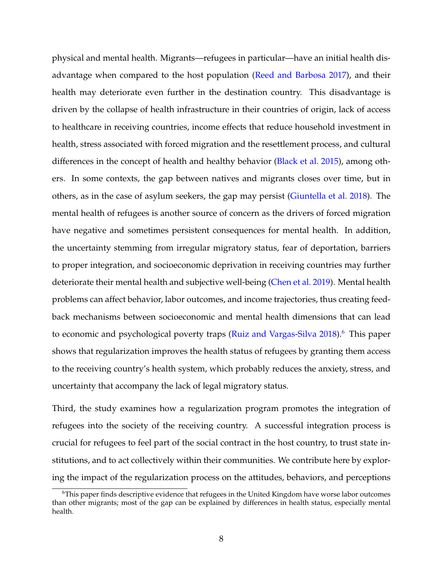physical and mental health. Migrants—refugees in particular—have an initial health disadvantage when compared to the host population [\(Reed and Barbosa](#page-37-0) [2017\)](#page-37-0), and their health may deteriorate even further in the destination country. This disadvantage is driven by the collapse of health infrastructure in their countries of origin, lack of access to healthcare in receiving countries, income effects that reduce household investment in health, stress associated with forced migration and the resettlement process, and cultural differences in the concept of health and healthy behavior [\(Black et al.](#page-34-4) [2015\)](#page-34-4), among others. In some contexts, the gap between natives and migrants closes over time, but in others, as in the case of asylum seekers, the gap may persist [\(Giuntella et al.](#page-35-3) [2018\)](#page-35-3). The mental health of refugees is another source of concern as the drivers of forced migration have negative and sometimes persistent consequences for mental health. In addition, the uncertainty stemming from irregular migratory status, fear of deportation, barriers to proper integration, and socioeconomic deprivation in receiving countries may further deteriorate their mental health and subjective well-being [\(Chen et al.](#page-34-5) [2019\)](#page-34-5). Mental health problems can affect behavior, labor outcomes, and income trajectories, thus creating feedback mechanisms between socioeconomic and mental health dimensions that can lead to economic and psychological poverty traps [\(Ruiz and Vargas-Silva](#page-37-1) [2018\)](#page-37-1).<sup>[6](#page-9-0)</sup> This paper shows that regularization improves the health status of refugees by granting them access to the receiving country's health system, which probably reduces the anxiety, stress, and uncertainty that accompany the lack of legal migratory status.

Third, the study examines how a regularization program promotes the integration of refugees into the society of the receiving country. A successful integration process is crucial for refugees to feel part of the social contract in the host country, to trust state institutions, and to act collectively within their communities. We contribute here by exploring the impact of the regularization process on the attitudes, behaviors, and perceptions

<span id="page-9-0"></span><sup>6</sup>This paper finds descriptive evidence that refugees in the United Kingdom have worse labor outcomes than other migrants; most of the gap can be explained by differences in health status, especially mental health.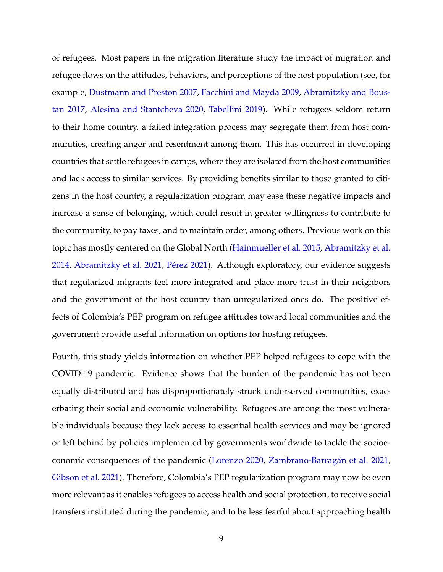of refugees. Most papers in the migration literature study the impact of migration and refugee flows on the attitudes, behaviors, and perceptions of the host population (see, for example, [Dustmann and Preston](#page-35-4) [2007,](#page-35-4) [Facchini and Mayda](#page-35-5) [2009,](#page-35-5) [Abramitzky and Bous](#page-32-0)[tan](#page-32-0) [2017,](#page-32-0) [Alesina and Stantcheva](#page-33-4) [2020,](#page-33-4) [Tabellini](#page-37-2) [2019\)](#page-37-2). While refugees seldom return to their home country, a failed integration process may segregate them from host communities, creating anger and resentment among them. This has occurred in developing countries that settle refugees in camps, where they are isolated from the host communities and lack access to similar services. By providing benefits similar to those granted to citizens in the host country, a regularization program may ease these negative impacts and increase a sense of belonging, which could result in greater willingness to contribute to the community, to pay taxes, and to maintain order, among others. Previous work on this topic has mostly centered on the Global North [\(Hainmueller et al.](#page-35-6) [2015,](#page-35-6) [Abramitzky et al.](#page-33-5) [2014,](#page-33-5) [Abramitzky et al.](#page-33-6) [2021,](#page-33-6) Pérez [2021\)](#page-37-3). Although exploratory, our evidence suggests that regularized migrants feel more integrated and place more trust in their neighbors and the government of the host country than unregularized ones do. The positive effects of Colombia's PEP program on refugee attitudes toward local communities and the government provide useful information on options for hosting refugees.

Fourth, this study yields information on whether PEP helped refugees to cope with the COVID-19 pandemic. Evidence shows that the burden of the pandemic has not been equally distributed and has disproportionately struck underserved communities, exacerbating their social and economic vulnerability. Refugees are among the most vulnerable individuals because they lack access to essential health services and may be ignored or left behind by policies implemented by governments worldwide to tackle the socioe-conomic consequences of the pandemic [\(Lorenzo](#page-36-6) [2020,](#page-36-6) Zambrano-Barragán et al. [2021,](#page-37-4) [Gibson et al.](#page-35-7) [2021\)](#page-35-7). Therefore, Colombia's PEP regularization program may now be even more relevant as it enables refugees to access health and social protection, to receive social transfers instituted during the pandemic, and to be less fearful about approaching health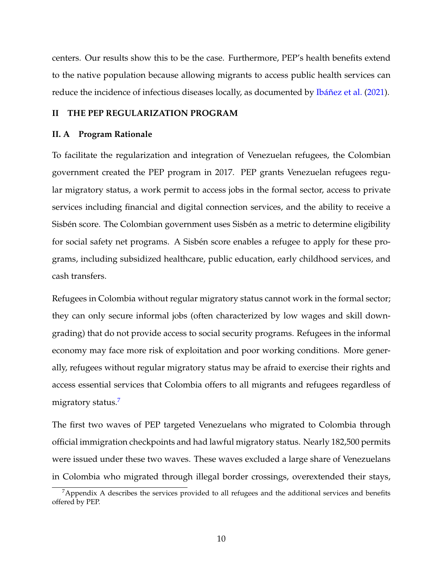centers. Our results show this to be the case. Furthermore, PEP's health benefits extend to the native population because allowing migrants to access public health services can reduce the incidence of infectious diseases locally, as documented by Ibáñez et al. [\(2021\)](#page-36-7).

#### **II THE PEP REGULARIZATION PROGRAM**

#### **II. A Program Rationale**

To facilitate the regularization and integration of Venezuelan refugees, the Colombian government created the PEP program in 2017. PEP grants Venezuelan refugees regular migratory status, a work permit to access jobs in the formal sector, access to private services including financial and digital connection services, and the ability to receive a Sisbén score. The Colombian government uses Sisbén as a metric to determine eligibility for social safety net programs. A Sisbén score enables a refugee to apply for these programs, including subsidized healthcare, public education, early childhood services, and cash transfers.

Refugees in Colombia without regular migratory status cannot work in the formal sector; they can only secure informal jobs (often characterized by low wages and skill downgrading) that do not provide access to social security programs. Refugees in the informal economy may face more risk of exploitation and poor working conditions. More generally, refugees without regular migratory status may be afraid to exercise their rights and access essential services that Colombia offers to all migrants and refugees regardless of migratory status.<sup>[7](#page-11-0)</sup>

The first two waves of PEP targeted Venezuelans who migrated to Colombia through official immigration checkpoints and had lawful migratory status. Nearly 182,500 permits were issued under these two waves. These waves excluded a large share of Venezuelans in Colombia who migrated through illegal border crossings, overextended their stays,

<span id="page-11-0"></span><sup>&</sup>lt;sup>7</sup>Appendix A describes the services provided to all refugees and the additional services and benefits offered by PEP.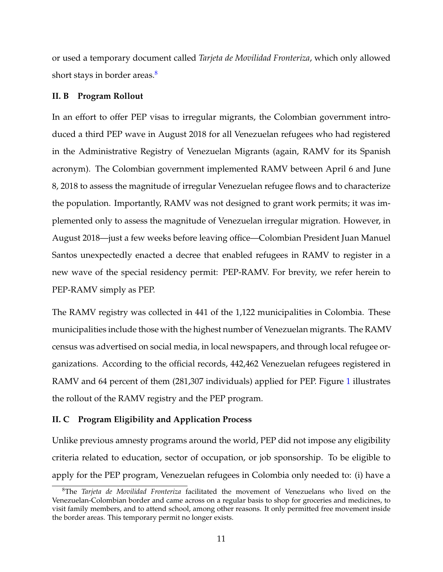or used a temporary document called *Tarjeta de Movilidad Fronteriza*, which only allowed short stays in border areas.<sup>[8](#page-12-0)</sup>

#### **II. B Program Rollout**

In an effort to offer PEP visas to irregular migrants, the Colombian government introduced a third PEP wave in August 2018 for all Venezuelan refugees who had registered in the Administrative Registry of Venezuelan Migrants (again, RAMV for its Spanish acronym). The Colombian government implemented RAMV between April 6 and June 8, 2018 to assess the magnitude of irregular Venezuelan refugee flows and to characterize the population. Importantly, RAMV was not designed to grant work permits; it was implemented only to assess the magnitude of Venezuelan irregular migration. However, in August 2018—just a few weeks before leaving office—Colombian President Juan Manuel Santos unexpectedly enacted a decree that enabled refugees in RAMV to register in a new wave of the special residency permit: PEP-RAMV. For brevity, we refer herein to PEP-RAMV simply as PEP.

The RAMV registry was collected in 441 of the 1,122 municipalities in Colombia. These municipalities include those with the highest number of Venezuelan migrants. The RAMV census was advertised on social media, in local newspapers, and through local refugee organizations. According to the official records, 442,462 Venezuelan refugees registered in RAMV and 64 percent of them (28[1](#page-38-0),307 individuals) applied for PEP. Figure 1 illustrates the rollout of the RAMV registry and the PEP program.

#### **II. C Program Eligibility and Application Process**

Unlike previous amnesty programs around the world, PEP did not impose any eligibility criteria related to education, sector of occupation, or job sponsorship. To be eligible to apply for the PEP program, Venezuelan refugees in Colombia only needed to: (i) have a

<span id="page-12-0"></span><sup>8</sup>The *Tarjeta de Movilidad Fronteriza* facilitated the movement of Venezuelans who lived on the Venezuelan-Colombian border and came across on a regular basis to shop for groceries and medicines, to visit family members, and to attend school, among other reasons. It only permitted free movement inside the border areas. This temporary permit no longer exists.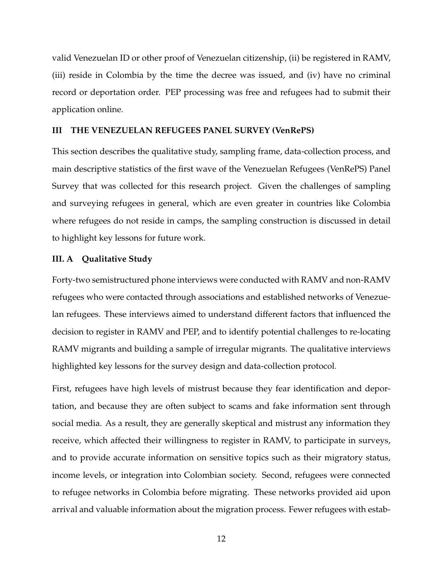valid Venezuelan ID or other proof of Venezuelan citizenship, (ii) be registered in RAMV, (iii) reside in Colombia by the time the decree was issued, and (iv) have no criminal record or deportation order. PEP processing was free and refugees had to submit their application online.

#### **III THE VENEZUELAN REFUGEES PANEL SURVEY (VenRePS)**

This section describes the qualitative study, sampling frame, data-collection process, and main descriptive statistics of the first wave of the Venezuelan Refugees (VenRePS) Panel Survey that was collected for this research project. Given the challenges of sampling and surveying refugees in general, which are even greater in countries like Colombia where refugees do not reside in camps, the sampling construction is discussed in detail to highlight key lessons for future work.

#### **III. A Qualitative Study**

Forty-two semistructured phone interviews were conducted with RAMV and non-RAMV refugees who were contacted through associations and established networks of Venezuelan refugees. These interviews aimed to understand different factors that influenced the decision to register in RAMV and PEP, and to identify potential challenges to re-locating RAMV migrants and building a sample of irregular migrants. The qualitative interviews highlighted key lessons for the survey design and data-collection protocol.

First, refugees have high levels of mistrust because they fear identification and deportation, and because they are often subject to scams and fake information sent through social media. As a result, they are generally skeptical and mistrust any information they receive, which affected their willingness to register in RAMV, to participate in surveys, and to provide accurate information on sensitive topics such as their migratory status, income levels, or integration into Colombian society. Second, refugees were connected to refugee networks in Colombia before migrating. These networks provided aid upon arrival and valuable information about the migration process. Fewer refugees with estab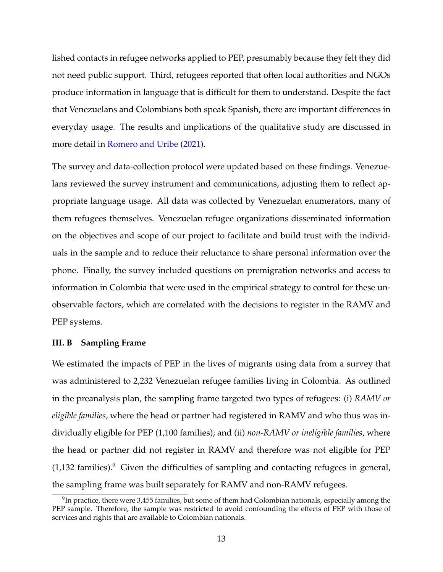lished contacts in refugee networks applied to PEP, presumably because they felt they did not need public support. Third, refugees reported that often local authorities and NGOs produce information in language that is difficult for them to understand. Despite the fact that Venezuelans and Colombians both speak Spanish, there are important differences in everyday usage. The results and implications of the qualitative study are discussed in more detail in [Romero and Uribe](#page-37-5) [\(2021\)](#page-37-5).

The survey and data-collection protocol were updated based on these findings. Venezuelans reviewed the survey instrument and communications, adjusting them to reflect appropriate language usage. All data was collected by Venezuelan enumerators, many of them refugees themselves. Venezuelan refugee organizations disseminated information on the objectives and scope of our project to facilitate and build trust with the individuals in the sample and to reduce their reluctance to share personal information over the phone. Finally, the survey included questions on premigration networks and access to information in Colombia that were used in the empirical strategy to control for these unobservable factors, which are correlated with the decisions to register in the RAMV and PEP systems.

#### **III. B Sampling Frame**

We estimated the impacts of PEP in the lives of migrants using data from a survey that was administered to 2,232 Venezuelan refugee families living in Colombia. As outlined in the preanalysis plan, the sampling frame targeted two types of refugees: (i) *RAMV or eligible families*, where the head or partner had registered in RAMV and who thus was individually eligible for PEP (1,100 families); and (ii) *non-RAMV or ineligible families*, where the head or partner did not register in RAMV and therefore was not eligible for PEP  $(1,132 \text{ families})$ . Given the difficulties of sampling and contacting refugees in general, the sampling frame was built separately for RAMV and non-RAMV refugees.

<span id="page-14-0"></span> $^9$ In practice, there were 3,455 families, but some of them had Colombian nationals, especially among the PEP sample. Therefore, the sample was restricted to avoid confounding the effects of PEP with those of services and rights that are available to Colombian nationals.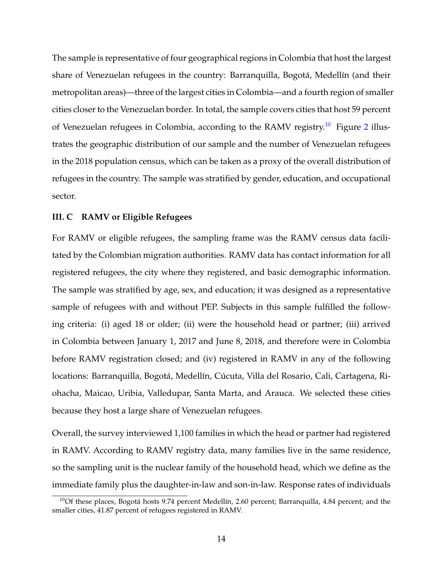The sample is representative of four geographical regions in Colombia that host the largest share of Venezuelan refugees in the country: Barranquilla, Bogotá, Medellín (and their metropolitan areas)—three of the largest cities in Colombia—and a fourth region of smaller cities closer to the Venezuelan border. In total, the sample covers cities that host 59 percent of Venezuelan refugees in Colombia, according to the RAMV registry.<sup>[10](#page-15-0)</sup> Figure [2](#page-39-0) illustrates the geographic distribution of our sample and the number of Venezuelan refugees in the 2018 population census, which can be taken as a proxy of the overall distribution of refugees in the country. The sample was stratified by gender, education, and occupational sector.

#### **III. C RAMV or Eligible Refugees**

For RAMV or eligible refugees, the sampling frame was the RAMV census data facilitated by the Colombian migration authorities. RAMV data has contact information for all registered refugees, the city where they registered, and basic demographic information. The sample was stratified by age, sex, and education; it was designed as a representative sample of refugees with and without PEP. Subjects in this sample fulfilled the following criteria: (i) aged 18 or older; (ii) were the household head or partner; (iii) arrived in Colombia between January 1, 2017 and June 8, 2018, and therefore were in Colombia before RAMV registration closed; and (iv) registered in RAMV in any of the following locations: Barranquilla, Bogotá, Medellín, Cúcuta, Villa del Rosario, Cali, Cartagena, Riohacha, Maicao, Uribia, Valledupar, Santa Marta, and Arauca. We selected these cities because they host a large share of Venezuelan refugees.

Overall, the survey interviewed 1,100 families in which the head or partner had registered in RAMV. According to RAMV registry data, many families live in the same residence, so the sampling unit is the nuclear family of the household head, which we define as the immediate family plus the daughter-in-law and son-in-law. Response rates of individuals

<span id="page-15-0"></span> $10$ Of these places, Bogotá hosts 9.74 percent Medellín, 2.60 percent; Barranquilla, 4.84 percent; and the smaller cities, 41.87 percent of refugees registered in RAMV.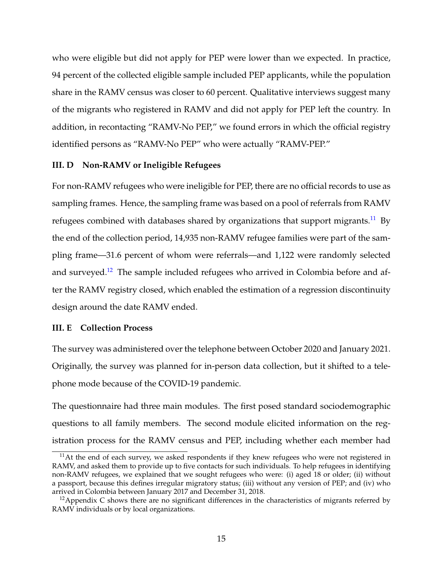who were eligible but did not apply for PEP were lower than we expected. In practice, 94 percent of the collected eligible sample included PEP applicants, while the population share in the RAMV census was closer to 60 percent. Qualitative interviews suggest many of the migrants who registered in RAMV and did not apply for PEP left the country. In addition, in recontacting "RAMV-No PEP," we found errors in which the official registry identified persons as "RAMV-No PEP" who were actually "RAMV-PEP."

#### **III. D Non-RAMV or Ineligible Refugees**

For non-RAMV refugees who were ineligible for PEP, there are no official records to use as sampling frames. Hence, the sampling frame was based on a pool of referrals from RAMV refugees combined with databases shared by organizations that support migrants.<sup>[11](#page-16-0)</sup> By the end of the collection period, 14,935 non-RAMV refugee families were part of the sampling frame—31.6 percent of whom were referrals—and 1,122 were randomly selected and surveyed.<sup>[12](#page-16-1)</sup> The sample included refugees who arrived in Colombia before and after the RAMV registry closed, which enabled the estimation of a regression discontinuity design around the date RAMV ended.

#### **III. E Collection Process**

The survey was administered over the telephone between October 2020 and January 2021. Originally, the survey was planned for in-person data collection, but it shifted to a telephone mode because of the COVID-19 pandemic.

The questionnaire had three main modules. The first posed standard sociodemographic questions to all family members. The second module elicited information on the registration process for the RAMV census and PEP, including whether each member had

<span id="page-16-0"></span> $11$ At the end of each survey, we asked respondents if they knew refugees who were not registered in RAMV, and asked them to provide up to five contacts for such individuals. To help refugees in identifying non-RAMV refugees, we explained that we sought refugees who were: (i) aged 18 or older; (ii) without a passport, because this defines irregular migratory status; (iii) without any version of PEP; and (iv) who arrived in Colombia between January 2017 and December 31, 2018.

<span id="page-16-1"></span> $12$ Appendix C shows there are no significant differences in the characteristics of migrants referred by RAMV individuals or by local organizations.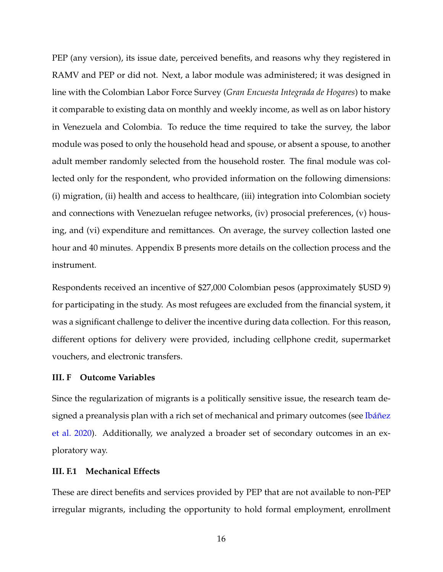PEP (any version), its issue date, perceived benefits, and reasons why they registered in RAMV and PEP or did not. Next, a labor module was administered; it was designed in line with the Colombian Labor Force Survey (*Gran Encuesta Integrada de Hogares*) to make it comparable to existing data on monthly and weekly income, as well as on labor history in Venezuela and Colombia. To reduce the time required to take the survey, the labor module was posed to only the household head and spouse, or absent a spouse, to another adult member randomly selected from the household roster. The final module was collected only for the respondent, who provided information on the following dimensions: (i) migration, (ii) health and access to healthcare, (iii) integration into Colombian society and connections with Venezuelan refugee networks, (iv) prosocial preferences, (v) housing, and (vi) expenditure and remittances. On average, the survey collection lasted one hour and 40 minutes. Appendix B presents more details on the collection process and the instrument.

Respondents received an incentive of \$27,000 Colombian pesos (approximately \$USD 9) for participating in the study. As most refugees are excluded from the financial system, it was a significant challenge to deliver the incentive during data collection. For this reason, different options for delivery were provided, including cellphone credit, supermarket vouchers, and electronic transfers.

#### **III. F Outcome Variables**

Since the regularization of migrants is a politically sensitive issue, the research team designed a preanalysis plan with a rich set of mechanical and primary outcomes (see Ibáñez [et al.](#page-35-0) [2020\)](#page-35-0). Additionally, we analyzed a broader set of secondary outcomes in an exploratory way.

#### **III. F.1 Mechanical Effects**

These are direct benefits and services provided by PEP that are not available to non-PEP irregular migrants, including the opportunity to hold formal employment, enrollment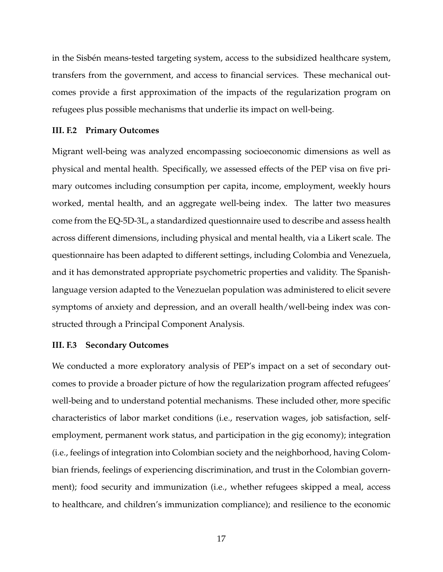in the Sisbén means-tested targeting system, access to the subsidized healthcare system, transfers from the government, and access to financial services. These mechanical outcomes provide a first approximation of the impacts of the regularization program on refugees plus possible mechanisms that underlie its impact on well-being.

#### **III. F.2 Primary Outcomes**

Migrant well-being was analyzed encompassing socioeconomic dimensions as well as physical and mental health. Specifically, we assessed effects of the PEP visa on five primary outcomes including consumption per capita, income, employment, weekly hours worked, mental health, and an aggregate well-being index. The latter two measures come from the EQ-5D-3L, a standardized questionnaire used to describe and assess health across different dimensions, including physical and mental health, via a Likert scale. The questionnaire has been adapted to different settings, including Colombia and Venezuela, and it has demonstrated appropriate psychometric properties and validity. The Spanishlanguage version adapted to the Venezuelan population was administered to elicit severe symptoms of anxiety and depression, and an overall health/well-being index was constructed through a Principal Component Analysis.

#### **III. F.3 Secondary Outcomes**

We conducted a more exploratory analysis of PEP's impact on a set of secondary outcomes to provide a broader picture of how the regularization program affected refugees' well-being and to understand potential mechanisms. These included other, more specific characteristics of labor market conditions (i.e., reservation wages, job satisfaction, selfemployment, permanent work status, and participation in the gig economy); integration (i.e., feelings of integration into Colombian society and the neighborhood, having Colombian friends, feelings of experiencing discrimination, and trust in the Colombian government); food security and immunization (i.e., whether refugees skipped a meal, access to healthcare, and children's immunization compliance); and resilience to the economic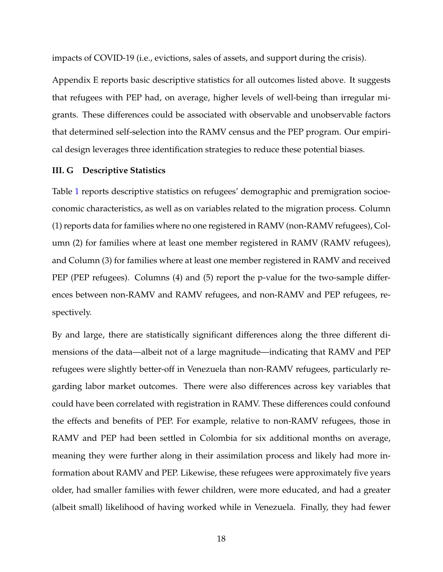impacts of COVID-19 (i.e., evictions, sales of assets, and support during the crisis).

Appendix E reports basic descriptive statistics for all outcomes listed above. It suggests that refugees with PEP had, on average, higher levels of well-being than irregular migrants. These differences could be associated with observable and unobservable factors that determined self-selection into the RAMV census and the PEP program. Our empirical design leverages three identification strategies to reduce these potential biases.

#### **III. G Descriptive Statistics**

Table [1](#page-44-0) reports descriptive statistics on refugees' demographic and premigration socioeconomic characteristics, as well as on variables related to the migration process. Column (1) reports data for families where no one registered in RAMV (non-RAMV refugees), Column (2) for families where at least one member registered in RAMV (RAMV refugees), and Column (3) for families where at least one member registered in RAMV and received PEP (PEP refugees). Columns (4) and (5) report the p-value for the two-sample differences between non-RAMV and RAMV refugees, and non-RAMV and PEP refugees, respectively.

By and large, there are statistically significant differences along the three different dimensions of the data—albeit not of a large magnitude—indicating that RAMV and PEP refugees were slightly better-off in Venezuela than non-RAMV refugees, particularly regarding labor market outcomes. There were also differences across key variables that could have been correlated with registration in RAMV. These differences could confound the effects and benefits of PEP. For example, relative to non-RAMV refugees, those in RAMV and PEP had been settled in Colombia for six additional months on average, meaning they were further along in their assimilation process and likely had more information about RAMV and PEP. Likewise, these refugees were approximately five years older, had smaller families with fewer children, were more educated, and had a greater (albeit small) likelihood of having worked while in Venezuela. Finally, they had fewer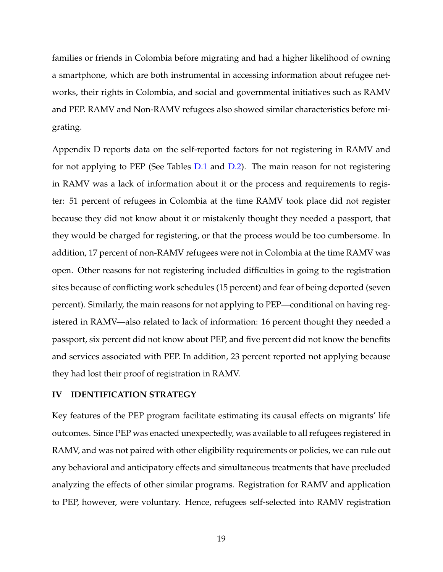families or friends in Colombia before migrating and had a higher likelihood of owning a smartphone, which are both instrumental in accessing information about refugee networks, their rights in Colombia, and social and governmental initiatives such as RAMV and PEP. RAMV and Non-RAMV refugees also showed similar characteristics before migrating.

Appendix D reports data on the self-reported factors for not registering in RAMV and for not applying to PEP (See Tables [D.1](#page-57-0) and [D.2\)](#page-57-1). The main reason for not registering in RAMV was a lack of information about it or the process and requirements to register: 51 percent of refugees in Colombia at the time RAMV took place did not register because they did not know about it or mistakenly thought they needed a passport, that they would be charged for registering, or that the process would be too cumbersome. In addition, 17 percent of non-RAMV refugees were not in Colombia at the time RAMV was open. Other reasons for not registering included difficulties in going to the registration sites because of conflicting work schedules (15 percent) and fear of being deported (seven percent). Similarly, the main reasons for not applying to PEP—conditional on having registered in RAMV—also related to lack of information: 16 percent thought they needed a passport, six percent did not know about PEP, and five percent did not know the benefits and services associated with PEP. In addition, 23 percent reported not applying because they had lost their proof of registration in RAMV.

#### **IV IDENTIFICATION STRATEGY**

Key features of the PEP program facilitate estimating its causal effects on migrants' life outcomes. Since PEP was enacted unexpectedly, was available to all refugees registered in RAMV, and was not paired with other eligibility requirements or policies, we can rule out any behavioral and anticipatory effects and simultaneous treatments that have precluded analyzing the effects of other similar programs. Registration for RAMV and application to PEP, however, were voluntary. Hence, refugees self-selected into RAMV registration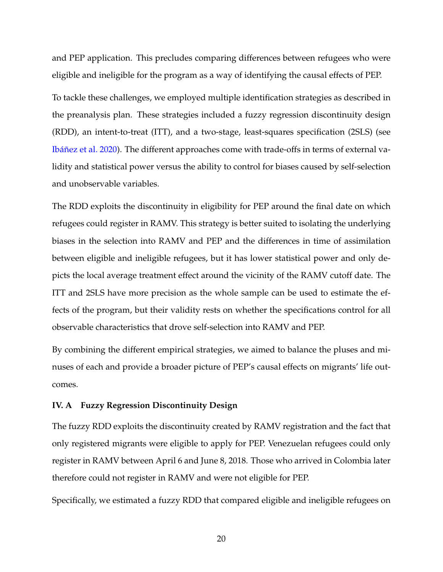and PEP application. This precludes comparing differences between refugees who were eligible and ineligible for the program as a way of identifying the causal effects of PEP. To tackle these challenges, we employed multiple identification strategies as described in the preanalysis plan. These strategies included a fuzzy regression discontinuity design (RDD), an intent-to-treat (ITT), and a two-stage, least-squares specification (2SLS) (see Ibáñez et al. [2020\)](#page-35-0). The different approaches come with trade-offs in terms of external validity and statistical power versus the ability to control for biases caused by self-selection and unobservable variables.

The RDD exploits the discontinuity in eligibility for PEP around the final date on which refugees could register in RAMV. This strategy is better suited to isolating the underlying biases in the selection into RAMV and PEP and the differences in time of assimilation between eligible and ineligible refugees, but it has lower statistical power and only depicts the local average treatment effect around the vicinity of the RAMV cutoff date. The ITT and 2SLS have more precision as the whole sample can be used to estimate the effects of the program, but their validity rests on whether the specifications control for all observable characteristics that drove self-selection into RAMV and PEP.

By combining the different empirical strategies, we aimed to balance the pluses and minuses of each and provide a broader picture of PEP's causal effects on migrants' life outcomes.

#### **IV. A Fuzzy Regression Discontinuity Design**

The fuzzy RDD exploits the discontinuity created by RAMV registration and the fact that only registered migrants were eligible to apply for PEP. Venezuelan refugees could only register in RAMV between April 6 and June 8, 2018. Those who arrived in Colombia later therefore could not register in RAMV and were not eligible for PEP.

Specifically, we estimated a fuzzy RDD that compared eligible and ineligible refugees on

20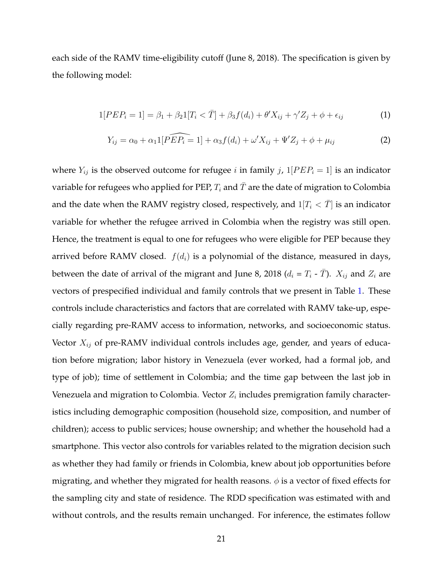each side of the RAMV time-eligibility cutoff (June 8, 2018). The specification is given by the following model:

$$
1[PEP_i = 1] = \beta_1 + \beta_2 1[T_i < \bar{T}] + \beta_3 f(d_i) + \theta' X_{ij} + \gamma' Z_j + \phi + \epsilon_{ij} \tag{1}
$$

$$
Y_{ij} = \alpha_0 + \alpha_1 1[\widehat{PEP_i} = 1] + \alpha_3 f(d_i) + \omega' X_{ij} + \Psi' Z_j + \phi + \mu_{ij}
$$
 (2)

where  $Y_{ij}$  is the observed outcome for refugee i in family j,  $1[PEP_i = 1]$  is an indicator variable for refugees who applied for PEP,  $T_i$  and  $\bar{T}$  are the date of migration to Colombia and the date when the RAMV registry closed, respectively, and  $1[T_i < \overline{T}]$  is an indicator variable for whether the refugee arrived in Colombia when the registry was still open. Hence, the treatment is equal to one for refugees who were eligible for PEP because they arrived before RAMV closed.  $f(d_i)$  is a polynomial of the distance, measured in days, between the date of arrival of the migrant and June 8, 2018 ( $d_i = T_i - \bar{T}$ ).  $X_{ij}$  and  $Z_i$  are vectors of prespecified individual and family controls that we present in Table [1.](#page-44-0) These controls include characteristics and factors that are correlated with RAMV take-up, especially regarding pre-RAMV access to information, networks, and socioeconomic status. Vector  $X_{ij}$  of pre-RAMV individual controls includes age, gender, and years of education before migration; labor history in Venezuela (ever worked, had a formal job, and type of job); time of settlement in Colombia; and the time gap between the last job in Venezuela and migration to Colombia. Vector  $Z_i$  includes premigration family characteristics including demographic composition (household size, composition, and number of children); access to public services; house ownership; and whether the household had a smartphone. This vector also controls for variables related to the migration decision such as whether they had family or friends in Colombia, knew about job opportunities before migrating, and whether they migrated for health reasons.  $\phi$  is a vector of fixed effects for the sampling city and state of residence. The RDD specification was estimated with and without controls, and the results remain unchanged. For inference, the estimates follow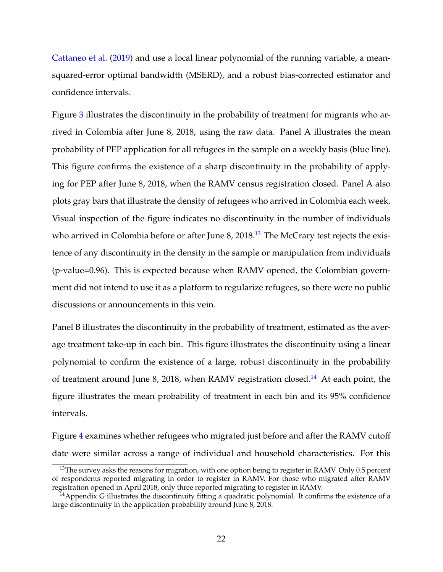[Cattaneo et al.](#page-34-6) [\(2019\)](#page-34-6) and use a local linear polynomial of the running variable, a meansquared-error optimal bandwidth (MSERD), and a robust bias-corrected estimator and confidence intervals.

Figure [3](#page-40-0) illustrates the discontinuity in the probability of treatment for migrants who arrived in Colombia after June 8, 2018, using the raw data. Panel A illustrates the mean probability of PEP application for all refugees in the sample on a weekly basis (blue line). This figure confirms the existence of a sharp discontinuity in the probability of applying for PEP after June 8, 2018, when the RAMV census registration closed. Panel A also plots gray bars that illustrate the density of refugees who arrived in Colombia each week. Visual inspection of the figure indicates no discontinuity in the number of individuals who arrived in Colombia before or after June 8,  $2018<sup>13</sup>$  $2018<sup>13</sup>$  $2018<sup>13</sup>$  The McCrary test rejects the existence of any discontinuity in the density in the sample or manipulation from individuals (p-value=0.96). This is expected because when RAMV opened, the Colombian government did not intend to use it as a platform to regularize refugees, so there were no public discussions or announcements in this vein.

Panel B illustrates the discontinuity in the probability of treatment, estimated as the average treatment take-up in each bin. This figure illustrates the discontinuity using a linear polynomial to confirm the existence of a large, robust discontinuity in the probability of treatment around June 8, 2018, when RAMV registration closed.<sup>[14](#page-23-1)</sup> At each point, the figure illustrates the mean probability of treatment in each bin and its 95% confidence intervals.

Figure [4](#page-41-0) examines whether refugees who migrated just before and after the RAMV cutoff date were similar across a range of individual and household characteristics. For this

<span id="page-23-0"></span><sup>&</sup>lt;sup>13</sup>The survey asks the reasons for migration, with one option being to register in RAMV. Only 0.5 percent of respondents reported migrating in order to register in RAMV. For those who migrated after RAMV registration opened in April 2018, only three reported migrating to register in RAMV.

<span id="page-23-1"></span> $14$ Appendix G illustrates the discontinuity fitting a quadratic polynomial. It confirms the existence of a large discontinuity in the application probability around June 8, 2018.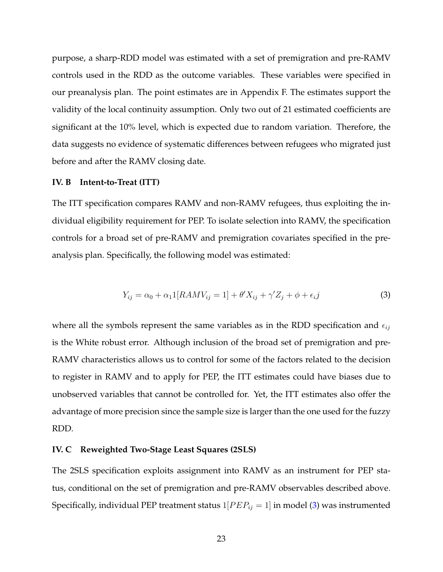purpose, a sharp-RDD model was estimated with a set of premigration and pre-RAMV controls used in the RDD as the outcome variables. These variables were specified in our preanalysis plan. The point estimates are in Appendix F. The estimates support the validity of the local continuity assumption. Only two out of 21 estimated coefficients are significant at the 10% level, which is expected due to random variation. Therefore, the data suggests no evidence of systematic differences between refugees who migrated just before and after the RAMV closing date.

#### **IV. B Intent-to-Treat (ITT)**

The ITT specification compares RAMV and non-RAMV refugees, thus exploiting the individual eligibility requirement for PEP. To isolate selection into RAMV, the specification controls for a broad set of pre-RAMV and premigration covariates specified in the preanalysis plan. Specifically, the following model was estimated:

<span id="page-24-1"></span><span id="page-24-0"></span>
$$
Y_{ij} = \alpha_0 + \alpha_1 1[RAMV_{ij} = 1] + \theta' X_{ij} + \gamma' Z_j + \phi + \epsilon_i j \tag{3}
$$

where all the symbols represent the same variables as in the RDD specification and  $\epsilon_{ij}$ is the White robust error. Although inclusion of the broad set of premigration and pre-RAMV characteristics allows us to control for some of the factors related to the decision to register in RAMV and to apply for PEP, the ITT estimates could have biases due to unobserved variables that cannot be controlled for. Yet, the ITT estimates also offer the advantage of more precision since the sample size is larger than the one used for the fuzzy RDD.

#### **IV. C Reweighted Two-Stage Least Squares (2SLS)**

The 2SLS specification exploits assignment into RAMV as an instrument for PEP status, conditional on the set of premigration and pre-RAMV observables described above. Specifically, individual PEP treatment status  $1[PEP_{ij} = 1]$  in model [\(3\)](#page-24-0) was instrumented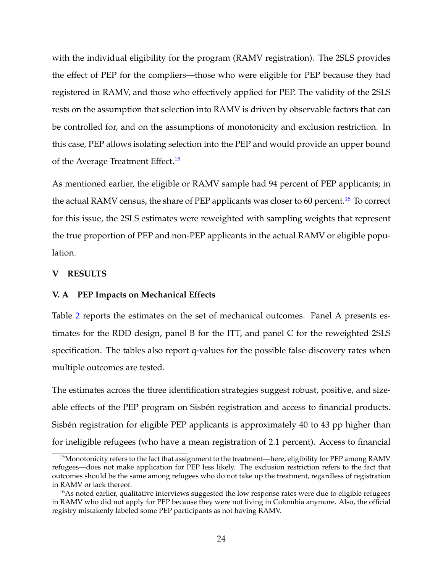with the individual eligibility for the program (RAMV registration). The 2SLS provides the effect of PEP for the compliers—those who were eligible for PEP because they had registered in RAMV, and those who effectively applied for PEP. The validity of the 2SLS rests on the assumption that selection into RAMV is driven by observable factors that can be controlled for, and on the assumptions of monotonicity and exclusion restriction. In this case, PEP allows isolating selection into the PEP and would provide an upper bound of the Average Treatment Effect.<sup>[15](#page-25-0)</sup>

As mentioned earlier, the eligible or RAMV sample had 94 percent of PEP applicants; in the actual RAMV census, the share of PEP applicants was closer to 60 percent.<sup>[16](#page-25-1)</sup> To correct for this issue, the 2SLS estimates were reweighted with sampling weights that represent the true proportion of PEP and non-PEP applicants in the actual RAMV or eligible population.

#### **V RESULTS**

#### **V. A PEP Impacts on Mechanical Effects**

Table [2](#page-45-0) reports the estimates on the set of mechanical outcomes. Panel A presents estimates for the RDD design, panel B for the ITT, and panel C for the reweighted 2SLS specification. The tables also report q-values for the possible false discovery rates when multiple outcomes are tested.

The estimates across the three identification strategies suggest robust, positive, and sizeable effects of the PEP program on Sisbén registration and access to financial products. Sisbén registration for eligible PEP applicants is approximately 40 to 43 pp higher than for ineligible refugees (who have a mean registration of 2.1 percent). Access to financial

<span id="page-25-0"></span><sup>&</sup>lt;sup>15</sup>Monotonicity refers to the fact that assignment to the treatment—here, eligibility for PEP among RAMV refugees—does not make application for PEP less likely. The exclusion restriction refers to the fact that outcomes should be the same among refugees who do not take up the treatment, regardless of registration in RAMV or lack thereof.

<span id="page-25-1"></span><sup>&</sup>lt;sup>16</sup>As noted earlier, qualitative interviews suggested the low response rates were due to eligible refugees in RAMV who did not apply for PEP because they were not living in Colombia anymore. Also, the official registry mistakenly labeled some PEP participants as not having RAMV.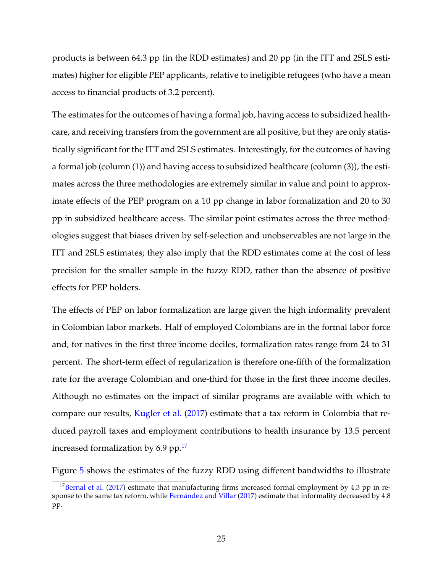products is between 64.3 pp (in the RDD estimates) and 20 pp (in the ITT and 2SLS estimates) higher for eligible PEP applicants, relative to ineligible refugees (who have a mean access to financial products of 3.2 percent).

The estimates for the outcomes of having a formal job, having access to subsidized healthcare, and receiving transfers from the government are all positive, but they are only statistically significant for the ITT and 2SLS estimates. Interestingly, for the outcomes of having a formal job (column (1)) and having access to subsidized healthcare (column (3)), the estimates across the three methodologies are extremely similar in value and point to approximate effects of the PEP program on a 10 pp change in labor formalization and 20 to 30 pp in subsidized healthcare access. The similar point estimates across the three methodologies suggest that biases driven by self-selection and unobservables are not large in the ITT and 2SLS estimates; they also imply that the RDD estimates come at the cost of less precision for the smaller sample in the fuzzy RDD, rather than the absence of positive effects for PEP holders.

The effects of PEP on labor formalization are large given the high informality prevalent in Colombian labor markets. Half of employed Colombians are in the formal labor force and, for natives in the first three income deciles, formalization rates range from 24 to 31 percent. The short-term effect of regularization is therefore one-fifth of the formalization rate for the average Colombian and one-third for those in the first three income deciles. Although no estimates on the impact of similar programs are available with which to compare our results, [Kugler et al.](#page-36-8) [\(2017\)](#page-36-8) estimate that a tax reform in Colombia that reduced payroll taxes and employment contributions to health insurance by 13.5 percent increased formalization by 6.9 pp. $^{17}$  $^{17}$  $^{17}$ 

Figure [5](#page-42-0) shows the estimates of the fuzzy RDD using different bandwidths to illustrate

<span id="page-26-0"></span><sup>&</sup>lt;sup>17</sup>[Bernal et al.](#page-34-7) [\(2017\)](#page-34-7) estimate that manufacturing firms increased formal employment by 4.3 pp in re-sponse to the same tax reform, while Fernández and Villar [\(2017\)](#page-35-8) estimate that informality decreased by 4.8 pp.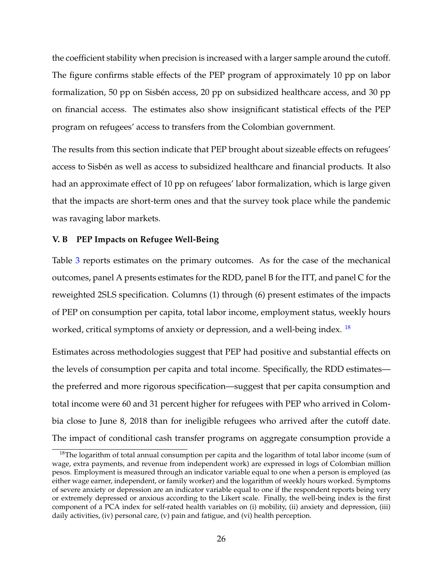the coefficient stability when precision is increased with a larger sample around the cutoff. The figure confirms stable effects of the PEP program of approximately 10 pp on labor formalization, 50 pp on Sisbén access, 20 pp on subsidized healthcare access, and 30 pp on financial access. The estimates also show insignificant statistical effects of the PEP program on refugees' access to transfers from the Colombian government.

The results from this section indicate that PEP brought about sizeable effects on refugees' access to Sisbén as well as access to subsidized healthcare and financial products. It also had an approximate effect of 10 pp on refugees' labor formalization, which is large given that the impacts are short-term ones and that the survey took place while the pandemic was ravaging labor markets.

#### **V. B PEP Impacts on Refugee Well-Being**

Table [3](#page-46-0) reports estimates on the primary outcomes. As for the case of the mechanical outcomes, panel A presents estimates for the RDD, panel B for the ITT, and panel C for the reweighted 2SLS specification. Columns (1) through (6) present estimates of the impacts of PEP on consumption per capita, total labor income, employment status, weekly hours worked, critical symptoms of anxiety or depression, and a well-being index.  $^{18}$  $^{18}$  $^{18}$ 

Estimates across methodologies suggest that PEP had positive and substantial effects on the levels of consumption per capita and total income. Specifically, the RDD estimates the preferred and more rigorous specification—suggest that per capita consumption and total income were 60 and 31 percent higher for refugees with PEP who arrived in Colombia close to June 8, 2018 than for ineligible refugees who arrived after the cutoff date. The impact of conditional cash transfer programs on aggregate consumption provide a

<span id="page-27-0"></span> $18$ The logarithm of total annual consumption per capita and the logarithm of total labor income (sum of wage, extra payments, and revenue from independent work) are expressed in logs of Colombian million pesos. Employment is measured through an indicator variable equal to one when a person is employed (as either wage earner, independent, or family worker) and the logarithm of weekly hours worked. Symptoms of severe anxiety or depression are an indicator variable equal to one if the respondent reports being very or extremely depressed or anxious according to the Likert scale. Finally, the well-being index is the first component of a PCA index for self-rated health variables on (i) mobility, (ii) anxiety and depression, (iii) daily activities, (iv) personal care, (v) pain and fatigue, and (vi) health perception.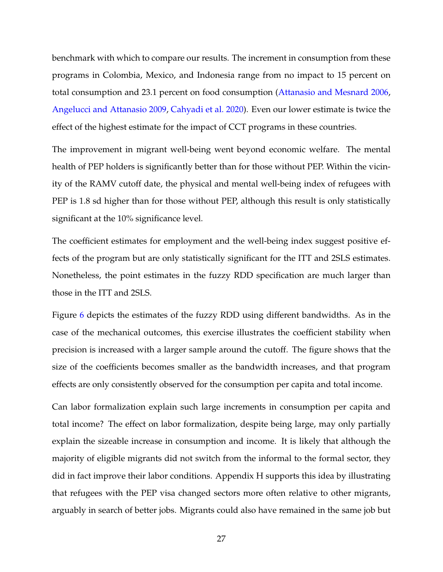benchmark with which to compare our results. The increment in consumption from these programs in Colombia, Mexico, and Indonesia range from no impact to 15 percent on total consumption and 23.1 percent on food consumption [\(Attanasio and Mesnard](#page-33-7) [2006,](#page-33-7) [Angelucci and Attanasio](#page-33-8) [2009,](#page-33-8) [Cahyadi et al.](#page-34-8) [2020\)](#page-34-8). Even our lower estimate is twice the effect of the highest estimate for the impact of CCT programs in these countries.

The improvement in migrant well-being went beyond economic welfare. The mental health of PEP holders is significantly better than for those without PEP. Within the vicinity of the RAMV cutoff date, the physical and mental well-being index of refugees with PEP is 1.8 sd higher than for those without PEP, although this result is only statistically significant at the 10% significance level.

The coefficient estimates for employment and the well-being index suggest positive effects of the program but are only statistically significant for the ITT and 2SLS estimates. Nonetheless, the point estimates in the fuzzy RDD specification are much larger than those in the ITT and 2SLS.

Figure [6](#page-43-0) depicts the estimates of the fuzzy RDD using different bandwidths. As in the case of the mechanical outcomes, this exercise illustrates the coefficient stability when precision is increased with a larger sample around the cutoff. The figure shows that the size of the coefficients becomes smaller as the bandwidth increases, and that program effects are only consistently observed for the consumption per capita and total income.

Can labor formalization explain such large increments in consumption per capita and total income? The effect on labor formalization, despite being large, may only partially explain the sizeable increase in consumption and income. It is likely that although the majority of eligible migrants did not switch from the informal to the formal sector, they did in fact improve their labor conditions. Appendix H supports this idea by illustrating that refugees with the PEP visa changed sectors more often relative to other migrants, arguably in search of better jobs. Migrants could also have remained in the same job but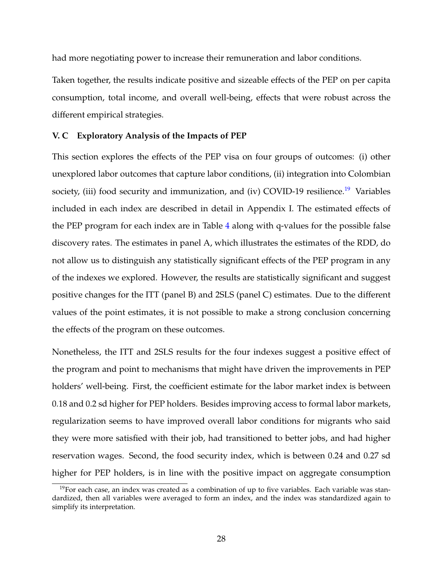had more negotiating power to increase their remuneration and labor conditions.

Taken together, the results indicate positive and sizeable effects of the PEP on per capita consumption, total income, and overall well-being, effects that were robust across the different empirical strategies.

#### **V. C Exploratory Analysis of the Impacts of PEP**

This section explores the effects of the PEP visa on four groups of outcomes: (i) other unexplored labor outcomes that capture labor conditions, (ii) integration into Colombian society, (iii) food security and immunization, and (iv) COVID-[19](#page-29-0) resilience.<sup>19</sup> Variables included in each index are described in detail in Appendix I. The estimated effects of the PEP program for each index are in Table [4](#page-47-0) along with q-values for the possible false discovery rates. The estimates in panel A, which illustrates the estimates of the RDD, do not allow us to distinguish any statistically significant effects of the PEP program in any of the indexes we explored. However, the results are statistically significant and suggest positive changes for the ITT (panel B) and 2SLS (panel C) estimates. Due to the different values of the point estimates, it is not possible to make a strong conclusion concerning the effects of the program on these outcomes.

Nonetheless, the ITT and 2SLS results for the four indexes suggest a positive effect of the program and point to mechanisms that might have driven the improvements in PEP holders' well-being. First, the coefficient estimate for the labor market index is between 0.18 and 0.2 sd higher for PEP holders. Besides improving access to formal labor markets, regularization seems to have improved overall labor conditions for migrants who said they were more satisfied with their job, had transitioned to better jobs, and had higher reservation wages. Second, the food security index, which is between 0.24 and 0.27 sd higher for PEP holders, is in line with the positive impact on aggregate consumption

<span id="page-29-0"></span> $19$ For each case, an index was created as a combination of up to five variables. Each variable was standardized, then all variables were averaged to form an index, and the index was standardized again to simplify its interpretation.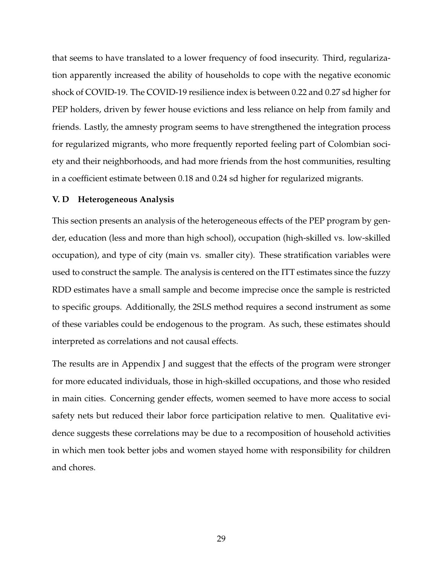that seems to have translated to a lower frequency of food insecurity. Third, regularization apparently increased the ability of households to cope with the negative economic shock of COVID-19. The COVID-19 resilience index is between 0.22 and 0.27 sd higher for PEP holders, driven by fewer house evictions and less reliance on help from family and friends. Lastly, the amnesty program seems to have strengthened the integration process for regularized migrants, who more frequently reported feeling part of Colombian society and their neighborhoods, and had more friends from the host communities, resulting in a coefficient estimate between 0.18 and 0.24 sd higher for regularized migrants.

#### **V. D Heterogeneous Analysis**

This section presents an analysis of the heterogeneous effects of the PEP program by gender, education (less and more than high school), occupation (high-skilled vs. low-skilled occupation), and type of city (main vs. smaller city). These stratification variables were used to construct the sample. The analysis is centered on the ITT estimates since the fuzzy RDD estimates have a small sample and become imprecise once the sample is restricted to specific groups. Additionally, the 2SLS method requires a second instrument as some of these variables could be endogenous to the program. As such, these estimates should interpreted as correlations and not causal effects.

The results are in Appendix J and suggest that the effects of the program were stronger for more educated individuals, those in high-skilled occupations, and those who resided in main cities. Concerning gender effects, women seemed to have more access to social safety nets but reduced their labor force participation relative to men. Qualitative evidence suggests these correlations may be due to a recomposition of household activities in which men took better jobs and women stayed home with responsibility for children and chores.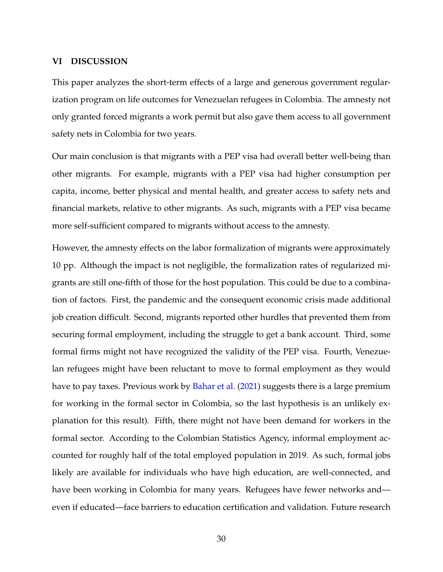#### **VI DISCUSSION**

This paper analyzes the short-term effects of a large and generous government regularization program on life outcomes for Venezuelan refugees in Colombia. The amnesty not only granted forced migrants a work permit but also gave them access to all government safety nets in Colombia for two years.

Our main conclusion is that migrants with a PEP visa had overall better well-being than other migrants. For example, migrants with a PEP visa had higher consumption per capita, income, better physical and mental health, and greater access to safety nets and financial markets, relative to other migrants. As such, migrants with a PEP visa became more self-sufficient compared to migrants without access to the amnesty.

However, the amnesty effects on the labor formalization of migrants were approximately 10 pp. Although the impact is not negligible, the formalization rates of regularized migrants are still one-fifth of those for the host population. This could be due to a combination of factors. First, the pandemic and the consequent economic crisis made additional job creation difficult. Second, migrants reported other hurdles that prevented them from securing formal employment, including the struggle to get a bank account. Third, some formal firms might not have recognized the validity of the PEP visa. Fourth, Venezuelan refugees might have been reluctant to move to formal employment as they would have to pay taxes. Previous work by [Bahar et al.](#page-34-0) [\(2021\)](#page-34-0) suggests there is a large premium for working in the formal sector in Colombia, so the last hypothesis is an unlikely explanation for this result). Fifth, there might not have been demand for workers in the formal sector. According to the Colombian Statistics Agency, informal employment accounted for roughly half of the total employed population in 2019. As such, formal jobs likely are available for individuals who have high education, are well-connected, and have been working in Colombia for many years. Refugees have fewer networks and even if educated—face barriers to education certification and validation. Future research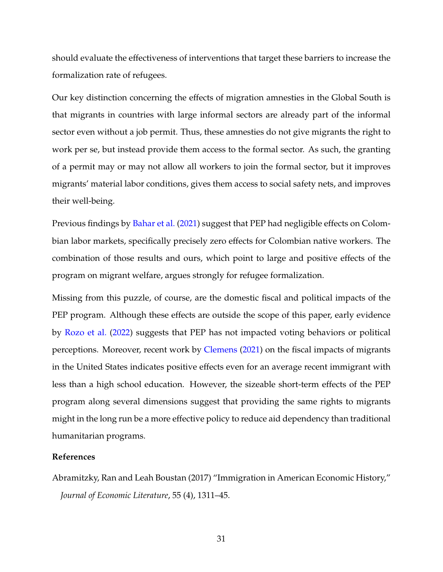should evaluate the effectiveness of interventions that target these barriers to increase the formalization rate of refugees.

Our key distinction concerning the effects of migration amnesties in the Global South is that migrants in countries with large informal sectors are already part of the informal sector even without a job permit. Thus, these amnesties do not give migrants the right to work per se, but instead provide them access to the formal sector. As such, the granting of a permit may or may not allow all workers to join the formal sector, but it improves migrants' material labor conditions, gives them access to social safety nets, and improves their well-being.

Previous findings by [Bahar et al.](#page-34-0) [\(2021\)](#page-34-0) suggest that PEP had negligible effects on Colombian labor markets, specifically precisely zero effects for Colombian native workers. The combination of those results and ours, which point to large and positive effects of the program on migrant welfare, argues strongly for refugee formalization.

Missing from this puzzle, of course, are the domestic fiscal and political impacts of the PEP program. Although these effects are outside the scope of this paper, early evidence by [Rozo et al.](#page-37-6) [\(2022\)](#page-37-6) suggests that PEP has not impacted voting behaviors or political perceptions. Moreover, recent work by [Clemens](#page-34-9) [\(2021\)](#page-34-9) on the fiscal impacts of migrants in the United States indicates positive effects even for an average recent immigrant with less than a high school education. However, the sizeable short-term effects of the PEP program along several dimensions suggest that providing the same rights to migrants might in the long run be a more effective policy to reduce aid dependency than traditional humanitarian programs.

#### <span id="page-32-0"></span>**References**

Abramitzky, Ran and Leah Boustan (2017) "Immigration in American Economic History," *Journal of Economic Literature*, 55 (4), 1311–45.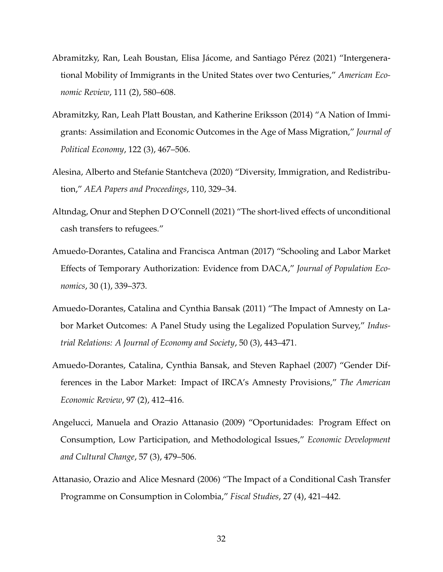- <span id="page-33-6"></span>Abramitzky, Ran, Leah Boustan, Elisa Jácome, and Santiago Pérez (2021) "Intergenerational Mobility of Immigrants in the United States over two Centuries," *American Economic Review*, 111 (2), 580–608.
- <span id="page-33-5"></span>Abramitzky, Ran, Leah Platt Boustan, and Katherine Eriksson (2014) "A Nation of Immigrants: Assimilation and Economic Outcomes in the Age of Mass Migration," *Journal of Political Economy*, 122 (3), 467–506.
- <span id="page-33-4"></span>Alesina, Alberto and Stefanie Stantcheva (2020) "Diversity, Immigration, and Redistribution," *AEA Papers and Proceedings*, 110, 329–34.
- <span id="page-33-0"></span>Altındag, Onur and Stephen D O'Connell (2021) "The short-lived effects of unconditional cash transfers to refugees."
- <span id="page-33-1"></span>Amuedo-Dorantes, Catalina and Francisca Antman (2017) "Schooling and Labor Market Effects of Temporary Authorization: Evidence from DACA," *Journal of Population Economics*, 30 (1), 339–373.
- <span id="page-33-2"></span>Amuedo-Dorantes, Catalina and Cynthia Bansak (2011) "The Impact of Amnesty on Labor Market Outcomes: A Panel Study using the Legalized Population Survey," *Industrial Relations: A Journal of Economy and Society*, 50 (3), 443–471.
- <span id="page-33-3"></span>Amuedo-Dorantes, Catalina, Cynthia Bansak, and Steven Raphael (2007) "Gender Differences in the Labor Market: Impact of IRCA's Amnesty Provisions," *The American Economic Review*, 97 (2), 412–416.
- <span id="page-33-8"></span>Angelucci, Manuela and Orazio Attanasio (2009) "Oportunidades: Program Effect on Consumption, Low Participation, and Methodological Issues," *Economic Development and Cultural Change*, 57 (3), 479–506.
- <span id="page-33-7"></span>Attanasio, Orazio and Alice Mesnard (2006) "The Impact of a Conditional Cash Transfer Programme on Consumption in Colombia," *Fiscal Studies*, 27 (4), 421–442.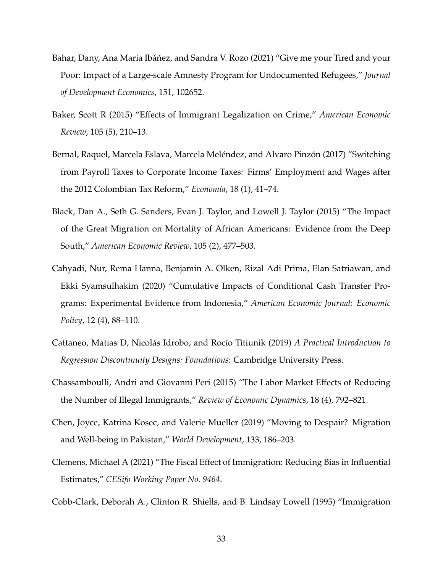- <span id="page-34-0"></span>Bahar, Dany, Ana María Ibáñez, and Sandra V. Rozo (2021) "Give me your Tired and your Poor: Impact of a Large-scale Amnesty Program for Undocumented Refugees," *Journal of Development Economics*, 151, 102652.
- <span id="page-34-3"></span>Baker, Scott R (2015) "Effects of Immigrant Legalization on Crime," *American Economic Review*, 105 (5), 210–13.
- <span id="page-34-7"></span>Bernal, Raquel, Marcela Eslava, Marcela Meléndez, and Alvaro Pinzón (2017) "Switching from Payroll Taxes to Corporate Income Taxes: Firms' Employment and Wages after the 2012 Colombian Tax Reform," *Econom´ıa*, 18 (1), 41–74.
- <span id="page-34-4"></span>Black, Dan A., Seth G. Sanders, Evan J. Taylor, and Lowell J. Taylor (2015) "The Impact of the Great Migration on Mortality of African Americans: Evidence from the Deep South," *American Economic Review*, 105 (2), 477–503.
- <span id="page-34-8"></span>Cahyadi, Nur, Rema Hanna, Benjamin A. Olken, Rizal Adi Prima, Elan Satriawan, and Ekki Syamsulhakim (2020) "Cumulative Impacts of Conditional Cash Transfer Programs: Experimental Evidence from Indonesia," *American Economic Journal: Economic Policy*, 12 (4), 88–110.
- <span id="page-34-6"></span>Cattaneo, Matias D, Nicolás Idrobo, and Rocío Titiunik (2019) *A Practical Introduction to Regression Discontinuity Designs: Foundations*: Cambridge University Press.
- <span id="page-34-2"></span>Chassamboulli, Andri and Giovanni Peri (2015) "The Labor Market Effects of Reducing the Number of Illegal Immigrants," *Review of Economic Dynamics*, 18 (4), 792–821.
- <span id="page-34-5"></span>Chen, Joyce, Katrina Kosec, and Valerie Mueller (2019) "Moving to Despair? Migration and Well-being in Pakistan," *World Development*, 133, 186–203.
- <span id="page-34-9"></span>Clemens, Michael A (2021) "The Fiscal Effect of Immigration: Reducing Bias in Influential Estimates," *CESifo Working Paper No. 9464*.
- <span id="page-34-1"></span>Cobb-Clark, Deborah A., Clinton R. Shiells, and B. Lindsay Lowell (1995) "Immigration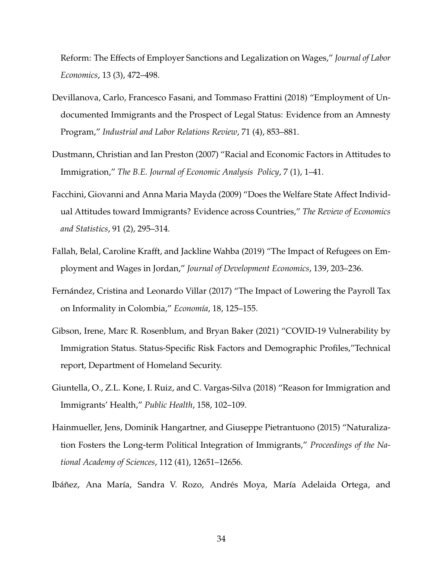Reform: The Effects of Employer Sanctions and Legalization on Wages," *Journal of Labor Economics*, 13 (3), 472–498.

- <span id="page-35-1"></span>Devillanova, Carlo, Francesco Fasani, and Tommaso Frattini (2018) "Employment of Undocumented Immigrants and the Prospect of Legal Status: Evidence from an Amnesty Program," *Industrial and Labor Relations Review*, 71 (4), 853–881.
- <span id="page-35-4"></span>Dustmann, Christian and Ian Preston (2007) "Racial and Economic Factors in Attitudes to Immigration," *The B.E. Journal of Economic Analysis Policy*, 7 (1), 1–41.
- <span id="page-35-5"></span>Facchini, Giovanni and Anna Maria Mayda (2009) "Does the Welfare State Affect Individual Attitudes toward Immigrants? Evidence across Countries," *The Review of Economics and Statistics*, 91 (2), 295–314.
- <span id="page-35-2"></span>Fallah, Belal, Caroline Krafft, and Jackline Wahba (2019) "The Impact of Refugees on Employment and Wages in Jordan," *Journal of Development Economics*, 139, 203–236.
- <span id="page-35-8"></span>Fernández, Cristina and Leonardo Villar (2017) "The Impact of Lowering the Payroll Tax on Informality in Colombia," *Economía*, 18, 125-155.
- <span id="page-35-7"></span>Gibson, Irene, Marc R. Rosenblum, and Bryan Baker (2021) "COVID-19 Vulnerability by Immigration Status. Status-Specific Risk Factors and Demographic Profiles,"Technical report, Department of Homeland Security.
- <span id="page-35-3"></span>Giuntella, O., Z.L. Kone, I. Ruiz, and C. Vargas-Silva (2018) "Reason for Immigration and Immigrants' Health," *Public Health*, 158, 102–109.
- <span id="page-35-6"></span>Hainmueller, Jens, Dominik Hangartner, and Giuseppe Pietrantuono (2015) "Naturalization Fosters the Long-term Political Integration of Immigrants," *Proceedings of the National Academy of Sciences*, 112 (41), 12651–12656.
- <span id="page-35-0"></span>Ibáñez, Ana María, Sandra V. Rozo, Andrés Moya, María Adelaida Ortega, and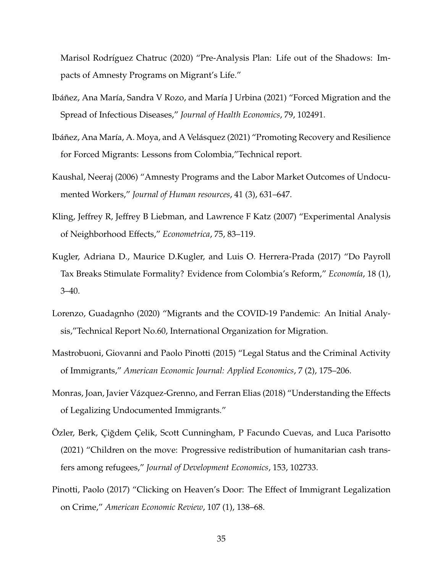Marisol Rodríguez Chatruc (2020) "Pre-Analysis Plan: Life out of the Shadows: Impacts of Amnesty Programs on Migrant's Life."

- <span id="page-36-7"></span>Ibáñez, Ana María, Sandra V Rozo, and María J Urbina (2021) "Forced Migration and the Spread of Infectious Diseases," *Journal of Health Economics*, 79, 102491.
- <span id="page-36-1"></span>Ibáñez, Ana María, A. Moya, and A Velásquez (2021) "Promoting Recovery and Resilience for Forced Migrants: Lessons from Colombia,"Technical report.
- <span id="page-36-2"></span>Kaushal, Neeraj (2006) "Amnesty Programs and the Labor Market Outcomes of Undocumented Workers," *Journal of Human resources*, 41 (3), 631–647.
- <span id="page-36-9"></span>Kling, Jeffrey R, Jeffrey B Liebman, and Lawrence F Katz (2007) "Experimental Analysis of Neighborhood Effects," *Econometrica*, 75, 83–119.
- <span id="page-36-8"></span>Kugler, Adriana D., Maurice D.Kugler, and Luis O. Herrera-Prada (2017) "Do Payroll Tax Breaks Stimulate Formality? Evidence from Colombia's Reform," *Econom´ıa*, 18 (1), 3–40.
- <span id="page-36-6"></span>Lorenzo, Guadagnho (2020) "Migrants and the COVID-19 Pandemic: An Initial Analysis,"Technical Report No.60, International Organization for Migration.
- <span id="page-36-4"></span>Mastrobuoni, Giovanni and Paolo Pinotti (2015) "Legal Status and the Criminal Activity of Immigrants," *American Economic Journal: Applied Economics*, 7 (2), 175–206.
- <span id="page-36-3"></span>Monras, Joan, Javier Vázquez-Grenno, and Ferran Elias (2018) "Understanding the Effects of Legalizing Undocumented Immigrants."
- <span id="page-36-0"></span>Ozler, Berk, Çiğdem Çelik, Scott Cunningham, P Facundo Cuevas, and Luca Parisotto (2021) "Children on the move: Progressive redistribution of humanitarian cash transfers among refugees," *Journal of Development Economics*, 153, 102733.
- <span id="page-36-5"></span>Pinotti, Paolo (2017) "Clicking on Heaven's Door: The Effect of Immigrant Legalization on Crime," *American Economic Review*, 107 (1), 138–68.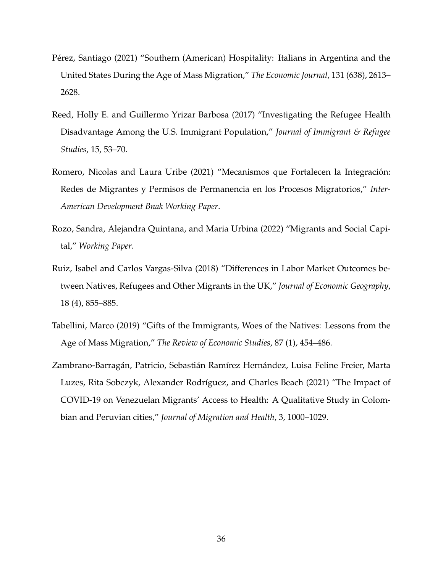- <span id="page-37-3"></span>Pérez, Santiago (2021) "Southern (American) Hospitality: Italians in Argentina and the United States During the Age of Mass Migration," *The Economic Journal*, 131 (638), 2613– 2628.
- <span id="page-37-0"></span>Reed, Holly E. and Guillermo Yrizar Barbosa (2017) "Investigating the Refugee Health Disadvantage Among the U.S. Immigrant Population," *Journal of Immigrant & Refugee Studies*, 15, 53–70.
- <span id="page-37-5"></span>Romero, Nicolas and Laura Uribe (2021) "Mecanismos que Fortalecen la Integracion: ´ Redes de Migrantes y Permisos de Permanencia en los Procesos Migratorios," *Inter-American Development Bnak Working Paper*.
- <span id="page-37-6"></span>Rozo, Sandra, Alejandra Quintana, and Maria Urbina (2022) "Migrants and Social Capital," *Working Paper*.
- <span id="page-37-1"></span>Ruiz, Isabel and Carlos Vargas-Silva (2018) "Differences in Labor Market Outcomes between Natives, Refugees and Other Migrants in the UK," *Journal of Economic Geography*, 18 (4), 855–885.
- <span id="page-37-2"></span>Tabellini, Marco (2019) "Gifts of the Immigrants, Woes of the Natives: Lessons from the Age of Mass Migration," *The Review of Economic Studies*, 87 (1), 454–486.
- <span id="page-37-4"></span>Zambrano-Barragán, Patricio, Sebastián Ramírez Hernández, Luisa Feline Freier, Marta Luzes, Rita Sobczyk, Alexander Rodríguez, and Charles Beach (2021) "The Impact of COVID-19 on Venezuelan Migrants' Access to Health: A Qualitative Study in Colombian and Peruvian cities," *Journal of Migration and Health*, 3, 1000–1029.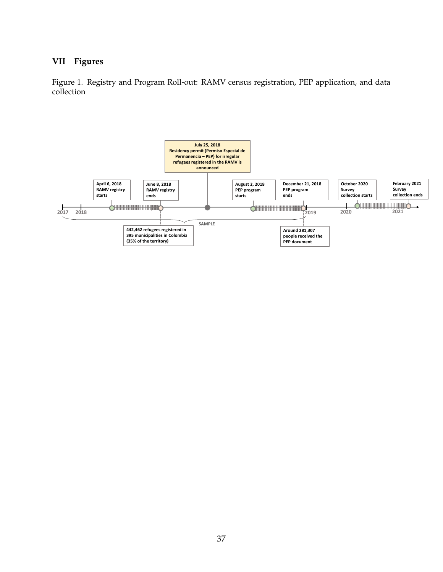### **VII Figures**

<span id="page-38-0"></span>Figure 1. Registry and Program Roll-out: RAMV census registration, PEP application, and data collection

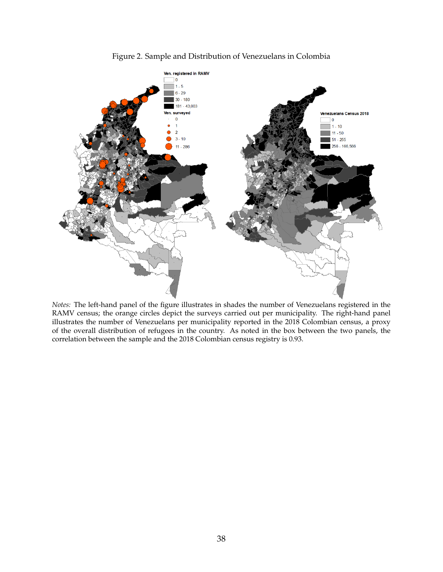<span id="page-39-0"></span>

Figure 2. Sample and Distribution of Venezuelans in Colombia

*Notes:* The left-hand panel of the figure illustrates in shades the number of Venezuelans registered in the RAMV census; the orange circles depict the surveys carried out per municipality. The right-hand panel illustrates the number of Venezuelans per municipality reported in the 2018 Colombian census, a proxy of the overall distribution of refugees in the country. As noted in the box between the two panels, the correlation between the sample and the 2018 Colombian census registry is 0.93.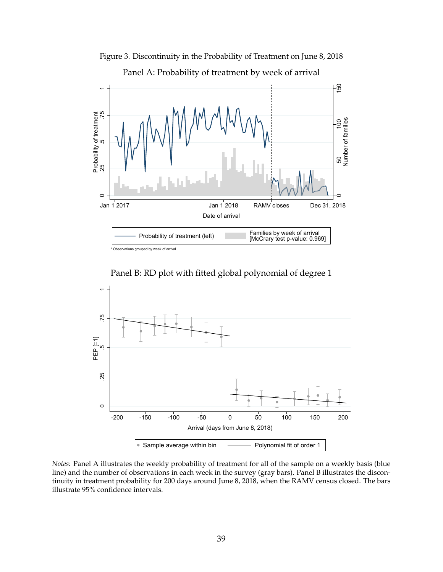<span id="page-40-0"></span>

Figure 3. Discontinuity in the Probability of Treatment on June 8, 2018

\* Observations grouped by week of arrival

Panel B: RD plot with fitted global polynomial of degree 1



*Notes:* Panel A illustrates the weekly probability of treatment for all of the sample on a weekly basis (blue line) and the number of observations in each week in the survey (gray bars). Panel B illustrates the discontinuity in treatment probability for 200 days around June 8, 2018, when the RAMV census closed. The bars illustrate 95% confidence intervals.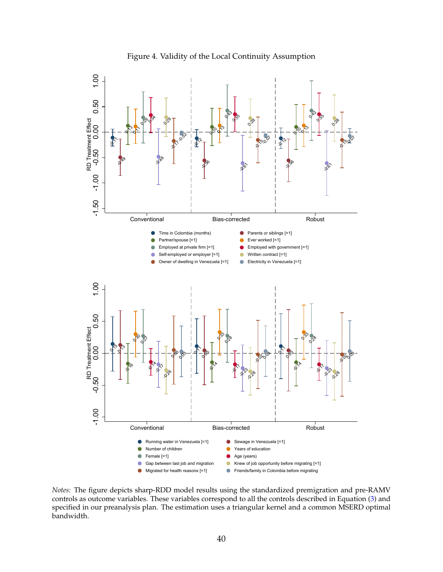<span id="page-41-0"></span>

Figure 4. Validity of the Local Continuity Assumption

*Notes:* The figure depicts sharp-RDD model results using the standardized premigration and pre-RAMV controls as outcome variables. These variables correspond to all the controls described in Equation [\(3\)](#page-24-0) and specified in our preanalysis plan. The estimation uses a triangular kernel and a common MSERD optimal bandwidth.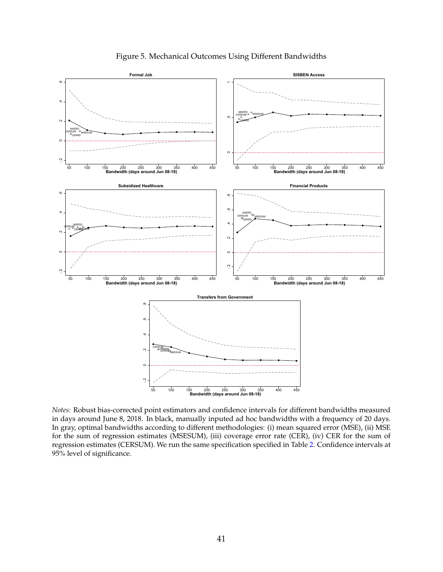<span id="page-42-0"></span>

Figure 5. Mechanical Outcomes Using Different Bandwidths

*Notes:* Robust bias-corrected point estimators and confidence intervals for different bandwidths measured in days around June 8, 2018. In black, manually inputed ad hoc bandwidths with a frequency of 20 days. In gray, optimal bandwidths according to different methodologies: (i) mean squared error (MSE), (ii) MSE for the sum of regression estimates (MSESUM), (iii) coverage error rate (CER), (iv) CER for the sum of regression estimates (CERSUM). We run the same specification specified in Table [2.](#page-45-0) Confidence intervals at 95% level of significance.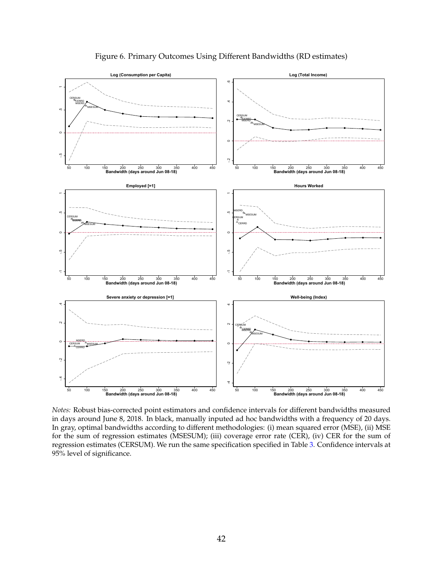<span id="page-43-0"></span>

Figure 6. Primary Outcomes Using Different Bandwidths (RD estimates)

*Notes:* Robust bias-corrected point estimators and confidence intervals for different bandwidths measured in days around June 8, 2018. In black, manually inputed ad hoc bandwidths with a frequency of 20 days. In gray, optimal bandwidths according to different methodologies: (i) mean squared error (MSE), (ii) MSE for the sum of regression estimates (MSESUM); (iii) coverage error rate (CER), (iv) CER for the sum of regression estimates (CERSUM). We run the same specification specified in Table [3.](#page-46-0) Confidence intervals at 95% level of significance.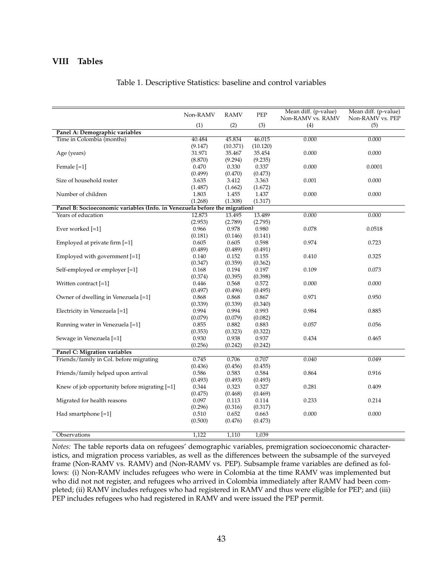#### <span id="page-44-0"></span>**VIII Tables**

|  | Table 1. Descriptive Statistics: baseline and control variables |  |  |  |  |  |
|--|-----------------------------------------------------------------|--|--|--|--|--|
|--|-----------------------------------------------------------------|--|--|--|--|--|

|                                                                            | Non-RAMV | <b>RAMV</b> | PEP      | Mean diff. (p-value)     | Mean diff. (p-value)    |
|----------------------------------------------------------------------------|----------|-------------|----------|--------------------------|-------------------------|
|                                                                            | (1)      | (2)         | (3)      | Non-RAMV vs. RAMV<br>(4) | Non-RAMV vs. PEP<br>(5) |
| Panel A: Demographic variables                                             |          |             |          |                          |                         |
| Time in Colombia (months)                                                  | 40.484   | 45.834      | 46.015   | 0.000                    | 0.000                   |
|                                                                            | (9.147)  | (10.371)    | (10.120) |                          |                         |
| Age (years)                                                                | 31.971   | 35.467      | 35.454   | 0.000                    | 0.000                   |
|                                                                            | (8.870)  | (9.294)     | (9.235)  |                          |                         |
| Female [=1]                                                                | 0.470    | 0.330       | 0.337    | 0.000                    | 0.0001                  |
|                                                                            | (0.499)  | (0.470)     | (0.473)  |                          |                         |
| Size of household roster                                                   | 3.635    | 3.412       | 3.363    | 0.001                    | 0.000                   |
|                                                                            | (1.487)  | (1.662)     | (1.672)  |                          |                         |
| Number of children                                                         | 1.803    | 1.455       | 1.437    | 0.000                    | 0.000                   |
|                                                                            | (1.268)  | (1.308)     | (1.317)  |                          |                         |
| Panel B: Socioeconomic variables (Info. in Venezuela before the migration) |          |             |          |                          |                         |
| Years of education                                                         | 12.873   | 13.495      | 13.489   | 0.000                    | 0.000                   |
|                                                                            | (2.953)  | (2.789)     | (2.795)  |                          |                         |
| Ever worked [=1]                                                           | 0.966    | 0.978       | 0.980    | 0.078                    | 0.0518                  |
|                                                                            | (0.181)  | (0.146)     | (0.141)  |                          |                         |
| Employed at private firm [=1]                                              | 0.605    | 0.605       | 0.598    | 0.974                    | 0.723                   |
|                                                                            | (0.489)  | (0.489)     | (0.491)  |                          |                         |
| Employed with government [=1]                                              | 0.140    | 0.152       | 0.155    | 0.410                    | 0.325                   |
|                                                                            | (0.347)  | (0.359)     | (0.362)  |                          |                         |
| Self-employed or employer [=1]                                             | 0.168    | 0.194       | 0.197    | 0.109                    | 0.073                   |
|                                                                            | (0.374)  | (0.395)     | (0.398)  |                          |                         |
| Written contract [=1]                                                      | 0.446    | 0.568       | 0.572    | 0.000                    | 0.000                   |
|                                                                            | (0.497)  | (0.496)     | (0.495)  |                          |                         |
| Owner of dwelling in Venezuela [=1]                                        | 0.868    | 0.868       | 0.867    | 0.971                    | 0.950                   |
|                                                                            | (0.339)  | (0.339)     | (0.340)  |                          |                         |
| Electricity in Venezuela [=1]                                              | 0.994    | 0.994       | 0.993    | 0.984                    | 0.885                   |
|                                                                            | (0.079)  | (0.079)     | (0.082)  |                          |                         |
| Running water in Venezuela [=1]                                            | 0.855    | 0.882       | 0.883    | 0.057                    | 0.056                   |
|                                                                            | (0.353)  | (0.323)     | (0.322)  |                          |                         |
| Sewage in Venezuela [=1]                                                   | 0.930    | 0.938       | 0.937    | 0.434                    | 0.465                   |
|                                                                            | (0.256)  | (0.242)     | (0.242)  |                          |                         |
| Panel C: Migration variables                                               |          |             |          |                          |                         |
| Friends/family in Col. before migrating                                    | 0.745    | 0.706       | 0.707    | 0.040                    | 0.049                   |
|                                                                            | (0.436)  | (0.456)     | (0.455)  |                          |                         |
| Friends/family helped upon arrival                                         | 0.586    | 0.583       | 0.584    | 0.864                    | 0.916                   |
|                                                                            | (0.493)  | (0.493)     | (0.493)  |                          |                         |
| Knew of job opportunity before migrating $[=1]$                            | 0.344    | 0.323       | 0.327    | 0.281                    | 0.409                   |
|                                                                            | (0.475)  | (0.468)     | (0.469)  |                          |                         |
| Migrated for health reasons                                                | 0.097    | 0.113       | 0.114    | 0.233                    | 0.214                   |
|                                                                            | (0.296)  | (0.316)     | (0.317)  |                          |                         |
| Had smartphone $[-1]$                                                      | 0.510    | 0.652       | 0.663    | 0.000                    | 0.000                   |
|                                                                            | (0.500)  | (0.476)     | (0.473)  |                          |                         |
|                                                                            |          |             |          |                          |                         |
| Observations                                                               | 1,122    | 1,110       | 1,039    |                          |                         |

*Notes:* The table reports data on refugees' demographic variables, premigration socioeconomic characteristics, and migration process variables, as well as the differences between the subsample of the surveyed frame (Non-RAMV vs. RAMV) and (Non-RAMV vs. PEP). Subsample frame variables are defined as follows: (i) Non-RAMV includes refugees who were in Colombia at the time RAMV was implemented but who did not not register, and refugees who arrived in Colombia immediately after RAMV had been completed; (ii) RAMV includes refugees who had registered in RAMV and thus were eligible for PEP; and (iii) PEP includes refugees who had registered in RAMV and were issued the PEP permit.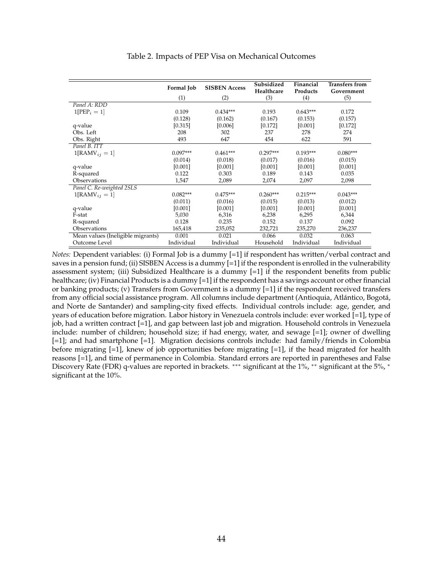<span id="page-45-0"></span>

|                                   | Formal Job | <b>SISBEN Access</b> | Subsidized<br>Healthcare | Financial<br>Products | <b>Transfers from</b><br>Government |
|-----------------------------------|------------|----------------------|--------------------------|-----------------------|-------------------------------------|
|                                   | (1)        | (2)                  | (3)                      | (4)                   | (5)                                 |
| Panel A: RDD                      |            |                      |                          |                       |                                     |
| $1[PEP_i = 1]$                    | 0.109      | $0.434***$           | 0.193                    | $0.643***$            | 0.172                               |
|                                   | (0.128)    | (0.162)              | (0.167)                  | (0.153)               | (0.157)                             |
| q-value                           | [0.315]    | [0.006]              | [0.172]                  | [0.001]               | [0.172]                             |
| Obs. Left                         | 208        | 302                  | 237                      | 278                   | 274                                 |
| Obs. Right                        | 493        | 647                  | 454                      | 622                   | 591                                 |
| Panel B. ITT                      |            |                      |                          |                       |                                     |
| $1[RAMV_{ij} = 1]$                | $0.097***$ | $0.461***$           | $0.297***$               | $0.193***$            | $0.080***$                          |
|                                   | (0.014)    | (0.018)              | (0.017)                  | (0.016)               | (0.015)                             |
| q-value                           | [0.001]    | [0.001]              | [0.001]                  | [0.001]               | [0.001]                             |
| R-squared                         | 0.122      | 0.303                | 0.189                    | 0.143                 | 0.035                               |
| Observations                      | 1,547      | 2,089                | 2,074                    | 2,097                 | 2,098                               |
| Panel C. Re-weighted 2SLS         |            |                      |                          |                       |                                     |
| $1[RAMV_{ii} = 1]$                | $0.082***$ | $0.475***$           | $0.260***$               | $0.215***$            | $0.043***$                          |
|                                   | (0.011)    | (0.016)              | (0.015)                  | (0.013)               | (0.012)                             |
| q-value                           | [0.001]    | [0.001]              | [0.001]                  | [0.001]               | [0.001]                             |
| F-stat                            | 5,030      | 6,316                | 6,238                    | 6,295                 | 6,344                               |
| R-squared                         | 0.128      | 0.235                | 0.152                    | 0.137                 | 0.092                               |
| Observations                      | 165,418    | 235,052              | 232,721                  | 235,270               | 236,237                             |
| Mean values (Ineligible migrants) | 0.001      | 0.021                | 0.066                    | 0.032                 | 0.063                               |
| Outcome Level                     | Individual | Individual           | Household                | Individual            | Individual                          |

#### Table 2. Impacts of PEP Visa on Mechanical Outcomes

*Notes:* Dependent variables: (i) Formal Job is a dummy [=1] if respondent has written/verbal contract and saves in a pension fund; (ii) SISBEN Access is a dummy [=1] if the respondent is enrolled in the vulnerability assessment system; (iii) Subsidized Healthcare is a dummy [=1] if the respondent benefits from public healthcare; (iv) Financial Products is a dummy  $[=1]$  if the respondent has a savings account or other financial or banking products; (v) Transfers from Government is a dummy [=1] if the respondent received transfers from any official social assistance program. All columns include department (Antioquia, Atlántico, Bogotá, and Norte de Santander) and sampling-city fixed effects. Individual controls include: age, gender, and years of education before migration. Labor history in Venezuela controls include: ever worked [=1], type of job, had a written contract [=1], and gap between last job and migration. Household controls in Venezuela include: number of children; household size; if had energy, water, and sewage [=1]; owner of dwelling [=1]; and had smartphone [=1]. Migration decisions controls include: had family/friends in Colombia before migrating [=1], knew of job opportunities before migrating [=1], if the head migrated for health reasons [=1], and time of permanence in Colombia. Standard errors are reported in parentheses and False Discovery Rate (FDR) q-values are reported in brackets. \*\*\* significant at the 1%, \*\* significant at the 5%, \* significant at the 10%.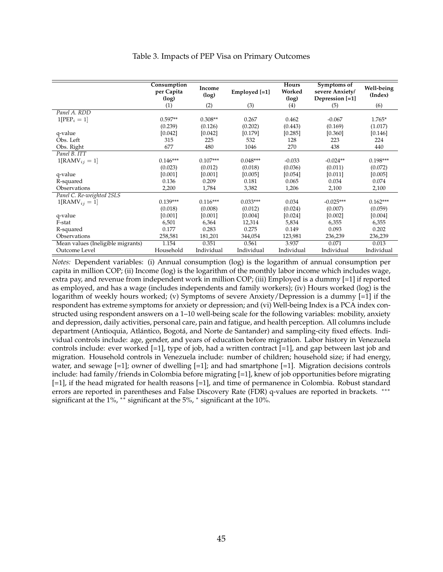<span id="page-46-0"></span>

|                                   | Consumption<br>per Capita<br>(log) | Income<br>(log) | Employed [=1] | Hours<br>Worked<br>(log) | Symptoms of<br>severe Anxiety/<br>Depression [=1] | Well-being<br>(Index) |
|-----------------------------------|------------------------------------|-----------------|---------------|--------------------------|---------------------------------------------------|-----------------------|
|                                   | (1)                                | (2)             | (3)           | (4)                      | (5)                                               | (6)                   |
| Panel A. RDD                      |                                    |                 |               |                          |                                                   |                       |
| $1[PEP_i = 1]$                    | $0.597**$                          | $0.308**$       | 0.267         | 0.462                    | $-0.067$                                          | $1.765*$              |
|                                   | (0.239)                            | (0.126)         | (0.202)       | (0.443)                  | (0.169)                                           | (1.017)               |
| q-value                           | [0.042]                            | [0.042]         | [0.179]       | [0.285]                  | [0.360]                                           | [0.146]               |
| Obs. Left                         | 315                                | 225             | 532           | 128                      | 223                                               | 224                   |
| Obs. Right                        | 677                                | 480             | 1046          | 270                      | 438                                               | 440                   |
| Panel B. ITT                      |                                    |                 |               |                          |                                                   |                       |
| $1[RAMV_{ij} = 1]$                | $0.146***$                         | $0.107***$      | $0.048***$    | $-0.033$                 | $-0.024**$                                        | $0.198***$            |
|                                   | (0.023)                            | (0.012)         | (0.018)       | (0.036)                  | (0.011)                                           | (0.072)               |
| q-value                           | [0.001]                            | [0.001]         | [0.005]       | [0.054]                  | [0.011]                                           | [0.005]               |
| R-squared                         | 0.136                              | 0.209           | 0.181         | 0.065                    | 0.034                                             | 0.074                 |
| Observations                      | 2,200                              | 1,784           | 3,382         | 1,206                    | 2,100                                             | 2,100                 |
| Panel C. Re-weighted 2SLS         |                                    |                 |               |                          |                                                   |                       |
| $1[RAMV_{ij} = 1]$                | $0.139***$                         | $0.116***$      | $0.033***$    | 0.034                    | $-0.025***$                                       | $0.162***$            |
|                                   | (0.018)                            | (0.008)         | (0.012)       | (0.024)                  | (0.007)                                           | (0.059)               |
| q-value                           | [0.001]                            | [0.001]         | [0.004]       | [0.024]                  | [0.002]                                           | [0.004]               |
| F-stat                            | 6,501                              | 6,364           | 12,314        | 5,834                    | 6,355                                             | 6,355                 |
| R-squared                         | 0.177                              | 0.283           | 0.275         | 0.149                    | 0.093                                             | 0.202                 |
| Observations                      | 258,581                            | 181,201         | 344,054       | 123,981                  | 236,239                                           | 236,239               |
| Mean values (Ineligible migrants) | 1.154                              | 0.351           | 0.561         | 3.937                    | 0.071                                             | 0.013                 |
| Outcome Level                     | Household                          | Individual      | Individual    | Individual               | Individual                                        | Individual            |

#### Table 3. Impacts of PEP Visa on Primary Outcomes

*Notes:* Dependent variables: (i) Annual consumption (log) is the logarithm of annual consumption per capita in million COP; (ii) Income (log) is the logarithm of the monthly labor income which includes wage, extra pay, and revenue from independent work in million COP; (iii) Employed is a dummy [=1] if reported as employed, and has a wage (includes independents and family workers); (iv) Hours worked (log) is the logarithm of weekly hours worked; (v) Symptoms of severe Anxiety/Depression is a dummy [=1] if the respondent has extreme symptoms for anxiety or depression; and (vi) Well-being Index is a PCA index constructed using respondent answers on a 1–10 well-being scale for the following variables: mobility, anxiety and depression, daily activities, personal care, pain and fatigue, and health perception. All columns include department (Antioquia, Atlántico, Bogotá, and Norte de Santander) and sampling-city fixed effects. Individual controls include: age, gender, and years of education before migration. Labor history in Venezuela controls include: ever worked [=1], type of job, had a written contract [=1], and gap between last job and migration. Household controls in Venezuela include: number of children; household size; if had energy, water, and sewage  $[-1]$ ; owner of dwelling  $[-1]$ ; and had smartphone  $[-1]$ . Migration decisions controls include: had family/friends in Colombia before migrating [=1], knew of job opportunities before migrating [=1], if the head migrated for health reasons [=1], and time of permanence in Colombia. Robust standard errors are reported in parentheses and False Discovery Rate (FDR) q-values are reported in brackets. ∗∗∗ significant at the 1%, ∗∗ significant at the 5%, <sup>∗</sup> significant at the 10%.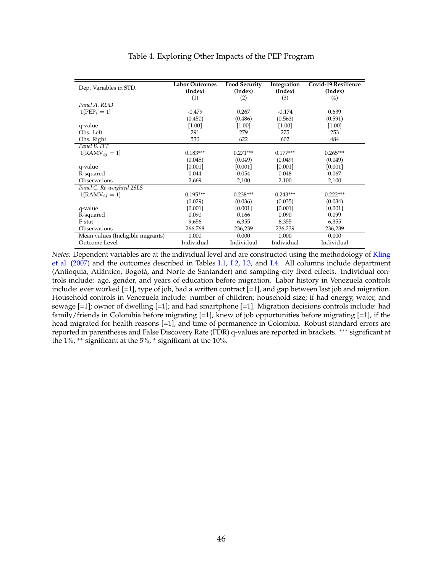<span id="page-47-0"></span>

| Dep. Variables in STD.            | <b>Labor Outcomes</b> | <b>Food Security</b> | Integration | <b>Covid-19 Resilience</b> |
|-----------------------------------|-----------------------|----------------------|-------------|----------------------------|
|                                   | (Index)               | (Index)              | (Index)     | (Index)                    |
|                                   | (1)                   | (2)                  | (3)         | (4)                        |
| Panel A. RDD                      |                       |                      |             |                            |
| $1[PEP_i = 1]$                    | $-0.479$              | 0.267                | $-0.174$    | 0.639                      |
|                                   | (0.450)               | (0.486)              | (0.563)     | (0.591)                    |
| q-value                           | $[1.00]$              | [1.00]               | $[1.00]$    | [1.00]                     |
| Obs. Left                         | 291                   | 279                  | 275         | 253                        |
| Obs. Right                        | 530                   | 622                  | 602         | 484                        |
| Panel B. ITT                      |                       |                      |             |                            |
| $1[RAMV_{ij} = 1]$                | $0.183***$            | $0.271***$           | $0.177***$  | $0.265***$                 |
|                                   | (0.045)               | (0.049)              | (0.049)     | (0.049)                    |
| q-value                           | [0.001]               | [0.001]              | [0.001]     | [0.001]                    |
| R-squared                         | 0.044                 | 0.054                | 0.048       | 0.067                      |
| Observations                      | 2,669                 | 2,100                | 2,100       | 2,100                      |
| Panel C. Re-weighted 2SLS         |                       |                      |             |                            |
| $1[RAMV_{ii} = 1]$                | $0.195***$            | $0.238***$           | $0.243***$  | $0.222***$                 |
|                                   | (0.029)               | (0.036)              | (0.035)     | (0.034)                    |
| q-value                           | [0.001]               | [0.001]              | [0.001]     | [0.001]                    |
| R-squared                         | 0.090                 | 0.166                | 0.090       | 0.099                      |
| F-stat                            | 9,656                 | 6,355                | 6,355       | 6,355                      |
| Observations                      | 266,768               | 236,239              | 236,239     | 236,239                    |
| Mean values (Ineligible migrants) | 0.000                 | 0.000                | 0.000       | 0.000                      |
| Outcome Level                     | Individual            | Individual           | Individual  | Individual                 |

#### Table 4. Exploring Other Impacts of the PEP Program

*Notes:* Dependent variables are at the individual level and are constructed using the methodology of [Kling](#page-36-9) [et al.](#page-36-9) [\(2007\)](#page-36-9) and the outcomes described in Tables [I.1,](#page-63-0) [I.2,](#page-64-0) [I.3,](#page-65-0) and [I.4.](#page-66-0) All columns include department (Antioquia, Atlántico, Bogotá, and Norte de Santander) and sampling-city fixed effects. Individual controls include: age, gender, and years of education before migration. Labor history in Venezuela controls include: ever worked [=1], type of job, had a written contract [=1], and gap between last job and migration. Household controls in Venezuela include: number of children; household size; if had energy, water, and sewage [=1]; owner of dwelling [=1]; and had smartphone [=1]. Migration decisions controls include: had family/friends in Colombia before migrating  $[=1]$ , knew of job opportunities before migrating  $[=1]$ , if the head migrated for health reasons [=1], and time of permanence in Colombia. Robust standard errors are reported in parentheses and False Discovery Rate (FDR) q-values are reported in brackets. ∗∗∗ significant at the 1%, ∗∗ significant at the 5%, <sup>∗</sup> significant at the 10%.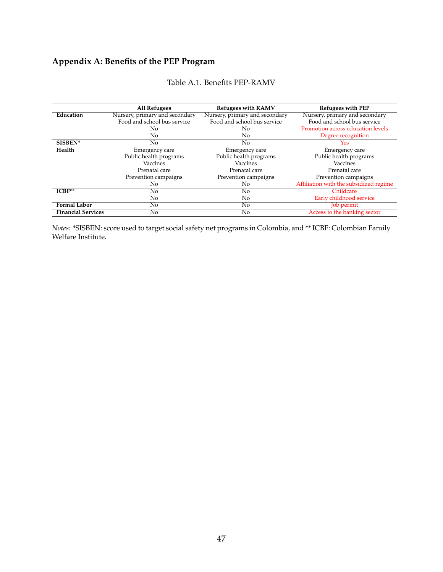# **Appendix A: Benefits of the PEP Program**

|                           | <b>All Refugees</b>            | <b>Refugees with RAMV</b>      | Refugees with PEP                      |
|---------------------------|--------------------------------|--------------------------------|----------------------------------------|
| Education                 | Nursery, primary and secondary | Nursery, primary and secondary | Nursery, primary and secondary         |
|                           | Food and school bus service    | Food and school bus service    | Food and school bus service            |
|                           | No.                            | No                             | Promotion across education levels      |
|                           | No.                            | No                             | Degree recognition                     |
| SISBEN*                   | No.                            | No                             | Yes.                                   |
| Health                    | Emergency care                 | Emergency care                 | Emergency care                         |
|                           | Public health programs         | Public health programs         | Public health programs                 |
|                           | Vaccines                       | Vaccines                       | Vaccines                               |
|                           | Prenatal care                  | Prenatal care                  | Prenatal care                          |
|                           | Prevention campaigns           | Prevention campaigns           | Prevention campaigns                   |
|                           | No.                            | No                             | Affiliation with the subsidized regime |
| $ICBF**$                  | No                             | No                             | Childcare                              |
|                           | No                             | No                             | Early childhood service                |
| <b>Formal Labor</b>       | No.                            | No                             | Job permit                             |
| <b>Financial Services</b> | No                             | No                             | Access to the banking sector           |

#### Table A.1. Benefits PEP-RAMV

*Notes:* \*SISBEN: score used to target social safety net programs in Colombia, and \*\* ICBF: Colombian Family Welfare Institute.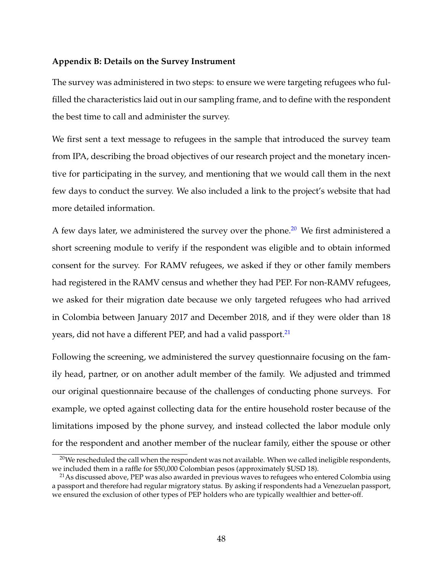#### **Appendix B: Details on the Survey Instrument**

The survey was administered in two steps: to ensure we were targeting refugees who fulfilled the characteristics laid out in our sampling frame, and to define with the respondent the best time to call and administer the survey.

We first sent a text message to refugees in the sample that introduced the survey team from IPA, describing the broad objectives of our research project and the monetary incentive for participating in the survey, and mentioning that we would call them in the next few days to conduct the survey. We also included a link to the project's website that had more detailed information.

A few days later, we administered the survey over the phone.<sup>[20](#page-49-0)</sup> We first administered a short screening module to verify if the respondent was eligible and to obtain informed consent for the survey. For RAMV refugees, we asked if they or other family members had registered in the RAMV census and whether they had PEP. For non-RAMV refugees, we asked for their migration date because we only targeted refugees who had arrived in Colombia between January 2017 and December 2018, and if they were older than 18 years, did not have a different PEP, and had a valid passport.<sup>[21](#page-49-1)</sup>

Following the screening, we administered the survey questionnaire focusing on the family head, partner, or on another adult member of the family. We adjusted and trimmed our original questionnaire because of the challenges of conducting phone surveys. For example, we opted against collecting data for the entire household roster because of the limitations imposed by the phone survey, and instead collected the labor module only for the respondent and another member of the nuclear family, either the spouse or other

<span id="page-49-0"></span> $20$ We rescheduled the call when the respondent was not available. When we called ineligible respondents, we included them in a raffle for \$50,000 Colombian pesos (approximately \$USD 18).

<span id="page-49-1"></span><sup>&</sup>lt;sup>21</sup>As discussed above, PEP was also awarded in previous waves to refugees who entered Colombia using a passport and therefore had regular migratory status. By asking if respondents had a Venezuelan passport, we ensured the exclusion of other types of PEP holders who are typically wealthier and better-off.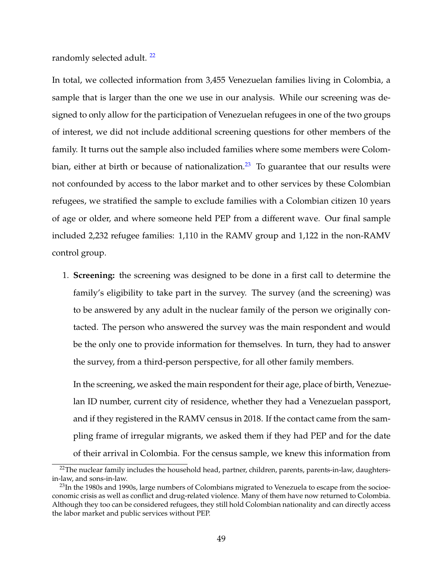randomly selected adult.<sup>[22](#page-50-0)</sup>

In total, we collected information from 3,455 Venezuelan families living in Colombia, a sample that is larger than the one we use in our analysis. While our screening was designed to only allow for the participation of Venezuelan refugees in one of the two groups of interest, we did not include additional screening questions for other members of the family. It turns out the sample also included families where some members were Colom-bian, either at birth or because of nationalization.<sup>[23](#page-50-1)</sup> To guarantee that our results were not confounded by access to the labor market and to other services by these Colombian refugees, we stratified the sample to exclude families with a Colombian citizen 10 years of age or older, and where someone held PEP from a different wave. Our final sample included 2,232 refugee families: 1,110 in the RAMV group and 1,122 in the non-RAMV control group.

1. **Screening:** the screening was designed to be done in a first call to determine the family's eligibility to take part in the survey. The survey (and the screening) was to be answered by any adult in the nuclear family of the person we originally contacted. The person who answered the survey was the main respondent and would be the only one to provide information for themselves. In turn, they had to answer the survey, from a third-person perspective, for all other family members.

In the screening, we asked the main respondent for their age, place of birth, Venezuelan ID number, current city of residence, whether they had a Venezuelan passport, and if they registered in the RAMV census in 2018. If the contact came from the sampling frame of irregular migrants, we asked them if they had PEP and for the date of their arrival in Colombia. For the census sample, we knew this information from

<span id="page-50-0"></span><sup>&</sup>lt;sup>22</sup>The nuclear family includes the household head, partner, children, parents, parents-in-law, daughtersin-law, and sons-in-law.

<span id="page-50-1"></span> $^{23}$ In the 1980s and 1990s, large numbers of Colombians migrated to Venezuela to escape from the socioeconomic crisis as well as conflict and drug-related violence. Many of them have now returned to Colombia. Although they too can be considered refugees, they still hold Colombian nationality and can directly access the labor market and public services without PEP.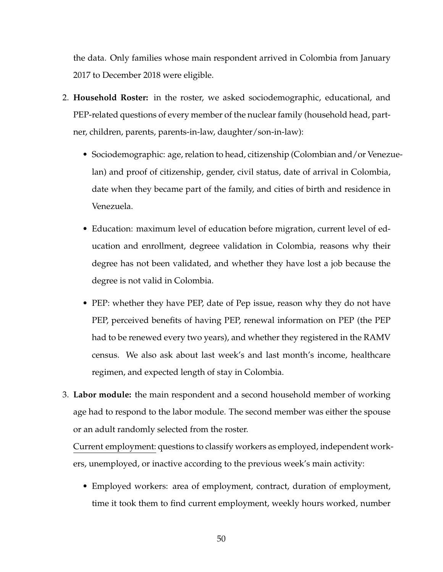the data. Only families whose main respondent arrived in Colombia from January 2017 to December 2018 were eligible.

- 2. **Household Roster:** in the roster, we asked sociodemographic, educational, and PEP-related questions of every member of the nuclear family (household head, partner, children, parents, parents-in-law, daughter/son-in-law):
	- Sociodemographic: age, relation to head, citizenship (Colombian and/or Venezuelan) and proof of citizenship, gender, civil status, date of arrival in Colombia, date when they became part of the family, and cities of birth and residence in Venezuela.
	- Education: maximum level of education before migration, current level of education and enrollment, degreee validation in Colombia, reasons why their degree has not been validated, and whether they have lost a job because the degree is not valid in Colombia.
	- PEP: whether they have PEP, date of Pep issue, reason why they do not have PEP, perceived benefits of having PEP, renewal information on PEP (the PEP had to be renewed every two years), and whether they registered in the RAMV census. We also ask about last week's and last month's income, healthcare regimen, and expected length of stay in Colombia.
- 3. **Labor module:** the main respondent and a second household member of working age had to respond to the labor module. The second member was either the spouse or an adult randomly selected from the roster.

Current employment: questions to classify workers as employed, independent workers, unemployed, or inactive according to the previous week's main activity:

• Employed workers: area of employment, contract, duration of employment, time it took them to find current employment, weekly hours worked, number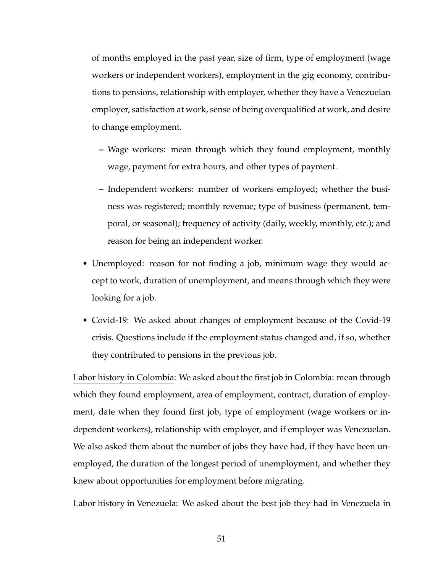of months employed in the past year, size of firm, type of employment (wage workers or independent workers), employment in the gig economy, contributions to pensions, relationship with employer, whether they have a Venezuelan employer, satisfaction at work, sense of being overqualified at work, and desire to change employment.

- **–** Wage workers: mean through which they found employment, monthly wage, payment for extra hours, and other types of payment.
- **–** Independent workers: number of workers employed; whether the business was registered; monthly revenue; type of business (permanent, temporal, or seasonal); frequency of activity (daily, weekly, monthly, etc.); and reason for being an independent worker.
- Unemployed: reason for not finding a job, minimum wage they would accept to work, duration of unemployment, and means through which they were looking for a job.
- Covid-19: We asked about changes of employment because of the Covid-19 crisis. Questions include if the employment status changed and, if so, whether they contributed to pensions in the previous job.

Labor history in Colombia: We asked about the first job in Colombia: mean through which they found employment, area of employment, contract, duration of employment, date when they found first job, type of employment (wage workers or independent workers), relationship with employer, and if employer was Venezuelan. We also asked them about the number of jobs they have had, if they have been unemployed, the duration of the longest period of unemployment, and whether they knew about opportunities for employment before migrating.

Labor history in Venezuela: We asked about the best job they had in Venezuela in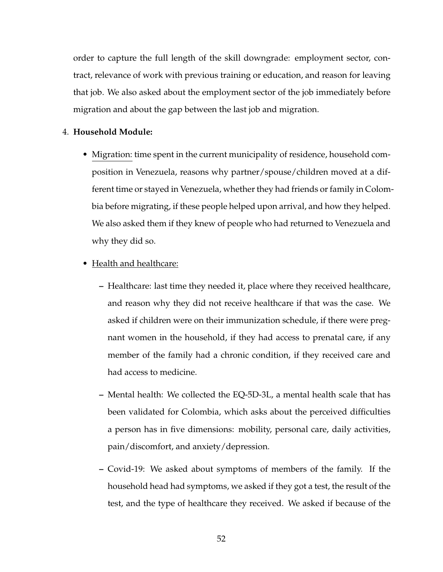order to capture the full length of the skill downgrade: employment sector, contract, relevance of work with previous training or education, and reason for leaving that job. We also asked about the employment sector of the job immediately before migration and about the gap between the last job and migration.

#### 4. **Household Module:**

• Migration: time spent in the current municipality of residence, household composition in Venezuela, reasons why partner/spouse/children moved at a different time or stayed in Venezuela, whether they had friends or family in Colombia before migrating, if these people helped upon arrival, and how they helped. We also asked them if they knew of people who had returned to Venezuela and why they did so.

#### • Health and healthcare:

- **–** Healthcare: last time they needed it, place where they received healthcare, and reason why they did not receive healthcare if that was the case. We asked if children were on their immunization schedule, if there were pregnant women in the household, if they had access to prenatal care, if any member of the family had a chronic condition, if they received care and had access to medicine.
- **–** Mental health: We collected the EQ-5D-3L, a mental health scale that has been validated for Colombia, which asks about the perceived difficulties a person has in five dimensions: mobility, personal care, daily activities, pain/discomfort, and anxiety/depression.
- **–** Covid-19: We asked about symptoms of members of the family. If the household head had symptoms, we asked if they got a test, the result of the test, and the type of healthcare they received. We asked if because of the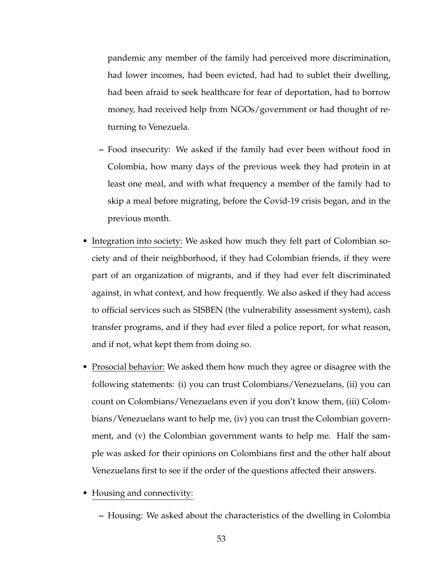pandemic any member of the family had perceived more discrimination, had lower incomes, had been evicted, had had to sublet their dwelling, had been afraid to seek healthcare for fear of deportation, had to borrow money, had received help from NGOs/government or had thought of returning to Venezuela.

- **–** Food insecurity: We asked if the family had ever been without food in Colombia, how many days of the previous week they had protein in at least one meal, and with what frequency a member of the family had to skip a meal before migrating, before the Covid-19 crisis began, and in the previous month.
- Integration into society: We asked how much they felt part of Colombian society and of their neighborhood, if they had Colombian friends, if they were part of an organization of migrants, and if they had ever felt discriminated against, in what context, and how frequently. We also asked if they had access to official services such as SISBEN (the vulnerability assessment system), cash transfer programs, and if they had ever filed a police report, for what reason, and if not, what kept them from doing so.
- Prosocial behavior: We asked them how much they agree or disagree with the following statements: (i) you can trust Colombians/Venezuelans, (ii) you can count on Colombians/Venezuelans even if you don't know them, (iii) Colombians/Venezuelans want to help me, (iv) you can trust the Colombian government, and (v) the Colombian government wants to help me. Half the sample was asked for their opinions on Colombians first and the other half about Venezuelans first to see if the order of the questions affected their answers.
- Housing and connectivity:
	- **–** Housing: We asked about the characteristics of the dwelling in Colombia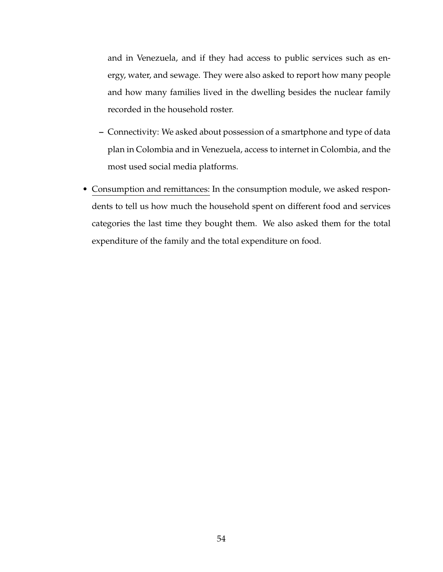and in Venezuela, and if they had access to public services such as energy, water, and sewage. They were also asked to report how many people and how many families lived in the dwelling besides the nuclear family recorded in the household roster.

- **–** Connectivity: We asked about possession of a smartphone and type of data plan in Colombia and in Venezuela, access to internet in Colombia, and the most used social media platforms.
- Consumption and remittances: In the consumption module, we asked respondents to tell us how much the household spent on different food and services categories the last time they bought them. We also asked them for the total expenditure of the family and the total expenditure on food.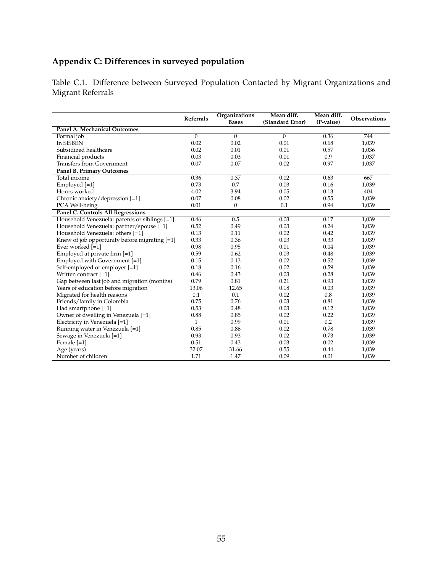# **Appendix C: Differences in surveyed population**

Table C.1. Difference between Surveyed Population Contacted by Migrant Organizations and Migrant Referrals

|                                                 | <b>Referrals</b> | Organizations<br><b>Bases</b> | Mean diff.<br>(Standard Error) | Mean diff.<br>(P-value) | <b>Observations</b> |
|-------------------------------------------------|------------------|-------------------------------|--------------------------------|-------------------------|---------------------|
| <b>Panel A. Mechanical Outcomes</b>             |                  |                               |                                |                         |                     |
| Formal job                                      | $\mathbf{0}$     | $\mathbf{0}$                  | $\overline{0}$                 | 0.36                    | 744                 |
| In SISBEN                                       | 0.02             | 0.02                          | 0.01                           | 0.68                    | 1,039               |
| Subsidized healthcare                           | 0.02             | 0.01                          | 0.01                           | 0.57                    | 1,036               |
| Financial products                              | 0.03             | 0.03                          | 0.01                           | 0.9                     | 1,037               |
| <b>Transfers from Government</b>                | 0.07             | 0.07                          | 0.02                           | 0.97                    | 1,037               |
| <b>Panel B. Primary Outcomes</b>                |                  |                               |                                |                         |                     |
| Total income                                    | 0.36             | 0.37                          | 0.02                           | 0.63                    | 667                 |
| Employed [=1]                                   | 0.73             | 0.7                           | 0.03                           | 0.16                    | 1,039               |
| Hours worked                                    | 4.02             | 3.94                          | 0.05                           | 0.13                    | 404                 |
| Chronic anxiety/depression [=1]                 | 0.07             | 0.08                          | 0.02                           | 0.55                    | 1,039               |
| PCA Well-being                                  | 0.01             | $\mathbf{0}$                  | 0.1                            | 0.94                    | 1,039               |
| <b>Panel C. Controls All Regressions</b>        |                  |                               |                                |                         |                     |
| Household Venezuela: parents or siblings [=1]   | 0.46             | 0.5                           | 0.03                           | 0.17                    | 1,039               |
| Household Venezuela: partner/spouse [=1]        | 0.52             | 0.49                          | 0.03                           | 0.24                    | 1,039               |
| Household Venezuela: others [=1]                | 0.13             | 0.11                          | 0.02                           | 0.42                    | 1,039               |
| Knew of job opportunity before migrating $[-1]$ | 0.33             | 0.36                          | 0.03                           | 0.33                    | 1,039               |
| Ever worked [=1]                                | 0.98             | 0.95                          | 0.01                           | 0.04                    | 1,039               |
| Employed at private firm [=1]                   | 0.59             | 0.62                          | 0.03                           | 0.48                    | 1,039               |
| Employed with Government [=1]                   | 0.15             | 0.13                          | 0.02                           | 0.52                    | 1,039               |
| Self-employed or employer [=1]                  | 0.18             | 0.16                          | 0.02                           | 0.59                    | 1,039               |
| Written contract [=1]                           | 0.46             | 0.43                          | 0.03                           | 0.28                    | 1,039               |
| Gap between last job and migration (months)     | 0.79             | 0.81                          | 0.21                           | 0.93                    | 1,039               |
| Years of education before migration             | 13.06            | 12.65                         | 0.18                           | 0.03                    | 1,039               |
| Migrated for health reasons                     | 0.1              | 0.1                           | 0.02                           | 0.8                     | 1,039               |
| Friends/family in Colombia                      | 0.75             | 0.76                          | 0.03                           | 0.81                    | 1,039               |
| Had smartphone $[-1]$                           | 0.53             | 0.48                          | 0.03                           | 0.12                    | 1,039               |
| Owner of dwelling in Venezuela [=1]             | 0.88             | 0.85                          | 0.02                           | 0.22                    | 1,039               |
| Electricity in Venezuela [=1]                   | $\mathbf{1}$     | 0.99                          | 0.01                           | 0.2                     | 1,039               |
| Running water in Venezuela [=1]                 | 0.85             | 0.86                          | 0.02                           | 0.78                    | 1,039               |
| Sewage in Venezuela [=1]                        | 0.93             | 0.93                          | 0.02                           | 0.73                    | 1,039               |
| Female $[-1]$                                   | 0.51             | 0.43                          | 0.03                           | 0.02                    | 1,039               |
| Age (years)                                     | 32.07            | 31.66                         | 0.55                           | 0.44                    | 1,039               |
| Number of children                              | 1.71             | 1.47                          | 0.09                           | 0.01                    | 1,039               |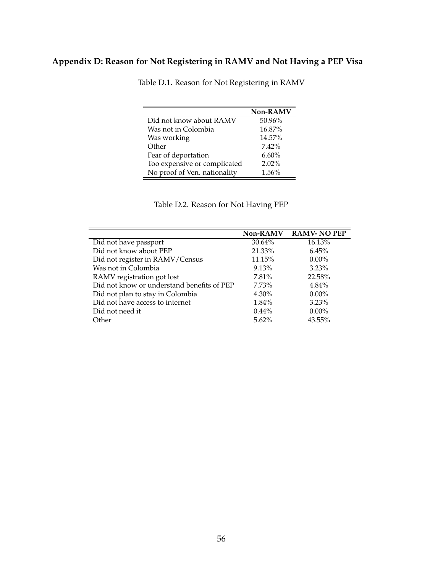# <span id="page-57-0"></span>**Appendix D: Reason for Not Registering in RAMV and Not Having a PEP Visa**

|                              | Non-RAMV |
|------------------------------|----------|
| Did not know about RAMV      | 50.96%   |
| Was not in Colombia          | 16.87%   |
| Was working                  | 14.57%   |
| Other                        | $7.42\%$ |
| Fear of deportation          | 6.60%    |
| Too expensive or complicated | $2.02\%$ |
| No proof of Ven. nationality | 1.56%    |

Table D.1. Reason for Not Registering in RAMV

Table D.2. Reason for Not Having PEP

<span id="page-57-1"></span>

|                                            | <b>Non-RAMV</b> | <b>RAMV-NO PEP</b> |
|--------------------------------------------|-----------------|--------------------|
| Did not have passport                      | 30.64%          | 16.13%             |
| Did not know about PEP                     | 21.33%          | 6.45%              |
| Did not register in RAMV/Census            | 11.15%          | $0.00\%$           |
| Was not in Colombia                        | 9.13%           | 3.23%              |
| RAMV registration got lost                 | 7.81%           | 22.58%             |
| Did not know or understand benefits of PEP | $7.73\%$        | $4.84\%$           |
| Did not plan to stay in Colombia           | $4.30\%$        | $0.00\%$           |
| Did not have access to internet            | 1.84%           | 3.23%              |
| Did not need it                            | $0.44\%$        | $0.00\%$           |
| Other                                      | $5.62\%$        | 43.55%             |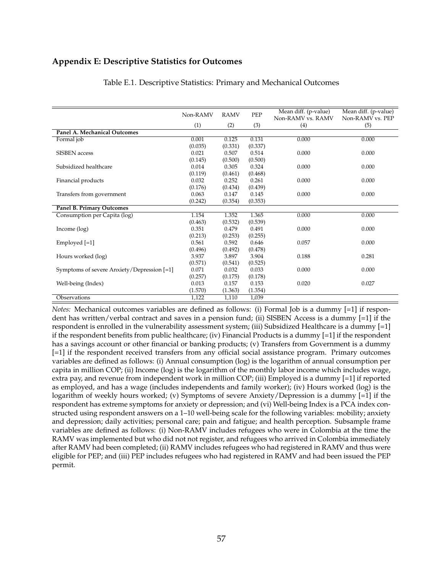#### **Appendix E: Descriptive Statistics for Outcomes**

|                                            | Non-RAMV | <b>RAMV</b> | PEP     | Mean diff. (p-value) | Mean diff. (p-value) |
|--------------------------------------------|----------|-------------|---------|----------------------|----------------------|
|                                            |          |             |         | Non-RAMV vs. RAMV    | Non-RAMV vs. PEP     |
|                                            | (1)      | (2)         | (3)     | (4)                  | (5)                  |
| Panel A. Mechanical Outcomes               |          |             |         |                      |                      |
| Formal job                                 | 0.001    | 0.125       | 0.131   | 0.000                | 0.000                |
|                                            | (0.035)  | (0.331)     | (0.337) |                      |                      |
| <b>SISBEN</b> access                       | 0.021    | 0.507       | 0.514   | 0.000                | 0.000                |
|                                            | (0.145)  | (0.500)     | (0.500) |                      |                      |
| Subsidized healthcare                      | 0.014    | 0.305       | 0.324   | 0.000                | 0.000                |
|                                            | (0.119)  | (0.461)     | (0.468) |                      |                      |
| Financial products                         | 0.032    | 0.252       | 0.261   | 0.000                | 0.000                |
|                                            | (0.176)  | (0.434)     | (0.439) |                      |                      |
| Transfers from government                  | 0.063    | 0.147       | 0.145   | 0.000                | 0.000                |
|                                            | (0.242)  | (0.354)     | (0.353) |                      |                      |
| <b>Panel B. Primary Outcomes</b>           |          |             |         |                      |                      |
| Consumption per Capita (log)               | 1.154    | 1.352       | 1.365   | 0.000                | 0.000                |
|                                            | (0.463)  | (0.532)     | (0.539) |                      |                      |
| Income (log)                               | 0.351    | 0.479       | 0.491   | 0.000                | 0.000                |
|                                            | (0.213)  | (0.253)     | (0.255) |                      |                      |
| Employed $[-1]$                            | 0.561    | 0.592       | 0.646   | 0.057                | 0.000                |
|                                            | (0.496)  | (0.492)     | (0.478) |                      |                      |
| Hours worked (log)                         | 3.937    | 3.897       | 3.904   | 0.188                | 0.281                |
|                                            | (0.571)  | (0.541)     | (0.525) |                      |                      |
| Symptoms of severe Anxiety/Depression [=1] | 0.071    | 0.032       | 0.033   | 0.000                | 0.000                |
|                                            | (0.257)  | (0.175)     | (0.178) |                      |                      |
| Well-being (Index)                         | 0.013    | 0.157       | 0.153   | 0.020                | 0.027                |
|                                            | (1.570)  | (1.363)     | (1.354) |                      |                      |
| Observations                               | 1,122    | 1,110       | 1,039   |                      |                      |

#### Table E.1. Descriptive Statistics: Primary and Mechanical Outcomes

*Notes:* Mechanical outcomes variables are defined as follows: (i) Formal Job is a dummy [=1] if respondent has written/verbal contract and saves in a pension fund; (ii) SISBEN Access is a dummy [=1] if the respondent is enrolled in the vulnerability assessment system; (iii) Subsidized Healthcare is a dummy [=1] if the respondent benefits from public healthcare; (iv) Financial Products is a dummy  $\left[-1\right]$  if the respondent has a savings account or other financial or banking products; (v) Transfers from Government is a dummy [=1] if the respondent received transfers from any official social assistance program. Primary outcomes variables are defined as follows: (i) Annual consumption (log) is the logarithm of annual consumption per capita in million COP; (ii) Income (log) is the logarithm of the monthly labor income which includes wage, extra pay, and revenue from independent work in million COP; (iii) Employed is a dummy [=1] if reported as employed, and has a wage (includes independents and family worker); (iv) Hours worked (log) is the logarithm of weekly hours worked; (v) Symptoms of severe Anxiety/Depression is a dummy [=1] if the respondent has extreme symptoms for anxiety or depression; and (vi) Well-being Index is a PCA index constructed using respondent answers on a 1–10 well-being scale for the following variables: mobility; anxiety and depression; daily activities; personal care; pain and fatigue; and health perception. Subsample frame variables are defined as follows: (i) Non-RAMV includes refugees who were in Colombia at the time the RAMV was implemented but who did not not register, and refugees who arrived in Colombia immediately after RAMV had been completed; (ii) RAMV includes refugees who had registered in RAMV and thus were eligible for PEP; and (iii) PEP includes refugees who had registered in RAMV and had been issued the PEP permit.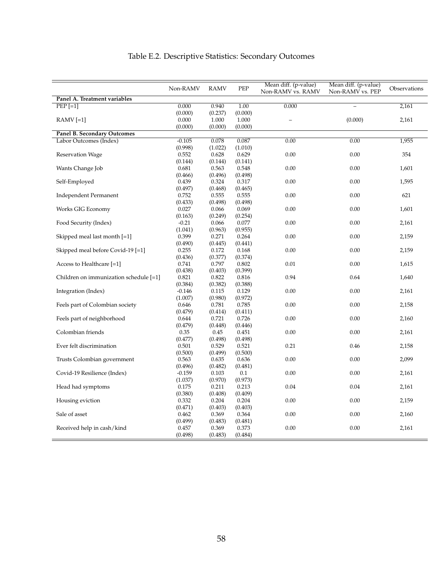|                                        | Non-RAMV         | <b>RAMV</b>      | PEP              | Mean diff. (p-value)<br>Non-RAMV vs. RAMV | Mean diff. (p-value)<br>Non-RAMV vs. PEP | Observations |
|----------------------------------------|------------------|------------------|------------------|-------------------------------------------|------------------------------------------|--------------|
| Panel A. Treatment variables           |                  |                  |                  |                                           |                                          |              |
| $PEP$ [=1]                             | 0.000            | 0.940            | 1.00             | 0.000                                     |                                          | 2,161        |
|                                        | (0.000)          | (0.237)          | (0.000)          |                                           |                                          |              |
| $RAMV[=1]$                             | 0.000            | 1.000            | 1.000            |                                           | (0.000)                                  | 2,161        |
|                                        | (0.000)          | (0.000)          | (0.000)          |                                           |                                          |              |
| Panel B. Secondary Outcomes            |                  |                  |                  |                                           |                                          |              |
| Labor Outcomes (Index)                 | $-0.105$         | 0.078            | 0.087            | 0.00                                      | 0.00                                     | 1,955        |
|                                        | (0.998)          | (1.022)          | (1.010)          |                                           |                                          |              |
| <b>Reservation Wage</b>                | 0.552            | 0.628            | 0.629            | 0.00                                      | 0.00                                     | 354          |
|                                        | (0.144)          | (0.144)          | (0.141)          |                                           |                                          |              |
| Wants Change Job                       | 0.681            | 0.563            | 0.548            | 0.00                                      | 0.00                                     | 1,601        |
|                                        | (0.466)          | (0.496)          | (0.498)          |                                           |                                          |              |
| Self-Employed                          | 0.439            | 0.324            | 0.317            | 0.00                                      | 0.00                                     | 1,595        |
|                                        | (0.497)          | (0.468)          | (0.465)          |                                           |                                          |              |
| <b>Independent Permanent</b>           | 0.752            | 0.555            | 0.555            | 0.00                                      | 0.00                                     | 621          |
|                                        | (0.433)          | (0.498)          | (0.498)          |                                           |                                          |              |
| Works GIG Economy                      | 0.027            | 0.066            | 0.069            | 0.00                                      | 0.00                                     | 1,601        |
|                                        | (0.163)          | (0.249)          | (0.254)          |                                           |                                          |              |
| Food Security (Index)                  | $-0.21$          | 0.066            | 0.077            | 0.00                                      | 0.00                                     | 2,161        |
|                                        | (1.041)<br>0.399 | (0.963)          | (0.955)          |                                           |                                          |              |
| Skipped meal last month [=1]           |                  | 0.271            | 0.264            | 0.00                                      | 0.00                                     | 2,159        |
| Skipped meal before Covid-19 [=1]      | (0.490)<br>0.255 | (0.445)          | (0.441)          | 0.00                                      | 0.00                                     |              |
|                                        |                  | 0.172            | 0.168            |                                           |                                          | 2,159        |
| Access to Healthcare [=1]              | (0.436)<br>0.741 | (0.377)<br>0.797 | (0.374)<br>0.802 | 0.01                                      | 0.00                                     | 1,615        |
|                                        | (0.438)          | (0.403)          | (0.399)          |                                           |                                          |              |
| Children on immunization schedule [=1] | 0.821            | 0.822            | 0.816            | 0.94                                      | 0.64                                     | 1,640        |
|                                        | (0.384)          | (0.382)          | (0.388)          |                                           |                                          |              |
| Integration (Index)                    | $-0.146$         | 0.115            | 0.129            | 0.00                                      | 0.00                                     | 2,161        |
|                                        | (1.007)          | (0.980)          | (0.972)          |                                           |                                          |              |
| Feels part of Colombian society        | 0.646            | 0.781            | 0.785            | 0.00                                      | 0.00                                     | 2,158        |
|                                        | (0.479)          | (0.414)          | (0.411)          |                                           |                                          |              |
| Feels part of neighborhood             | 0.644            | 0.721            | 0.726            | 0.00                                      | 0.00                                     | 2,160        |
|                                        | (0.479)          | (0.448)          | (0.446)          |                                           |                                          |              |
| Colombian friends                      | 0.35             | 0.45             | 0.451            | 0.00                                      | 0.00                                     | 2,161        |
|                                        | (0.477)          | (0.498)          | (0.498)          |                                           |                                          |              |
| Ever felt discrimination               | 0.501            | 0.529            | 0.521            | 0.21                                      | 0.46                                     | 2,158        |
|                                        | (0.500)          | (0.499)          | (0.500)          |                                           |                                          |              |
| Trusts Colombian government            | 0.563            | 0.635            | 0.636            | 0.00                                      | 0.00                                     | 2,099        |
|                                        | (0.496)          | (0.482)          | (0.481)          |                                           |                                          |              |
| Covid-19 Resilience (Index)            | $-0.159$         | 0.103            | 0.1              | 0.00                                      | 0.00                                     | 2,161        |
|                                        | (1.037)          | (0.970)          | (0.973)          |                                           |                                          |              |
| Head had symptoms                      | 0.175            | 0.211            | 0.213            | 0.04                                      | 0.04                                     | 2,161        |
|                                        | (0.380)          | (0.408)          | (0.409)          |                                           |                                          |              |
| Housing eviction                       | 0.332            | 0.204            | 0.204            | 0.00                                      | 0.00                                     | 2,159        |
|                                        | (0.471)          | (0.403)          | (0.403)          |                                           |                                          |              |
| Sale of asset                          | 0.462            | 0.369            | 0.364            | 0.00                                      | 0.00                                     | 2,160        |
|                                        | (0.499)          | (0.483)          | (0.481)          |                                           |                                          |              |
| Received help in cash/kind             | 0.457            | 0.369            | 0.373            | 0.00                                      | 0.00                                     | 2,161        |
|                                        | (0.498)          | (0.483)          | (0.484)          |                                           |                                          |              |

# Table E.2. Descriptive Statistics: Secondary Outcomes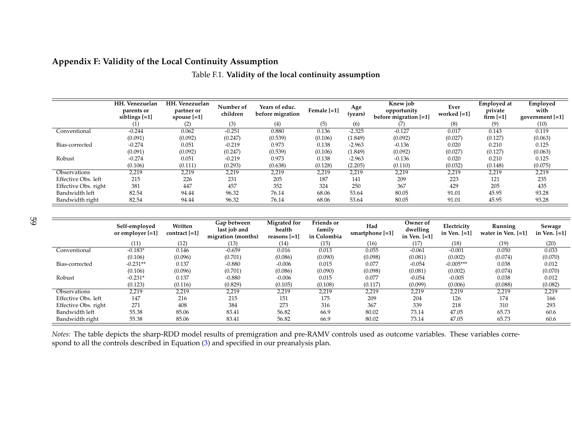#### **Appendix F: Validity of the Local Continuity Assumption**

|                      | HH. Venezuelan<br>parents or<br>siblings $[-1]$ | HH. Venezuelan<br>partner or<br>spouse $[-1]$ | Number of<br>children | Years of educ.<br>before migration | Female [=1] | Age<br>(vears) | Knew job<br>opportunity<br>before migration [=1] | Ever<br>worked $[-1]$ | <b>Emploved at</b><br>private<br>firm $[-1]$ | Employed<br>with<br>government [=1] |
|----------------------|-------------------------------------------------|-----------------------------------------------|-----------------------|------------------------------------|-------------|----------------|--------------------------------------------------|-----------------------|----------------------------------------------|-------------------------------------|
|                      | $\left(1\right)$                                | (2)                                           | (3)                   | (4)                                | (5)         | (6)            | (7)                                              | (8)                   | (9)                                          | (10)                                |
| Conventional         | $-0.244$                                        | 0.062                                         | $-0.251$              | 0.880                              | 0.136       | $-2.325$       | $-0.127$                                         | 0.017                 | 0.143                                        | 0.119                               |
|                      | (0.091)                                         | (0.092)                                       | (0.247)               | (0.539)                            | (0.106)     | (1.849)        | (0.092)                                          | (0.027)               | (0.127)                                      | (0.063)                             |
| Bias-corrected       | $-0.274$                                        | 0.051                                         | $-0.219$              | 0.973                              | 0.138       | $-2.963$       | $-0.136$                                         | 0.020                 | 0.210                                        | 0.125                               |
|                      | (0.091)                                         | (0.092)                                       | (0.247)               | (0.539)                            | (0.106)     | (1.849)        | (0.092)                                          | (0.027)               | (0.127)                                      | (0.063)                             |
| Robust               | $-0.274$                                        | 0.051                                         | $-0.219$              | 0.973                              | 0.138       | $-2.963$       | $-0.136$                                         | 0.020                 | 0.210                                        | 0.125                               |
|                      | (0.106)                                         | (0.111)                                       | (0.293)               | (0.638)                            | (0.128)     | (2.205)        | (0.110)                                          | (0.032)               | (0.148)                                      | (0.075)                             |
| Observations         | 2,219                                           | 2,219                                         | 2,219                 | 2,219                              | 2,219       | 2,219          | 2,219                                            | 2,219                 | 2,219                                        | 2,219                               |
| Effective Obs. left  | 215                                             | 226                                           | 231                   | 205                                | 187         | 141            | 209                                              | 223                   | 121                                          | 235                                 |
| Effective Obs. right | 381                                             | 447                                           | 457                   | 352                                | 324         | 250            | 367                                              | 429                   | 205                                          | 435                                 |
| Bandwidth left       | 82.54                                           | 94.44                                         | 96.32                 | 76.14                              | 68.06       | 53.64          | 80.05                                            | 91.01                 | 45.95                                        | 93.28                               |
| Bandwidth right      | 82.54                                           | 94.44                                         | 96.32                 | 76.14                              | 68.06       | 53.64          | 80.05                                            | 91.01                 | 45.95                                        | 93.28                               |

|  |  |  |  | Table F.1. Validity of the local continuity assumption |
|--|--|--|--|--------------------------------------------------------|
|--|--|--|--|--------------------------------------------------------|

|                      | Self-employed<br>or employer $[=1]$ | Written<br>contract $[-1]$ | Gap between<br>last job and<br>migration (months) | Migrated for<br>health<br>reasons $[-1]$ | <b>Friends</b> or<br>family<br>in Colombia | Had<br>smartphone $[-1]$ | Owner of<br>dwelling<br>in Ven. $[-1]$ | Electricity<br>in Ven. [=1] | Running<br>water in Ven. $[-1]$ | Sewage<br>in Ven. $[-1]$ |
|----------------------|-------------------------------------|----------------------------|---------------------------------------------------|------------------------------------------|--------------------------------------------|--------------------------|----------------------------------------|-----------------------------|---------------------------------|--------------------------|
|                      | (11)                                | (12)                       | (13)                                              | (14)                                     | (15)                                       | (16)                     | (17)                                   | (18)                        | (19)                            | (20)                     |
| Conventional         | $-0.183*$                           | 0.146                      | $-0.659$                                          | 0.016                                    | 0.013                                      | 0.055                    | $-0.061$                               | $-0.001$                    | 0.050                           | 0.033                    |
|                      | (0.106)                             | (0.096)                    | (0.701)                                           | (0.086)                                  | (0.090)                                    | (0.098)                  | (0.081)                                | (0.002)                     | (0.074)                         | (0.070)                  |
| Bias-corrected       | $-0.231**$                          | 0.137                      | $-0.880$                                          | $-0.006$                                 | 0.015                                      | 0.077                    | $-0.054$                               | $-0.005***$                 | 0.038                           | 0.012                    |
|                      | (0.106)                             | (0.096)                    | (0.701)                                           | (0.086)                                  | (0.090)                                    | (0.098)                  | (0.081)                                | (0.002)                     | (0.074)                         | (0.070)                  |
| Robust               | $-0.231*$                           | 0.137                      | $-0.880$                                          | $-0.006$                                 | 0.015                                      | 0.077                    | $-0.054$                               | $-0.005$                    | 0.038                           | 0.012                    |
|                      | (0.123)                             | (0.116)                    | (0.829)                                           | (0.105)                                  | (0.108)                                    | (0.117)                  | (0.099)                                | (0.006)                     | (0.088)                         | (0.082)                  |
| Observations         | 2,219                               | 2,219                      | 2,219                                             | 2,219                                    | 2,219                                      | 2,219                    | 2,219                                  | 2,219                       | 2,219                           | 2,219                    |
| Effective Obs. left  | 147                                 | 216                        | 215                                               | 151                                      | 175                                        | 209                      | 204                                    | 126                         | 174                             | 166                      |
| Effective Obs. right | 271                                 | 408                        | 384                                               | 273                                      | 316                                        | 367                      | 339                                    | 218                         | 310                             | 293                      |
| Bandwidth left       | 55.38                               | 85.06                      | 83.41                                             | 56.82                                    | 66.9                                       | 80.02                    | 73.14                                  | 47.05                       | 65.73                           | 60.6                     |
| Bandwidth right      | 55.38                               | 85.06                      | 83.41                                             | 56.82                                    | 66.9                                       | 80.02                    | 73.14                                  | 47.05                       | 65.73                           | 60.6                     |

*Notes:* The table depicts the sharp-RDD model results of premigration and pre-RAMV controls used as outcome variables. These variables correspond to all the controls described in Equation [\(3\)](#page-24-1) and specified in our preanalysis plan.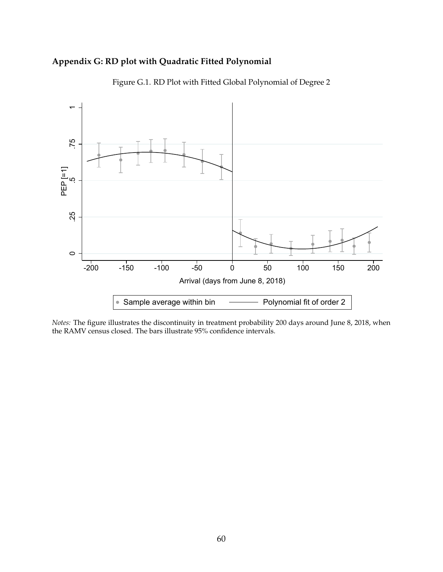## **Appendix G: RD plot with Quadratic Fitted Polynomial**



Figure G.1. RD Plot with Fitted Global Polynomial of Degree 2

*Notes:* The figure illustrates the discontinuity in treatment probability 200 days around June 8, 2018, when the RAMV census closed. The bars illustrate 95% confidence intervals.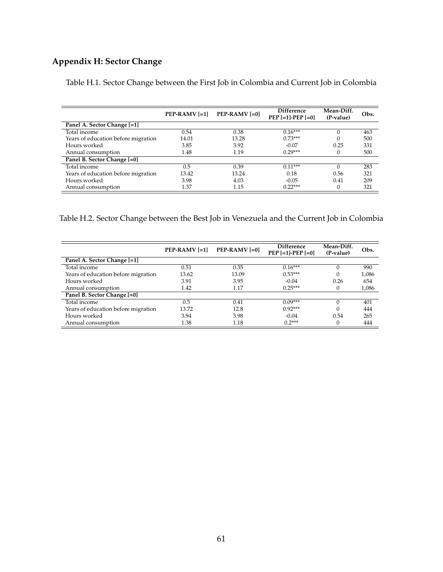# **Appendix H: Sector Change**

|                                     | $PEP-RAMV$ [=1] | $PEP-RAMV$ [=0] | <b>Difference</b><br>$PEP$ [=1]-PEP [=0] | Mean-Diff.<br>(P-value) | Obs. |
|-------------------------------------|-----------------|-----------------|------------------------------------------|-------------------------|------|
| Panel A. Sector Change [=1]         |                 |                 |                                          |                         |      |
| Total income                        | 0.54            | 0.38            | $0.16***$                                | $\Omega$                | 463  |
| Years of education before migration | 14.01           | 13.28           | $0.73***$                                | $\Omega$                | 500  |
| Hours worked                        | 3.85            | 3.92            | $-0.07$                                  | 0.25                    | 331  |
| Annual consumption                  | 1.48            | 1.19            | $0.29***$                                | 0                       | 500  |
| Panel B. Sector Change [=0]         |                 |                 |                                          |                         |      |
| Total income                        | 0.5             | 0.39            | $0.11***$                                |                         | 283  |
| Years of education before migration | 13.42           | 13.24           | 0.18                                     | 0.56                    | 321  |
| Hours worked                        | 3.98            | 4.03            | $-0.05$                                  | 0.41                    | 209  |
| Annual consumption                  | 1.37            | 1.15            | $0.22***$                                | $\Omega$                | 321  |

Table H.1. Sector Change between the First Job in Colombia and Current Job in Colombia

Table H.2. Sector Change between the Best Job in Venezuela and the Current Job in Colombia

|                                     | $PEP-RAMV$ [=1] | $PEP-RAMV$ [=0] | <b>Difference</b><br>$PEP$ [=1]-PEP [=0] | Mean-Diff.<br>(P-value) | Obs.  |
|-------------------------------------|-----------------|-----------------|------------------------------------------|-------------------------|-------|
| Panel A. Sector Change [=1]         |                 |                 |                                          |                         |       |
| Total income                        | 0.51            | 0.35            | $0.16***$                                |                         | 990   |
| Years of education before migration | 13.62           | 13.09           | $0.53***$                                |                         | 1,086 |
| Hours worked                        | 3.91            | 3.95            | $-0.04$                                  | 0.26                    | 654   |
| Annual consumption                  | 1.42            | 1.17            | $0.25***$                                |                         | 1,086 |
| Panel B. Sector Change [=0]         |                 |                 |                                          |                         |       |
| Total income                        | $0.5\,$         | 0.41            | $0.09***$                                |                         | 401   |
| Years of education before migration | 13.72           | 12.8            | $0.92***$                                |                         | 444   |
| Hours worked                        | 3.94            | 3.98            | $-0.04$                                  | 0.54                    | 265   |
| Annual consumption                  | 1.38            | 1.18            | $0.2***$                                 |                         | 444   |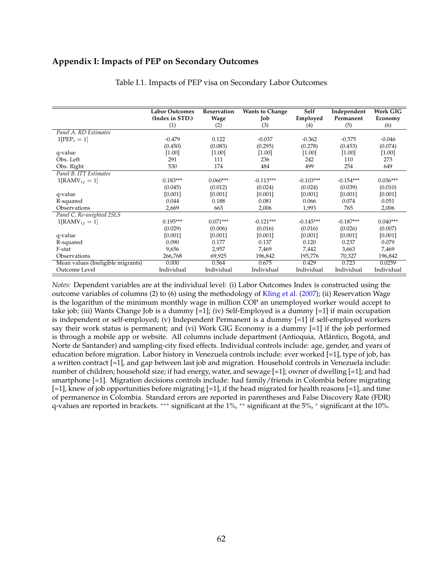#### <span id="page-63-0"></span>**Appendix I: Impacts of PEP on Secondary Outcomes**

|                                   | <b>Labor Outcomes</b> | Reservation | <b>Wants to Change</b> | Self        | Independent | <b>Work GIG</b> |
|-----------------------------------|-----------------------|-------------|------------------------|-------------|-------------|-----------------|
|                                   | (Index in STD.)       | Wage        | Job                    | Employed    | Permanent   | Economy         |
|                                   | (1)                   | (2)         | (3)                    | (4)         | (5)         | (6)             |
| Panel A. RD Estimates             |                       |             |                        |             |             |                 |
| $1[PEP_i = 1]$                    | $-0.479$              | 0.122       | $-0.037$               | $-0.362$    | $-0.575$    | $-0.046$        |
|                                   | (0.450)               | (0.083)     | (0.295)                | (0.278)     | (0.453)     | (0.074)         |
| q-value                           | $[1.00]$              | [1.00]      | [1.00]                 | [1.00]      | $[1.00]$    | $[1.00]$        |
| Obs. Left                         | 291                   | 111         | 236                    | 242         | 110         | 273             |
| Obs. Right                        | 530                   | 174         | 484                    | 499         | 254         | 649             |
| Panel B. ITT Estimates            |                       |             |                        |             |             |                 |
| $1[RAMV_{ij} = 1]$                | $0.183***$            | $0.060***$  | $-0.113***$            | $-0.103***$ | $-0.154***$ | $0.036***$      |
|                                   | (0.045)               | (0.012)     | (0.024)                | (0.024)     | (0.039)     | (0.010)         |
| q-value                           | [0.001]               | [0.001]     | [0.001]                | [0.001]     | [0.001]     | [0.001]         |
| R-squared                         | 0.044                 | 0.188       | 0.081                  | 0.066       | 0.074       | 0.051           |
| Observations                      | 2,669                 | 663         | 2,006                  | 1,993       | 765         | 2,006           |
| Panel C. Re-weighted 2SLS         |                       |             |                        |             |             |                 |
| $1[RAMV_{ij} = 1]$                | $0.195***$            | $0.071***$  | $-0.121***$            | $-0.145***$ | $-0.187***$ | $0.040***$      |
|                                   | (0.029)               | (0.006)     | (0.016)                | (0.016)     | (0.026)     | (0.007)         |
| q-value                           | [0.001]               | [0.001]     | [0.001]                | [0.001]     | [0.001]     | [0.001]         |
| R-squared                         | 0.090                 | 0.177       | 0.137                  | 0.120       | 0.237       | 0.079           |
| F-stat                            | 9,656                 | 2,957       | 7,469                  | 7,442       | 3,663       | 7,469           |
| Observations                      | 266,768               | 69,925      | 196,842                | 195,776     | 70,327      | 196,842         |
| Mean values (Ineligible migrants) | 0.000                 | 0.564       | 0.675                  | 0.429       | 0.723       | 0.0259          |
| Outcome Level                     | Individual            | Individual  | Individual             | Individual  | Individual  | Individual      |

Table I.1. Impacts of PEP visa on Secondary Labor Outcomes

*Notes:* Dependent variables are at the individual level: (i) Labor Outcomes Index is constructed using the outcome variables of columns (2) to (6) using the methodology of [Kling et al.](#page-36-9) [\(2007\)](#page-36-9); (ii) Reservation Wage is the logarithm of the minimum monthly wage in million COP an unemployed worker would accept to take job; (iii) Wants Change Job is a dummy [=1]; (iv) Self-Employed is a dummy [=1] if main occupation is independent or self-employed; (v) Independent Permanent is a dummy [=1] if self-employed workers say their work status is permanent; and (vi) Work GIG Economy is a dummy [=1] if the job performed is through a mobile app or website. All columns include department (Antioquia, Atlántico, Bogotá, and Norte de Santander) and sampling-city fixed effects. Individual controls include: age, gender, and years of education before migration. Labor history in Venezuela controls include: ever worked [=1], type of job, has a written contract [=1], and gap between last job and migration. Household controls in Venezuela include: number of children; household size; if had energy, water, and sewage [=1]; owner of dwelling [=1]; and had smartphone [=1]. Migration decisions controls include: had family/friends in Colombia before migrating [=1], knew of job opportunities before migrating [=1], if the head migrated for health reasons [=1], and time of permanence in Colombia. Standard errors are reported in parentheses and False Discovery Rate (FDR) q-values are reported in brackets. ∗∗∗ significant at the 1%, ∗∗ significant at the 5%, <sup>∗</sup> significant at the 10%.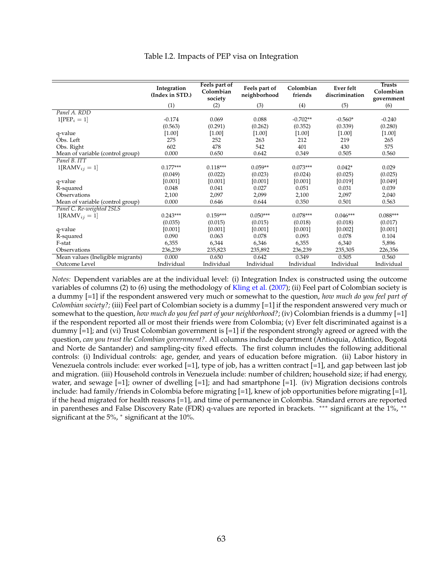<span id="page-64-0"></span>

|                                   | Integration<br>(Index in STD.) | Feels part of<br>Colombian<br>society | Feels part of<br>neighborhood | Colombian<br>friends | Ever felt<br>discrimination | <b>Trusts</b><br>Colombian<br>government |
|-----------------------------------|--------------------------------|---------------------------------------|-------------------------------|----------------------|-----------------------------|------------------------------------------|
|                                   | (1)                            | (2)                                   | (3)                           | (4)                  | (5)                         | (6)                                      |
| Panel A. RDD                      |                                |                                       |                               |                      |                             |                                          |
| $1[PEP_i = 1]$                    | $-0.174$                       | 0.069                                 | 0.088                         | $-0.702**$           | $-0.560*$                   | $-0.240$                                 |
|                                   | (0.563)                        | (0.291)                               | (0.262)                       | (0.352)              | (0.339)                     | (0.280)                                  |
| q-value                           | $[1.00]$                       | [1.00]                                | [1.00]                        | [1.00]               | $[1.00]$                    | $[1.00]$                                 |
| Obs. Left                         | 275                            | 252                                   | 263                           | 212                  | 219                         | 265                                      |
| Obs. Right                        | 602                            | 478                                   | 542                           | 401                  | 430                         | 575                                      |
| Mean of variable (control group)  | 0.000                          | 0.650                                 | 0.642                         | 0.349                | 0.505                       | 0.560                                    |
| Panel B. ITT                      |                                |                                       |                               |                      |                             |                                          |
| $1[RAMV_{ij} = 1]$                | $0.177***$                     | $0.118***$                            | $0.059**$                     | $0.073***$           | $0.042*$                    | 0.029                                    |
|                                   | (0.049)                        | (0.022)                               | (0.023)                       | (0.024)              | (0.025)                     | (0.025)                                  |
| q-value                           | [0.001]                        | [0.001]                               | [0.001]                       | [0.001]              | [0.019]                     | [0.049]                                  |
| R-squared                         | 0.048                          | 0.041                                 | 0.027                         | 0.051                | 0.031                       | 0.039                                    |
| Observations                      | 2,100                          | 2,097                                 | 2,099                         | 2,100                | 2,097                       | 2,040                                    |
| Mean of variable (control group)  | 0.000                          | 0.646                                 | 0.644                         | 0.350                | 0.501                       | 0.563                                    |
| Panel C. Re-weighted 2SLS         |                                |                                       |                               |                      |                             |                                          |
| $1[RAMV_{ij} = 1]$                | $0.243***$                     | $0.159***$                            | $0.050***$                    | $0.078***$           | $0.046***$                  | $0.088***$                               |
|                                   | (0.035)                        | (0.015)                               | (0.015)                       | (0.018)              | (0.018)                     | (0.017)                                  |
| q-value                           | [0.001]                        | [0.001]                               | [0.001]                       | [0.001]              | [0.002]                     | [0.001]                                  |
| R-squared                         | 0.090                          | 0.063                                 | 0.078                         | 0.093                | 0.078                       | 0.104                                    |
| F-stat                            | 6,355                          | 6,344                                 | 6,346                         | 6,355                | 6,340                       | 5,896                                    |
| Observations                      | 236,239                        | 235,823                               | 235,892                       | 236,239              | 235,305                     | 226,356                                  |
| Mean values (Ineligible migrants) | 0.000                          | 0.650                                 | 0.642                         | 0.349                | 0.505                       | 0.560                                    |
| Outcome Level                     | Individual                     | Individual                            | Individual                    | Individual           | Individual                  | Individual                               |

#### Table I.2. Impacts of PEP visa on Integration

*Notes:* Dependent variables are at the individual level: (i) Integration Index is constructed using the outcome variables of columns (2) to (6) using the methodology of [Kling et al.](#page-36-9) [\(2007\)](#page-36-9); (ii) Feel part of Colombian society is a dummy [=1] if the respondent answered very much or somewhat to the question, *how much do you feel part of Colombian society?;* (iii) Feel part of Colombian society is a dummy [=1] if the respondent answered very much or somewhat to the question, *how much do you feel part of your neighborhood?*; (iv) Colombian friends is a dummy [=1] if the respondent reported all or most their friends were from Colombia; (v) Ever felt discriminated against is a dummy  $[-1]$ ; and (vi) Trust Colombian government is  $[-1]$  if the respondent strongly agreed or agreed with the question, *can you trust the Colombian government?*. All columns include department (Antioquia, Atlántico, Bogotá and Norte de Santander) and sampling-city fixed effects. The first column includes the following additional controls: (i) Individual controls: age, gender, and years of education before migration. (ii) Labor history in Venezuela controls include: ever worked [=1], type of job, has a written contract [=1], and gap between last job and migration. (iii) Household controls in Venezuela include: number of children; household size; if had energy, water, and sewage  $[=1]$ ; owner of dwelling  $[=1]$ ; and had smartphone  $[=1]$ . (iv) Migration decisions controls include: had family/friends in Colombia before migrating [=1], knew of job opportunities before migrating [=1], if the head migrated for health reasons [=1], and time of permanence in Colombia. Standard errors are reported in parentheses and False Discovery Rate (FDR) q-values are reported in brackets. \*\*\* significant at the 1%, \*\* significant at the 5%, <sup>∗</sup> significant at the 10%.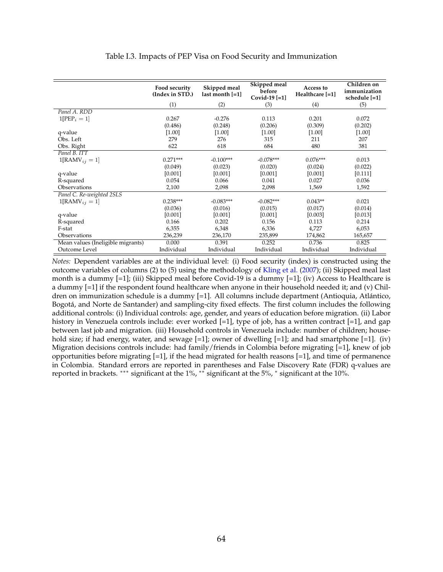<span id="page-65-0"></span>

|                                   | Food security<br>(Index in STD.) | Skipped meal<br>last month [=1] | Skipped meal<br>before<br>Covid-19 $[-1]$ | Access to<br>Healthcare [=1] | Children on<br>immunization<br>schedule [=1] |
|-----------------------------------|----------------------------------|---------------------------------|-------------------------------------------|------------------------------|----------------------------------------------|
|                                   | (1)                              | (2)                             | (3)                                       | (4)                          | (5)                                          |
| Panel A. RDD                      |                                  |                                 |                                           |                              |                                              |
| $1[PEP_i = 1]$                    | 0.267                            | $-0.276$                        | 0.113                                     | 0.201                        | 0.072                                        |
|                                   | (0.486)                          | (0.248)                         | (0.206)                                   | (0.309)                      | (0.202)                                      |
| q-value                           | [1.00]                           | [1.00]                          | [1.00]                                    | [1.00]                       | $[1.00]$                                     |
| Obs. Left                         | 279                              | 276                             | 315                                       | 211                          | 207                                          |
| Obs. Right                        | 622                              | 618                             | 684                                       | 480                          | 381                                          |
| Panel B. ITT                      |                                  |                                 |                                           |                              |                                              |
| $1[RAMV_{ij} = 1]$                | $0.271***$                       | $-0.100***$                     | $-0.078***$                               | $0.076***$                   | 0.013                                        |
|                                   | (0.049)                          | (0.023)                         | (0.020)                                   | (0.024)                      | (0.022)                                      |
| q-value                           | [0.001]                          | [0.001]                         | [0.001]                                   | [0.001]                      | [0.111]                                      |
| R-squared                         | 0.054                            | 0.066                           | 0.041                                     | 0.027                        | 0.036                                        |
| Observations                      | 2,100                            | 2,098                           | 2,098                                     | 1,569                        | 1,592                                        |
| Panel C. Re-weighted 2SLS         |                                  |                                 |                                           |                              |                                              |
| $1[RAMV_{ij} = 1]$                | $0.238***$                       | $-0.083***$                     | $-0.082***$                               | $0.043**$                    | 0.021                                        |
|                                   | (0.036)                          | (0.016)                         | (0.015)                                   | (0.017)                      | (0.014)                                      |
| q-value                           | [0.001]                          | [0.001]                         | [0.001]                                   | [0.003]                      | [0.013]                                      |
| R-squared                         | 0.166                            | 0.202                           | 0.156                                     | 0.113                        | 0.214                                        |
| F-stat                            | 6,355                            | 6,348                           | 6,336                                     | 4,727                        | 6,053                                        |
| Observations                      | 236,239                          | 236,170                         | 235,899                                   | 174,862                      | 165,657                                      |
| Mean values (Ineligible migrants) | 0.000                            | 0.391                           | 0.252                                     | 0.736                        | 0.825                                        |
| Outcome Level                     | Individual                       | Individual                      | Individual                                | Individual                   | Individual                                   |

Table I.3. Impacts of PEP Visa on Food Security and Immunization

*Notes:* Dependent variables are at the individual level: (i) Food security (index) is constructed using the outcome variables of columns (2) to (5) using the methodology of [Kling et al.](#page-36-9) [\(2007\)](#page-36-9); (ii) Skipped meal last month is a dummy  $[=1]$ ; (iii) Skipped meal before Covid-19 is a dummy  $[=1]$ ; (iv) Access to Healthcare is a dummy [=1] if the respondent found healthcare when anyone in their household needed it; and (v) Children on immunization schedule is a dummy [=1]. All columns include department (Antioquia, Atlántico, Bogota, and Norte de Santander) and sampling-city fixed effects. The first column includes the following ´ additional controls: (i) Individual controls: age, gender, and years of education before migration. (ii) Labor history in Venezuela controls include: ever worked [=1], type of job, has a written contract [=1], and gap between last job and migration. (iii) Household controls in Venezuela include: number of children; household size; if had energy, water, and sewage  $[-1]$ ; owner of dwelling  $[-1]$ ; and had smartphone  $[-1]$ . (iv) Migration decisions controls include: had family/friends in Colombia before migrating [=1], knew of job opportunities before migrating  $[=1]$ , if the head migrated for health reasons  $[=1]$ , and time of permanence in Colombia. Standard errors are reported in parentheses and False Discovery Rate (FDR) q-values are reported in brackets. ∗∗∗ significant at the 1%, ∗∗ significant at the 5%, <sup>∗</sup> significant at the 10%.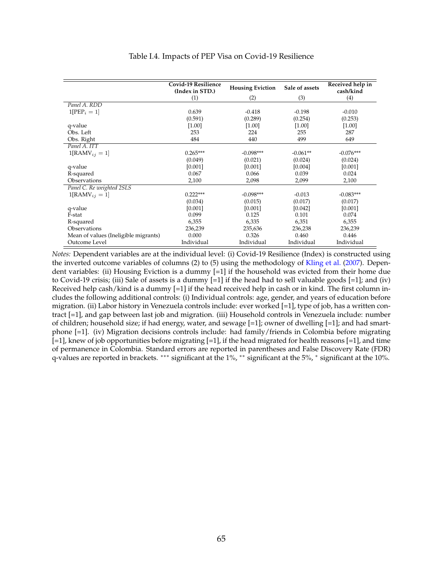<span id="page-66-0"></span>

|                                      | <b>Covid-19 Resilience</b><br>(Index in STD.) | <b>Housing Eviction</b> | Sale of assets | Received help in<br>cash/kind |
|--------------------------------------|-----------------------------------------------|-------------------------|----------------|-------------------------------|
|                                      | (1)                                           | (2)                     | (3)            | (4)                           |
| Panel A. RDD                         |                                               |                         |                |                               |
| $1[PEP_i = 1]$                       | 0.639                                         | $-0.418$                | $-0.198$       | $-0.010$                      |
|                                      | (0.591)                                       | (0.289)                 | (0.254)        | (0.253)                       |
| q-value                              | $[1.00]$                                      | $[1.00]$                | $[1.00]$       | $[1.00]$                      |
| Obs. Left                            | 253                                           | 224                     | 255            | 287                           |
| Obs. Right                           | 484                                           | 440                     | 499            | 649                           |
| Panel A. ITT                         |                                               |                         |                |                               |
| $1[RAMV_{ij} = 1]$                   | $0.265***$                                    | $-0.098***$             | $-0.061**$     | $-0.076***$                   |
|                                      | (0.049)                                       | (0.021)                 | (0.024)        | (0.024)                       |
| q-value                              | [0.001]                                       | [0.001]                 | [0.004]        | [0.001]                       |
| R-squared                            | 0.067                                         | 0.066                   | 0.039          | 0.024                         |
| Observations                         | 2,100                                         | 2,098                   | 2,099          | 2,100                         |
| Panel C. Re weighted 2SLS            |                                               |                         |                |                               |
| $1[RAMV_{ii} = 1]$                   | $0.222***$                                    | $-0.098***$             | $-0.013$       | $-0.083***$                   |
|                                      | (0.034)                                       | (0.015)                 | (0.017)        | (0.017)                       |
| q-value                              | [0.001]                                       | [0.001]                 | [0.042]        | [0.001]                       |
| F-stat                               | 0.099                                         | 0.125                   | 0.101          | 0.074                         |
| R-squared                            | 6,355                                         | 6,335                   | 6,351          | 6,355                         |
| Observations                         | 236,239                                       | 235,636                 | 236,238        | 236,239                       |
| Mean of values (Ineligible migrants) | 0.000                                         | 0.326                   | 0.460          | 0.446                         |
| Outcome Level                        | Individual                                    | Individual              | Individual     | Individual                    |

#### Table I.4. Impacts of PEP Visa on Covid-19 Resilience

*Notes:* Dependent variables are at the individual level: (i) Covid-19 Resilience (Index) is constructed using the inverted outcome variables of columns (2) to (5) using the methodology of [Kling et al.](#page-36-9) [\(2007\)](#page-36-9). Dependent variables: (ii) Housing Eviction is a dummy [=1] if the household was evicted from their home due to Covid-19 crisis; (iii) Sale of assets is a dummy  $[-1]$  if the head had to sell valuable goods  $[-1]$ ; and (iv) Received help cash/kind is a dummy [=1] if the head received help in cash or in kind. The first column includes the following additional controls: (i) Individual controls: age, gender, and years of education before migration. (ii) Labor history in Venezuela controls include: ever worked [=1], type of job, has a written contract [=1], and gap between last job and migration. (iii) Household controls in Venezuela include: number of children; household size; if had energy, water, and sewage [=1]; owner of dwelling [=1]; and had smartphone [=1]. (iv) Migration decisions controls include: had family/friends in Colombia before migrating  $[-1]$ , knew of job opportunities before migrating  $[-1]$ , if the head migrated for health reasons  $[-1]$ , and time of permanence in Colombia. Standard errors are reported in parentheses and False Discovery Rate (FDR) q-values are reported in brackets. ∗∗∗ significant at the 1%, ∗∗ significant at the 5%, <sup>∗</sup> significant at the 10%.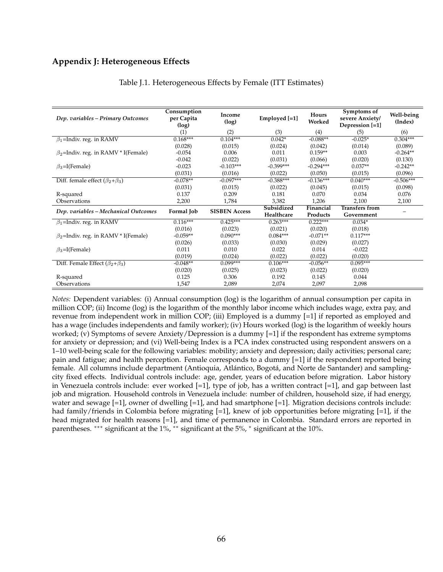#### **Appendix J: Heterogeneous Effects**

| Dep. variables – Primary Outcomes          | Consumption<br>per Capita<br>(log) | Income<br>(log)      | Employed [=1] | Hours<br>Worked | Symptoms of<br>severe Anxiety/<br>Depression [=1] | Well-being<br>(Index) |
|--------------------------------------------|------------------------------------|----------------------|---------------|-----------------|---------------------------------------------------|-----------------------|
|                                            | (1)                                | (2)                  | (3)           | (4)             | (5)                                               | (6)                   |
| $\beta_1$ =Indiv. reg. in RAMV             | $0.168***$                         | $0.104***$           | $0.042*$      | $-0.088**$      | $-0.025*$                                         | $0.304***$            |
|                                            | (0.028)                            | (0.015)              | (0.024)       | (0.042)         | (0.014)                                           | (0.089)               |
| $\beta_2$ =Indiv. reg. in RAMV * I(Female) | $-0.054$                           | 0.006                | 0.011         | $0.159**$       | 0.003                                             | $-0.264**$            |
|                                            | $-0.042$                           | (0.022)              | (0.031)       | (0.066)         | (0.020)                                           | (0.130)               |
| $\beta_3$ =I(Female)                       | $-0.023$                           | $-0.103***$          | $-0.399***$   | $-0.294***$     | $0.037**$                                         | $-0.242**$            |
|                                            | (0.031)                            | (0.016)              | (0.022)       | (0.050)         | (0.015)                                           | (0.096)               |
| Diff. female effect $(\beta_2 + \beta_3)$  | $-0.078**$                         | $-0.097***$          | $-0.388***$   | $-0.136***$     | $0.040***$                                        | $-0.506***$           |
|                                            | (0.031)                            | (0.015)              | (0.022)       | (0.045)         | (0.015)                                           | (0.098)               |
| R-squared                                  | 0.137                              | 0.209                | 0.181         | 0.070           | 0.034                                             | 0.076                 |
| Observations                               | 2,200                              | 1,784                | 3,382         | 1,206           | 2,100                                             | 2,100                 |
| Dep. variables – Mechanical Outcomes       | Formal Job                         | <b>SISBEN Access</b> | Subsidized    | Financial       | <b>Transfers from</b>                             |                       |
|                                            |                                    |                      | Healthcare    | Products        | Government                                        |                       |
| $\beta_1$ =Indiv. reg. in RAMV             | $0.116***$                         | $0.425***$           | $0.263***$    | $0.222***$      | $0.034*$                                          |                       |
|                                            | (0.016)                            | (0.023)              | (0.021)       | (0.020)         | (0.018)                                           |                       |
| $\beta_2$ =Indiv. reg. in RAMV * I(Female) | $-0.059**$                         | $0.090***$           | $0.084***$    | $-0.071**$      | $0.117***$                                        |                       |
|                                            | (0.026)                            | (0.033)              | (0.030)       | (0.029)         | (0.027)                                           |                       |
| $\beta_3$ =I(Female)                       | 0.011                              | 0.010                | 0.022         | 0.014           | $-0.022$                                          |                       |
|                                            | (0.019)                            | (0.024)              | (0.022)       | (0.022)         | (0.020)                                           |                       |
| Diff. Female Effect $(\beta_2+\beta_3)$    | $-0.048**$                         | $0.099***$           | $0.106***$    | $-0.056**$      | $0.095***$                                        |                       |
|                                            | (0.020)                            | (0.025)              | (0.023)       | (0.022)         | (0.020)                                           |                       |
| R-squared                                  | 0.125                              | 0.306                | 0.192         | 0.145           | 0.044                                             |                       |
| Observations                               | 1,547                              | 2,089                | 2,074         | 2,097           | 2,098                                             |                       |

#### Table J.1. Heterogeneous Effects by Female (ITT Estimates)

*Notes:* Dependent variables: (i) Annual consumption (log) is the logarithm of annual consumption per capita in million COP; (ii) Income (log) is the logarithm of the monthly labor income which includes wage, extra pay, and revenue from independent work in million COP; (iii) Employed is a dummy [=1] if reported as employed and has a wage (includes independents and family worker); (iv) Hours worked (log) is the logarithm of weekly hours worked; (v) Symptoms of severe Anxiety/Depression is a dummy [=1] if the respondent has extreme symptoms for anxiety or depression; and (vi) Well-being Index is a PCA index constructed using respondent answers on a 1–10 well-being scale for the following variables: mobility; anxiety and depression; daily activities; personal care; pain and fatigue; and health perception. Female corresponds to a dummy [=1] if the respondent reported being female. All columns include department (Antioquia, Atlántico, Bogotá, and Norte de Santander) and samplingcity fixed effects. Individual controls include: age, gender, years of education before migration. Labor history in Venezuela controls include: ever worked [=1], type of job, has a written contract [=1], and gap between last job and migration. Household controls in Venezuela include: number of children, household size, if had energy, water and sewage  $[-1]$ , owner of dwelling  $[-1]$ , and had smartphone  $[-1]$ . Migration decisions controls include: had family/friends in Colombia before migrating [=1], knew of job opportunities before migrating [=1], if the head migrated for health reasons [=1], and time of permanence in Colombia. Standard errors are reported in parentheses. \*\*\* significant at the 1%, \*\* significant at the 5%, \* significant at the 10%.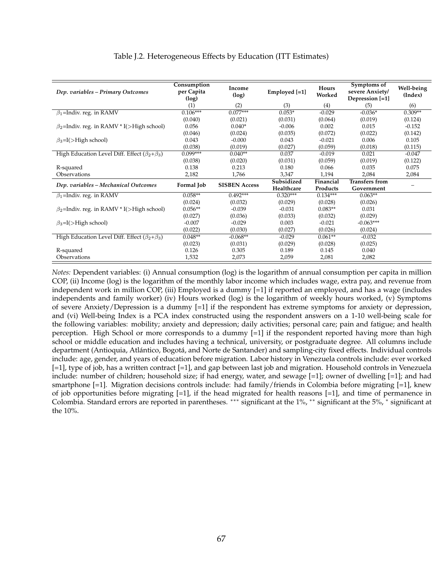| Dep. variables – Primary Outcomes                       | Consumption<br>per Capita<br>(log) | Income<br>(log)      | Employed [=1] | Hours<br>Worked | Symptoms of<br>severe Anxiety/<br>Depression [=1] | Well-being<br>(Index) |
|---------------------------------------------------------|------------------------------------|----------------------|---------------|-----------------|---------------------------------------------------|-----------------------|
|                                                         | (1)                                | (2)                  | (3)           | (4)             | (5)                                               | (6)                   |
| $\beta_1$ =Indiv. reg. in RAMV                          | $0.106***$                         | $0.077***$           | $0.053*$      | $-0.029$        | $-0.036*$                                         | $0.309**$             |
|                                                         | (0.040)                            | (0.021)              | (0.031)       | (0.064)         | (0.019)                                           | (0.124)               |
| $\beta_2$ =Indiv. reg. in RAMV * I(>High school)        | 0.056                              | $0.040*$             | $-0.006$      | 0.002           | 0.015                                             | $-0.152$              |
|                                                         | (0.046)                            | (0.024)              | (0.035)       | (0.072)         | (0.022)                                           | (0.142)               |
| $\beta_3 = I(\rightarrow$ High school)                  | 0.043                              | $-0.000$             | 0.043         | $-0.021$        | 0.006                                             | 0.105                 |
|                                                         | (0.038)                            | (0.019)              | (0.027)       | (0.059)         | (0.018)                                           | (0.115)               |
| High Education Level Diff. Effect $(\beta_2 + \beta_3)$ | $0.099***$                         | $0.040**$            | 0.037         | $-0.019$        | 0.021                                             | $-0.047$              |
|                                                         | (0.038)                            | (0.020)              | (0.031)       | (0.059)         | (0.019)                                           | (0.122)               |
| R-squared                                               | 0.138                              | 0.213                | 0.180         | 0.066           | 0.035                                             | 0.075                 |
| Observations                                            | 2,182                              | 1,766                | 3,347         | 1,194           | 2,084                                             | 2,084                 |
| Dep. variables - Mechanical Outcomes                    | Formal Job                         | <b>SISBEN Access</b> | Subsidized    | Financial       | <b>Transfers from</b>                             |                       |
|                                                         |                                    |                      | Healthcare    | Products        | Government                                        |                       |
| $\beta_1$ =Indiv. reg. in RAMV                          | $0.058**$                          | $0.492***$           | $0.320***$    | $0.134***$      | $0.063**$                                         |                       |
|                                                         | (0.024)                            | (0.032)              | (0.029)       | (0.028)         | (0.026)                                           |                       |
| $\beta_2$ =Indiv. reg. in RAMV * I(>High school)        | $0.056**$                          | $-0.039$             | $-0.031$      | $0.083**$       | 0.031                                             |                       |
|                                                         | (0.027)                            | (0.036)              | (0.033)       | (0.032)         | (0.029)                                           |                       |
| $\beta_3 = I(\rightarrow$ High school)                  | $-0.007$                           | $-0.029$             | 0.003         | $-0.021$        | $-0.063***$                                       |                       |
|                                                         | (0.022)                            | (0.030)              | (0.027)       | (0.026)         | (0.024)                                           |                       |
| High Education Level Diff. Effect $(\beta_2 + \beta_3)$ | $0.048**$                          | $-0.068**$           | $-0.029$      | $0.061**$       | $-0.032$                                          |                       |
|                                                         | (0.023)                            | (0.031)              | (0.029)       | (0.028)         | (0.025)                                           |                       |
| R-squared                                               | 0.126                              | 0.305                | 0.189         | 0.145           | 0.040                                             |                       |
| Observations                                            | 1,532                              | 2,073                | 2,059         | 2,081           | 2,082                                             |                       |

#### Table J.2. Heterogeneous Effects by Education (ITT Estimates)

*Notes:* Dependent variables: (i) Annual consumption (log) is the logarithm of annual consumption per capita in million COP, (ii) Income (log) is the logarithm of the monthly labor income which includes wage, extra pay, and revenue from independent work in million COP, (iii) Employed is a dummy [=1] if reported an employed, and has a wage (includes independents and family worker) (iv) Hours worked (log) is the logarithm of weekly hours worked, (v) Symptoms of severe Anxiety/Depression is a dummy [=1] if the respondent has extreme symptoms for anxiety or depression, and (vi) Well-being Index is a PCA index constructed using the respondent answers on a 1-10 well-being scale for the following variables: mobility; anxiety and depression; daily activities; personal care; pain and fatigue; and health perception. High School or more corresponds to a dummy [=1] if the respondent reported having more than high school or middle education and includes having a technical, university, or postgraduate degree. All columns include department (Antioquia, Atlántico, Bogotá, and Norte de Santander) and sampling-city fixed effects. Individual controls include: age, gender, and years of education before migration. Labor history in Venezuela controls include: ever worked [=1], type of job, has a written contract [=1], and gap between last job and migration. Household controls in Venezuela include: number of children; household size; if had energy, water, and sewage [=1]; owner of dwelling [=1]; and had smartphone [=1]. Migration decisions controls include: had family/friends in Colombia before migrating [=1], knew of job opportunities before migrating [=1], if the head migrated for health reasons [=1], and time of permanence in Colombia. Standard errors are reported in parentheses. ∗∗∗ significant at the 1%, ∗∗ significant at the 5%, <sup>∗</sup> significant at the 10%.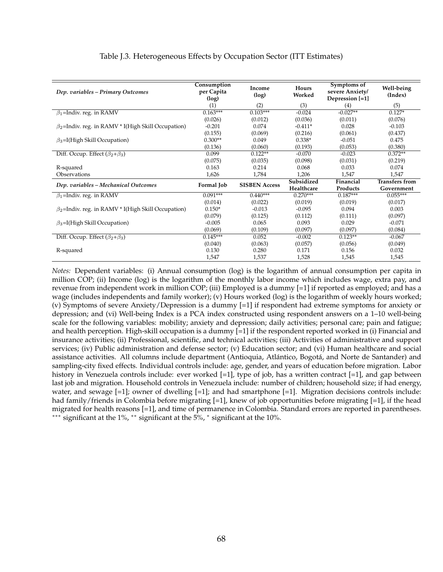| Dep. variables – Primary Outcomes                         | Consumption<br>per Capita<br>(log) | Income<br>(log)      | Hours<br>Worked | Symptoms of<br>severe Anxiety/<br>Depression [=1] | Well-being<br>(Index) |
|-----------------------------------------------------------|------------------------------------|----------------------|-----------------|---------------------------------------------------|-----------------------|
|                                                           | (1)                                | (2)                  | (3)             | (4)                                               | (5)                   |
| $\beta_1$ =Indiv. reg. in RAMV                            | $0.163***$                         | $0.103***$           | $-0.024$        | $-0.027**$                                        | $0.127*$              |
|                                                           | (0.026)                            | (0.012)              | (0.036)         | (0.011)                                           | (0.076)               |
| $\beta_2$ =Indiv. reg. in RAMV * I(High Skill Occupation) | $-0.201$                           | 0.074                | $-0.411*$       | 0.028                                             | $-0.103$              |
|                                                           | (0.155)                            | (0.069)              | (0.216)         | (0.061)                                           | (0.437)               |
| $\beta_3$ =I(High Skill Occupation)                       | $0.300**$                          | 0.049                | $0.338*$        | $-0.051$                                          | 0.475                 |
|                                                           | (0.136)                            | (0.060)              | (0.193)         | (0.053)                                           | (0.380)               |
| Diff. Occup. Effect $(\beta_2+\beta_3)$                   | 0.099                              | $0.122**$            | $-0.070$        | $-0.023$                                          | $0.372**$             |
|                                                           | (0.075)                            | (0.035)              | (0.098)         | (0.031)                                           | (0.219)               |
| R-squared                                                 | 0.163                              | 0.214                | 0.068           | 0.033                                             | 0.074                 |
| Observations                                              | 1,626                              | 1,784                | 1,206           | 1,547                                             | 1,547                 |
| Dep. variables - Mechanical Outcomes                      | Formal Job                         | <b>SISBEN Access</b> | Subsidized      | Financial                                         | <b>Transfers from</b> |
|                                                           |                                    |                      | Healthcare      | Products                                          | Government            |
| $\beta_1$ =Indiv. reg. in RAMV                            | $0.091***$                         | $0.440***$           | $0.270***$      | $0.187***$                                        | $0.055***$            |
|                                                           | (0.014)                            | (0.022)              | (0.019)         | (0.019)                                           | (0.017)               |
| $\beta_2$ =Indiv. reg. in RAMV * I(High Skill Occupation) | $0.150*$                           | $-0.013$             | $-0.095$        | 0.094                                             | 0.003                 |
|                                                           | (0.079)                            | (0.125)              | (0.112)         | (0.111)                                           | (0.097)               |
| $\beta_3$ =I(High Skill Occupation)                       | $-0.005$                           | 0.065                | 0.093           | 0.029                                             | $-0.071$              |
|                                                           | (0.069)                            | (0.109)              | (0.097)         | (0.097)                                           | (0.084)               |
| Diff. Occup. Effect $(\beta_2+\beta_3)$                   | $0.145***$                         | 0.052                | $-0.002$        | $0.123**$                                         | $-0.067$              |
|                                                           | (0.040)                            | (0.063)              | (0.057)         | (0.056)                                           | (0.049)               |
| R-squared                                                 | 0.130                              | 0.280                | 0.171           | 0.156                                             | 0.032                 |
|                                                           | 1,547                              | 1,537                | 1,528           | 1,545                                             | 1,545                 |

#### Table J.3. Heterogeneous Effects by Occupation Sector (ITT Estimates)

*Notes:* Dependent variables: (i) Annual consumption (log) is the logarithm of annual consumption per capita in million COP; (ii) Income (log) is the logarithm of the monthly labor income which includes wage, extra pay, and revenue from independent work in million COP; (iii) Employed is a dummy [=1] if reported as employed; and has a wage (includes independents and family worker); (v) Hours worked (log) is the logarithm of weekly hours worked; (v) Symptoms of severe Anxiety/Depression is a dummy [=1] if respondent had extreme symptoms for anxiety or depression; and (vi) Well-being Index is a PCA index constructed using respondent answers on a 1–10 well-being scale for the following variables: mobility; anxiety and depression; daily activities; personal care; pain and fatigue; and health perception. High-skill occupation is a dummy  $\left[-1\right]$  if the respondent reported worked in (i) Financial and insurance activities; (ii) Professional, scientific, and technical activities; (iii) Activities of administrative and support services; (iv) Public administration and defense sector; (v) Education sector; and (vi) Human healthcare and social assistance activities. All columns include department (Antioquia, Atlántico, Bogotá, and Norte de Santander) and sampling-city fixed effects. Individual controls include: age, gender, and years of education before migration. Labor history in Venezuela controls include: ever worked  $[=1]$ , type of job, has a written contract  $[=1]$ , and gap between last job and migration. Household controls in Venezuela include: number of children; household size; if had energy, water, and sewage  $[=1]$ ; owner of dwelling  $[=1]$ ; and had smartphone  $[=1]$ . Migration decisions controls include: had family/friends in Colombia before migrating [=1], knew of job opportunities before migrating [=1], if the head migrated for health reasons [=1], and time of permanence in Colombia. Standard errors are reported in parentheses. ∗∗∗ significant at the 1%, ∗∗ significant at the 5%, <sup>∗</sup> significant at the 10%.